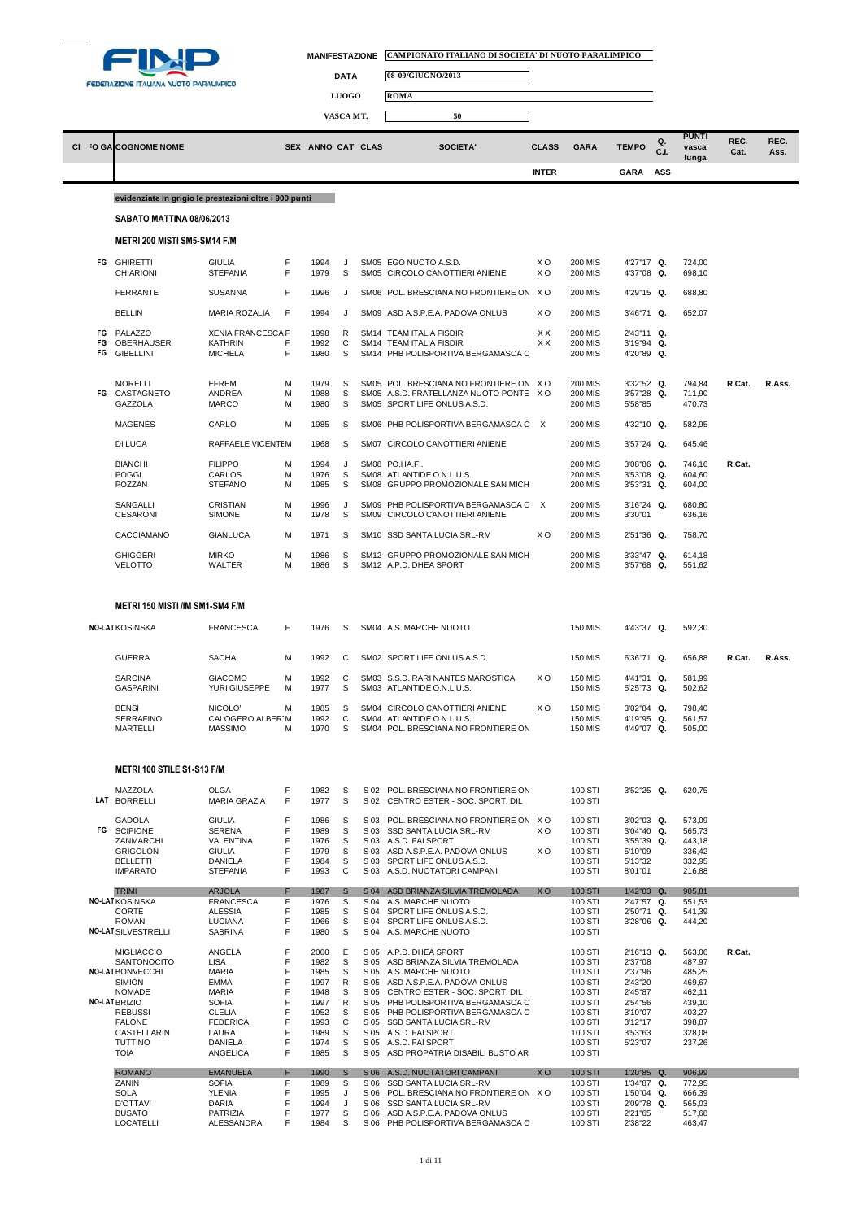

| MANIFESTAZIONE CAMPIONATO ITALIANO DI SOCIETA' DI NUOTO PARALIMPICO |
|---------------------------------------------------------------------|
|                                                                     |

٦



**LUOGO ROMA**

| VASCA MT. | r o |
|-----------|-----|
|           |     |

|    | CI :O GACOGNOME NOME                                   |                                            |        | SEX ANNO CAT CLAS |              |              | SOCIETA'                                                                | <b>CLASS</b> | <b>GARA</b>               | <b>TEMPO</b>             | Q.<br>C.L | <b>PUNTI</b><br>vasca<br>lunga | REC.<br>Cat. | REC.<br>Ass. |
|----|--------------------------------------------------------|--------------------------------------------|--------|-------------------|--------------|--------------|-------------------------------------------------------------------------|--------------|---------------------------|--------------------------|-----------|--------------------------------|--------------|--------------|
|    |                                                        |                                            |        |                   |              |              |                                                                         | <b>INTER</b> |                           | GARA                     | ASS       |                                |              |              |
|    | evidenziate in grigio le prestazioni oltre i 900 punti |                                            |        |                   |              |              |                                                                         |              |                           |                          |           |                                |              |              |
|    | <b>SABATO MATTINA 08/06/2013</b>                       |                                            |        |                   |              |              |                                                                         |              |                           |                          |           |                                |              |              |
|    | <b>METRI 200 MISTI SM5-SM14 F/M</b>                    |                                            |        |                   |              |              |                                                                         |              |                           |                          |           |                                |              |              |
|    | FG GHIRETTI                                            | <b>GIULIA</b>                              | F      | 1994              | J            |              | SM05 EGO NUOTO A.S.D.                                                   | ХO           | <b>200 MIS</b>            | 4'27"17 Q.               |           | 724,00                         |              |              |
|    | CHIARIONI                                              | <b>STEFANIA</b>                            | F      | 1979              | s            |              | SM05 CIRCOLO CANOTTIERI ANIENE                                          | xо           | 200 MIS                   | 4'37"08 Q.               |           | 698,10                         |              |              |
|    | <b>FERRANTE</b>                                        | SUSANNA                                    | F      | 1996              | J            |              | SM06 POL. BRESCIANA NO FRONTIERE ON XO                                  |              | <b>200 MIS</b>            | 4'29"15 Q.               |           | 688,80                         |              |              |
|    | <b>BELLIN</b>                                          | MARIA ROZALIA                              | F      | 1994              | J            |              | SM09 ASD A.S.P.E.A. PADOVA ONLUS                                        | xо           | <b>200 MIS</b>            | 3'46"71 Q.               |           | 652,07                         |              |              |
| FG | FG PALAZZO<br>OBERHAUSER                               | <b>XENIA FRANCESCA F</b><br><b>KATHRIN</b> | F      | 1998<br>1992      | R<br>С       |              | SM14 TEAM ITALIA FISDIR<br>SM14 TEAM ITALIA FISDIR                      | ХX<br>ХX     | 200 MIS<br>200 MIS        | 2'43"11 Q.<br>3'19"94 Q. |           |                                |              |              |
| FG | <b>GIBELLINI</b>                                       | <b>MICHELA</b>                             | F      | 1980              | S            |              | SM14 PHB POLISPORTIVA BERGAMASCA C                                      |              | <b>200 MIS</b>            | 4'20"89 Q.               |           |                                |              |              |
|    | <b>MORELLI</b>                                         | EFREM                                      | М      | 1979              | S            |              | SM05 POL. BRESCIANA NO FRONTIERE ON XO                                  |              | 200 MIS                   | 3'32"52 Q.               |           | 794,84                         | R.Cat.       | R.Ass.       |
|    | FG CASTAGNETO<br>GAZZOLA                               | ANDREA<br>MARCO                            | M<br>M | 1988<br>1980      | S<br>s       |              | SM05 A.S.D. FRATELLANZA NUOTO PONTE X O<br>SM05 SPORT LIFE ONLUS A.S.D. |              | <b>200 MIS</b><br>200 MIS | 3'57"28 Q.<br>5'58"85    |           | 711,90<br>470,73               |              |              |
|    | <b>MAGENES</b>                                         | CARLO                                      | M      | 1985              | S            |              | SM06 PHB POLISPORTIVA BERGAMASCA C X                                    |              | <b>200 MIS</b>            | 4'32"10 Q.               |           | 582,95                         |              |              |
|    | DI LUCA                                                | RAFFAELE VICENTEM                          |        | 1968              | S            |              | SM07 CIRCOLO CANOTTIERI ANIENE                                          |              | 200 MIS                   | 3'57"24 Q.               |           | 645,46                         |              |              |
|    | <b>BIANCHI</b>                                         | <b>FILIPPO</b>                             | M      | 1994              | J            |              | SM08 PO.HA.FI.                                                          |              | <b>200 MIS</b>            | 3'08"86 Q.               |           | 746,16                         | R.Cat.       |              |
|    | <b>POGGI</b>                                           | CARLOS                                     | M      | 1976              | S            |              | SM08 ATLANTIDE O.N.L.U.S.                                               |              | 200 MIS                   | 3'53"08 Q.               |           | 604,60                         |              |              |
|    | POZZAN                                                 | <b>STEFANO</b>                             | M      | 1985              | s            |              | SM08 GRUPPO PROMOZIONALE SAN MICH                                       |              | <b>200 MIS</b>            | 3'53"31 Q.               |           | 604,00                         |              |              |
|    | SANGALLI<br><b>CESARONI</b>                            | <b>CRISTIAN</b><br>SIMONE                  | М<br>M | 1996<br>1978      | J<br>S       |              | SM09 PHB POLISPORTIVA BERGAMASCA C X<br>SM09 CIRCOLO CANOTTIERI ANIENE  |              | 200 MIS<br>200 MIS        | 3'16"24 Q.<br>3'30"01    |           | 680,80<br>636,16               |              |              |
|    | CACCIAMANO                                             | <b>GIANLUCA</b>                            | М      | 1971              | S            |              | SM10 SSD SANTA LUCIA SRL-RM                                             | xо           | 200 MIS                   | 2'51"36 Q.               |           | 758,70                         |              |              |
|    | <b>GHIGGERI</b><br><b>VELOTTO</b>                      | <b>MIRKO</b><br>WALTER                     | М<br>М | 1986<br>1986      | S<br>S       |              | SM12 GRUPPO PROMOZIONALE SAN MICH<br>SM12 A.P.D. DHEA SPORT             |              | <b>200 MIS</b><br>200 MIS | 3'33"47 Q.<br>3'57"68 Q. |           | 614,18<br>551,62               |              |              |
|    | <b>GUERRA</b>                                          | <b>FRANCESCA</b><br><b>SACHA</b>           | М      | 1992              | С            |              | SM04 A.S. MARCHE NUOTO<br>SM02 SPORT LIFE ONLUS A.S.D.                  |              | 150 MIS                   | 6'36"71 Q.               |           | 592,30<br>656,88               | R.Cat.       | R.Ass.       |
|    | <b>SARCINA</b>                                         | <b>GIACOMO</b>                             | М      | 1992              | С            |              | SM03 S.S.D. RARI NANTES MAROSTICA                                       | xо           | 150 MIS                   | 4'41"31 Q.               |           | 581,99                         |              |              |
|    | <b>GASPARINI</b>                                       | YURI GIUSEPPE                              | M      | 1977              | S            |              | SM03 ATLANTIDE O.N.L.U.S.                                               |              | 150 MIS                   | 5'25"73 Q.               |           | 502,62                         |              |              |
|    | <b>BENSI</b><br><b>SERRAFINO</b>                       | NICOLO'<br>CALOGERO ALBER'M                | М      | 1985<br>1992      | S<br>C       |              | SM04 CIRCOLO CANOTTIERI ANIENE<br>SM04 ATLANTIDE O.N.L.U.S.             | xо           | 150 MIS<br><b>150 MIS</b> | 3'02"84 Q.<br>4'19"95 Q. |           | 798,40<br>561,57               |              |              |
|    | <b>MARTELLI</b>                                        | <b>MASSIMO</b>                             | М      | 1970              | S            |              | SM04 POL. BRESCIANA NO FRONTIERE ON                                     |              | <b>150 MIS</b>            | 4'49"07 Q.               |           | 505,00                         |              |              |
|    | METRI 100 STILE S1-S13 F/M                             |                                            |        |                   |              |              |                                                                         |              |                           |                          |           |                                |              |              |
|    | MAZZOLA                                                | OLGA                                       | F      | 1982              | S            |              | S 02 POL. BRESCIANA NO FRONTIERE ON                                     |              | 100 STI                   | 3'52"25 Q.               |           | 620,75                         |              |              |
|    | LAT BORRELLI                                           | <b>MARIA GRAZIA</b>                        | F      | 1977              | S            |              | S 02 CENTRO ESTER - SOC. SPORT. DIL                                     |              | 100 STI                   |                          |           |                                |              |              |
| FG | <b>GADOLA</b><br><b>SCIPIONE</b>                       | <b>GIULIA</b><br><b>SERENA</b>             | F<br>F | 1986<br>1989      | S<br>s       | S 03         | S 03 POL. BRESCIANA NO FRONTIERE ON XO<br>SSD SANTA LUCIA SRL-RM        | xо           | 100 STI<br>100 STI        | 3'02"03 Q.<br>3'04"40 Q. |           | 573,09<br>565,73               |              |              |
|    | ZANMARCHI<br><b>GRIGOLON</b>                           | <b>VALENTINA</b><br><b>GIULIA</b>          | F<br>F | 1976<br>1979      | S<br>s       |              | S 03 A.S.D. FAI SPORT<br>S 03 ASD A.S.P.E.A. PADOVA ONLUS               | ХO           | 100 STI<br>100 STI        | 3'55"39 Q.<br>5'10"09    |           | 443,18<br>336,42               |              |              |
|    | <b>BELLETTI</b><br><b>IMPARATO</b>                     | DANIELA<br><b>STEFANIA</b>                 | F<br>F | 1984<br>1993      | S<br>C       | S 03         | SPORT LIFE ONLUS A.S.D.<br>S 03 A.S.D. NUOTATORI CAMPANI                |              | 100 STI<br>100 STI        | 5'13"32<br>8'01"01       |           | 332,95<br>216,88               |              |              |
|    | <b>TRIMI</b>                                           | <b>ARJOLA</b>                              | F      | 1987              | S            | S 04         | ASD BRIANZA SILVIA TREMOLADA                                            | <b>XO</b>    | <b>100 STI</b>            | $1'42''03$ Q.            |           | 905,81                         |              |              |
|    | <b>NO-LAT KOSINSKA</b>                                 | <b>FRANCESCA</b>                           | F      | 1976              | s            |              | S 04 A.S. MARCHE NUOTO                                                  |              | 100 STI                   | 2'47"57 Q.               |           | 551,53                         |              |              |
|    | CORTE<br><b>ROMAN</b>                                  | <b>ALESSIA</b><br>LUCIANA                  | F<br>F | 1985<br>1966      | s<br>s       | S 04<br>S 04 | SPORT LIFE ONLUS A.S.D.<br>SPORT LIFE ONLUS A.S.D.                      |              | 100 STI<br>100 STI        | 2'50"71 Q.<br>3'28"06 Q. |           | 541,39<br>444,20               |              |              |
|    | <b>NO-LAT SILVESTRELLI</b>                             | <b>SABRINA</b>                             | F      | 1980              | S            |              | S 04 A.S. MARCHE NUOTO                                                  |              | 100 STI                   |                          |           |                                |              |              |
|    | <b>MIGLIACCIO</b><br>SANTONOCITO                       | ANGELA<br><b>LISA</b>                      | F<br>F | 2000<br>1982      | Е<br>s       |              | S 05 A.P.D. DHEA SPORT<br>S 05 ASD BRIANZA SILVIA TREMOLADA             |              | 100 STI<br>100 STI        | 2'16"13 Q.<br>2'37"08    |           | 563,06<br>487,97               | R.Cat.       |              |
|    | <b>NO-LAT BONVECCHI</b>                                | <b>MARIA</b>                               | F      | 1985              | s            |              | S 05 A.S. MARCHE NUOTO                                                  |              | 100 STI                   | 2'37"96                  |           | 485,25                         |              |              |
|    | <b>SIMION</b><br><b>NOMADE</b>                         | <b>EMMA</b><br><b>MARIA</b>                | F<br>F | 1997<br>1948      | R<br>S       | S 05         | ASD A.S.P.E.A. PADOVA ONLUS<br>S 05 CENTRO ESTER - SOC. SPORT. DIL      |              | 100 STI<br>100 STI        | 2'43"20<br>2'45"87       |           | 469,67<br>462,11               |              |              |
|    | NO-LAT BRIZIO                                          | <b>SOFIA</b>                               | F      | 1997              | R            |              | S 05 PHB POLISPORTIVA BERGAMASCA C                                      |              | 100 STI                   | 2'54"56                  |           | 439,10                         |              |              |
|    | <b>REBUSSI</b><br><b>FALONE</b>                        | <b>CLELIA</b><br><b>FEDERICA</b>           | F<br>F | 1952<br>1993      | S<br>C       |              | S 05 PHB POLISPORTIVA BERGAMASCA C<br>S 05 SSD SANTA LUCIA SRL-RM       |              | 100 STI<br>100 STI        | 3'10"07<br>3'12"17       |           | 403,27<br>398,87               |              |              |
|    | CASTELLARIN                                            | LAURA                                      | F      | 1989              | s            |              | S 05 A.S.D. FAI SPORT                                                   |              | 100 STI                   | 3'53"63                  |           | 328,08                         |              |              |
|    | TUTTINO<br><b>TOIA</b>                                 | <b>DANIELA</b><br><b>ANGELICA</b>          | F<br>F | 1974<br>1985      | S<br>S       |              | S 05 A.S.D. FAI SPORT<br>S 05 ASD PROPATRIA DISABILI BUSTO AR           |              | 100 STI<br>100 STI        | 5'23"07                  |           | 237,26                         |              |              |
|    | <b>ROMANO</b>                                          | <b>EMANUELA</b>                            | F      | 1990              | $\mathsf{s}$ |              | S 06 A.S.D. NUOTATORI CAMPANI                                           | XO           | 100 STI                   | 1'20"85 Q.               |           | 906,99                         |              |              |
|    | ZANIN<br><b>SOLA</b>                                   | <b>SOFIA</b><br><b>YLENIA</b>              | F<br>F | 1989              | S            | S 06         | <b>SSD SANTA LUCIA SRL-RM</b><br>S 06 POL. BRESCIANA NO FRONTIERE ON XO |              | 100 STI                   | 1'34"87 Q.<br>1'50"04 Q. |           | 772,95                         |              |              |
|    | <b>D'OTTAVI</b>                                        | <b>DARIA</b>                               | F      | 1995<br>1994      | J<br>J       |              | S 06 SSD SANTA LUCIA SRL-RM                                             |              | 100 STI<br>100 STI        | 2'09"78 Q.               |           | 666,39<br>565,03               |              |              |
|    | <b>BUSATO</b>                                          | <b>PATRIZIA</b>                            | F      | 1977              | s            |              | S 06 ASD A.S.P.E.A. PADOVA ONLUS                                        |              | 100 STI                   | 2'21"65                  |           | 517,68                         |              |              |
|    | <b>LOCATELLI</b>                                       | ALESSANDRA                                 | F      | 1984              | S            |              | S 06 PHB POLISPORTIVA BERGAMASCA C                                      |              | 100 STI                   | 2'38"22                  |           | 463,47                         |              |              |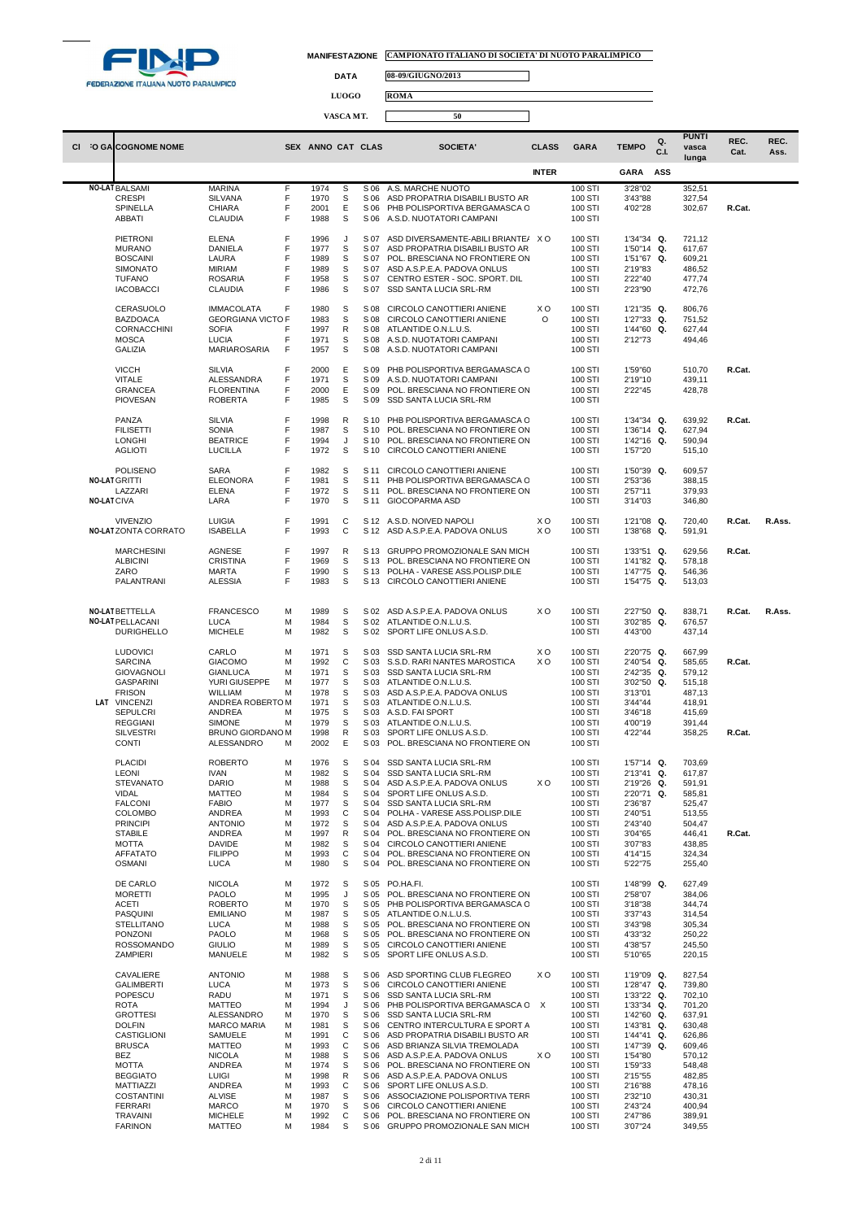

 $\Box$ 

**DATA 08-09/GIUGNO/2013**

**LUOGO ROMA**

|                    |                                        |                                               |        |                   | VASCA MT. |              | 50                                                                |              |                    |                          |             |                       |        |        |
|--------------------|----------------------------------------|-----------------------------------------------|--------|-------------------|-----------|--------------|-------------------------------------------------------------------|--------------|--------------------|--------------------------|-------------|-----------------------|--------|--------|
|                    | CI :O GA COGNOME NOME                  |                                               |        | SEX ANNO CAT CLAS |           |              | SOCIETA'                                                          | <b>CLASS</b> | <b>GARA</b>        | <b>TEMPO</b>             | Q.          | <b>PUNTI</b><br>vasca | REC.   | REC.   |
|                    |                                        |                                               |        |                   |           |              |                                                                   | <b>INTER</b> |                    | <b>GARA</b>              | C.I.<br>ASS | lunga                 | Cat.   | Ass.   |
|                    |                                        | <b>MARINA</b>                                 | F      |                   |           |              |                                                                   |              |                    |                          |             |                       |        |        |
|                    | <b>NO-LAT BALSAMI</b><br><b>CRESPI</b> | <b>SILVANA</b>                                | F      | 1974<br>1970      | S<br>S    | S 06<br>S 06 | A.S. MARCHE NUOTO<br>ASD PROPATRIA DISABILI BUSTO AR              |              | 100 STI<br>100 STI | 3'28"02<br>3'43"88       |             | 352,51<br>327,54      |        |        |
|                    | SPINELLA                               | <b>CHIARA</b>                                 | F      | 2001              | E         | S 06         | PHB POLISPORTIVA BERGAMASCA C                                     |              | 100 STI            | 4'02"28                  |             | 302,67                | R.Cat. |        |
|                    | ABBATI                                 | <b>CLAUDIA</b>                                | F      | 1988              | S         |              | S 06 A.S.D. NUOTATORI CAMPANI                                     |              | 100 STI            |                          |             |                       |        |        |
|                    | PIETRONI                               | <b>ELENA</b>                                  | F      | 1996              | J         | S 07         | ASD DIVERSAMENTE-ABILI BRIANTE/                                   | xo           | 100 STI            | 1'34"34 Q.               |             | 721,12                |        |        |
|                    | <b>MURANO</b><br><b>BOSCAINI</b>       | DANIELA<br>LAURA                              | F<br>F | 1977<br>1989      | S<br>s    | S 07<br>S 07 | ASD PROPATRIA DISABILI BUSTO AR<br>POL. BRESCIANA NO FRONTIERE ON |              | 100 STI<br>100 STI | 1'50"14 Q.<br>1'51"67 Q. |             | 617,67<br>609,21      |        |        |
|                    | <b>SIMONATO</b>                        | <b>MIRIAM</b>                                 | F      | 1989              | S         | S 07         | ASD A.S.P.E.A. PADOVA ONLUS                                       |              | 100 STI            | 2'19"83                  |             | 486,52                |        |        |
|                    | <b>TUFANO</b><br><b>IACOBACCI</b>      | <b>ROSARIA</b>                                | F<br>F | 1958              | s<br>s    | S 07<br>S 07 | CENTRO ESTER - SOC. SPORT. DIL<br>SSD SANTA LUCIA SRL-RM          |              | 100 STI            | 2'22"40<br>2'23"90       |             | 477,74                |        |        |
|                    |                                        | <b>CLAUDIA</b>                                |        | 1986              |           |              |                                                                   |              | 100 STI            |                          |             | 472,76                |        |        |
|                    | CERASUOLO                              | <b>IMMACOLATA</b><br><b>GEORGIANA VICTO F</b> | F      | 1980              | s<br>S    | S 08<br>S 08 | CIRCOLO CANOTTIERI ANIENE                                         | ХO           | 100 STI            | 1'21"35 Q.               |             | 806,76                |        |        |
|                    | <b>BAZDOACA</b><br>CORNACCHINI         | <b>SOFIA</b>                                  | F      | 1983<br>1997      | R         | S 08         | CIRCOLO CANOTTIERI ANIENE<br>ATLANTIDE O.N.L.U.S.                 | O            | 100 STI<br>100 STI | 1'27"33 Q.<br>1'44"60 Q. |             | 751,52<br>627,44      |        |        |
|                    | <b>MOSCA</b>                           | LUCIA                                         | F      | 1971              | S         | S 08         | A.S.D. NUOTATORI CAMPANI                                          |              | 100 STI            | 2'12"73                  |             | 494,46                |        |        |
|                    | <b>GALIZIA</b>                         | MARIAROSARIA                                  | F      | 1957              | S         | S 08         | A.S.D. NUOTATORI CAMPANI                                          |              | 100 STI            |                          |             |                       |        |        |
|                    | <b>VICCH</b>                           | <b>SILVIA</b>                                 | F      | 2000              | Ε         | S 09         | PHB POLISPORTIVA BERGAMASCA C                                     |              | 100 STI            | 1'59"60                  |             | 510,70                | R.Cat. |        |
|                    | <b>VITALE</b><br><b>GRANCEA</b>        | ALESSANDRA<br><b>FLORENTINA</b>               | F<br>F | 1971<br>2000      | S<br>Ε    | S 09<br>S 09 | A.S.D. NUOTATORI CAMPANI<br>POL. BRESCIANA NO FRONTIERE ON        |              | 100 STI<br>100 STI | 2'19"10<br>2'22"45       |             | 439,11<br>428,78      |        |        |
|                    | <b>PIOVESAN</b>                        | <b>ROBERTA</b>                                | F      | 1985              | S         | S 09         | SSD SANTA LUCIA SRL-RM                                            |              | 100 STI            |                          |             |                       |        |        |
|                    | PANZA                                  | <b>SILVIA</b>                                 | F      | 1998              | R         | S 10         | PHB POLISPORTIVA BERGAMASCA C                                     |              | 100 STI            | 1'34"34 Q.               |             | 639,92                | R.Cat. |        |
|                    | <b>FILISETTI</b>                       | SONIA                                         | F      | 1987              | S         | S 10         | POL. BRESCIANA NO FRONTIERE ON                                    |              | 100 STI            | 1'36"14 Q.               |             | 627,94                |        |        |
|                    | <b>LONGHI</b><br><b>AGLIOTI</b>        | <b>BEATRICE</b><br><b>LUCILLA</b>             | F<br>F | 1994<br>1972      | J<br>s    | S 10<br>S 10 | POL. BRESCIANA NO FRONTIERE ON<br>CIRCOLO CANOTTIERI ANIENE       |              | 100 STI<br>100 STI | 1'42"16 Q.<br>1'57"20    |             | 590,94<br>515,10      |        |        |
|                    |                                        |                                               |        |                   |           |              |                                                                   |              |                    |                          |             |                       |        |        |
|                    | POLISENO<br><b>NO-LAT GRITTI</b>       | <b>SARA</b>                                   | F      | 1982<br>1981      | s         | S 11<br>S 11 | CIRCOLO CANOTTIERI ANIENE<br>PHB POLISPORTIVA BERGAMASCA C        |              | 100 STI            | 1'50"39 Q.               |             | 609,57                |        |        |
|                    | LAZZARI                                | <b>ELEONORA</b><br><b>ELENA</b>               | F<br>F | 1972              | S<br>S    | S 11         | POL. BRESCIANA NO FRONTIERE ON                                    |              | 100 STI<br>100 STI | 2'53"36<br>2'57"11       |             | 388,15<br>379,93      |        |        |
| <b>NO-LAT CIVA</b> |                                        | LARA                                          | F      | 1970              | S         | S 11         | GIOCOPARMA ASD                                                    |              | 100 STI            | 3'14"03                  |             | 346,80                |        |        |
|                    | <b>VIVENZIO</b>                        | <b>LUIGIA</b>                                 | F      | 1991              | C         |              | S 12 A.S.D. NOIVED NAPOLI                                         | xо           | 100 STI            | 1'21"08 Q.               |             | 720,40                | R.Cat. | R.Ass. |
|                    | <b>NO-LATZONTA CORRATO</b>             | <b>ISABELLA</b>                               | F      | 1993              | C         |              | S 12 ASD A.S.P.E.A. PADOVA ONLUS                                  | XO.          | 100 STI            | 1'38"68 Q.               |             | 591,91                |        |        |
|                    | <b>MARCHESINI</b>                      | AGNESE                                        | F      | 1997              | R         | S 13         | GRUPPO PROMOZIONALE SAN MICH                                      |              | 100 STI            | 1'33"51 Q.               |             | 629,56                | R.Cat. |        |
|                    | <b>ALBICINI</b>                        | <b>CRISTINA</b>                               | F      | 1969              | s         | S 13         | POL. BRESCIANA NO FRONTIERE ON                                    |              | 100 STI            | 1'41"82 Q.               |             | 578,18                |        |        |
|                    | ZARO<br>PALANTRANI                     | <b>MARTA</b><br><b>ALESSIA</b>                | F<br>F | 1990<br>1983      | s<br>S    | S 13<br>S 13 | POLHA - VARESE ASS.POLISP.DILE<br>CIRCOLO CANOTTIERI ANIENE       |              | 100 STI<br>100 STI | 1'47"75 Q.<br>1'54"75 Q. |             | 546,36<br>513,03      |        |        |
|                    |                                        |                                               |        |                   |           |              |                                                                   |              |                    |                          |             |                       |        |        |
|                    | <b>NO-LAT BETTELLA</b>                 | <b>FRANCESCO</b>                              | M      | 1989              | S         |              | S 02 ASD A.S.P.E.A. PADOVA ONLUS                                  | ХO           | 100 STI            | 2'27"50 Q.               |             | 838,71                | R.Cat. | R.Ass. |
|                    | <b>NO-LAT PELLACANI</b>                | <b>LUCA</b>                                   | M      | 1984              | S         | S 02         | ATLANTIDE O.N.L.U.S.                                              |              | 100 STI            | 3'02"85 Q.               |             | 676,57                |        |        |
|                    | <b>DURIGHELLO</b>                      | <b>MICHELE</b>                                | M      | 1982              | S         | S 02         | SPORT LIFE ONLUS A.S.D.                                           |              | 100 STI            | 4'43"00                  |             | 437,14                |        |        |
|                    | <b>LUDOVICI</b>                        | CARLO                                         | M      | 1971              | s         |              | S 03 SSD SANTA LUCIA SRL-RM                                       | ХO           | 100 STI            | 2'20"75 Q.               |             | 667,99                |        |        |
|                    | <b>SARCINA</b>                         | <b>GIACOMO</b><br><b>GIANLUCA</b>             | M<br>M | 1992<br>1971      | C<br>S    | S 03<br>S 03 | S.S.D. RARI NANTES MAROSTICA<br>SSD SANTA LUCIA SRL-RM            | X O          | 100 STI            | 2'40"54 Q.<br>2'42"35 Q. |             | 585,65<br>579,12      | R.Cat. |        |
|                    | <b>GIOVAGNOLI</b><br><b>GASPARINI</b>  | YURI GIUSEPPE                                 | M      | 1977              | S         | S 03         | ATLANTIDE O.N.L.U.S.                                              |              | 100 STI<br>100 STI | 3'02"50                  | Q.          | 515,18                |        |        |
|                    | <b>FRISON</b>                          | WILLIAM                                       | M      | 1978              | s         | S 03         | ASD A.S.P.E.A. PADOVA ONLUS                                       |              | 100 STI            | 3'13"01                  |             | 487,13                |        |        |
|                    | LAT VINCENZI<br><b>SEPULCRI</b>        | ANDREA ROBERTOM<br>ANDREA                     | M      | 1971<br>1975      | s<br>s    | S 03<br>S 03 | ATLANTIDE O.N.L.U.S.<br>A.S.D. FAI SPORT                          |              | 100 STI<br>100 STI | 3'44"44<br>3'46"18       |             | 418,91<br>415,69      |        |        |
|                    | <b>REGGIANI</b>                        | <b>SIMONE</b>                                 | M      | 1979              | S         | S 03         | ATLANTIDE O.N.L.U.S.                                              |              | 100 STI            | 4'00"19                  |             | 391,44                |        |        |
|                    | <b>SILVESTRI</b><br><b>CONTI</b>       | <b>BRUNO GIORDANO M</b><br>ALESSANDRO         | M      | 1998<br>2002      | R<br>Ε    | S 03<br>S 03 | SPORT LIFE ONLUS A.S.D.<br>POL. BRESCIANA NO FRONTIERE ON         |              | 100 STI<br>100 STI | 4'22"44                  |             | 358,25                | R.Cat. |        |
|                    |                                        |                                               |        |                   |           |              |                                                                   |              |                    |                          |             |                       |        |        |
|                    | <b>PLACIDI</b><br>LEONI                | <b>ROBERTO</b><br><b>IVAN</b>                 | M<br>M | 1976<br>1982      | s<br>S    | S 04<br>S 04 | SSD SANTA LUCIA SRL-RM<br>SSD SANTA LUCIA SRL-RM                  |              | 100 STI<br>100 STI | 1'57"14 Q.<br>2'13"41 Q. |             | 703,69<br>617,87      |        |        |
|                    | <b>STEVANATO</b>                       | <b>DARIO</b>                                  | M      | 1988              | S         | S 04         | ASD A.S.P.E.A. PADOVA ONLUS                                       | ХO           | 100 STI            | 2'19"26 Q.               |             | 591,91                |        |        |
|                    | <b>VIDAL</b><br><b>FALCONI</b>         | <b>MATTEO</b><br><b>FABIO</b>                 | M<br>M | 1984<br>1977      | S<br>S    | S 04<br>S 04 | SPORT LIFE ONLUS A.S.D.<br><b>SSD SANTA LUCIA SRL-RM</b>          |              | 100 STI<br>100 STI | 2'20"71 Q.<br>2'36"87    |             | 585,81<br>525,47      |        |        |
|                    | <b>COLOMBO</b>                         | ANDREA                                        | M      | 1993              | C         | S 04         | POLHA - VARESE ASS.POLISP.DILE                                    |              | 100 STI            | 2'40"51                  |             | 513,55                |        |        |
|                    | <b>PRINCIPI</b><br><b>STABILE</b>      | <b>ANTONIO</b><br>ANDREA                      | M<br>M | 1972<br>1997      | S<br>R    | S 04<br>S 04 | ASD A.S.P.E.A. PADOVA ONLUS<br>POL. BRESCIANA NO FRONTIERE ON     |              | 100 STI<br>100 STI | 2'43"40<br>3'04"65       |             | 504,47<br>446,41      | R.Cat. |        |
|                    | <b>MOTTA</b>                           | <b>DAVIDE</b>                                 | M      | 1982              | S         | S 04         | CIRCOLO CANOTTIERI ANIENE                                         |              | 100 STI            | 3'07"83                  |             | 438,85                |        |        |
|                    | <b>AFFATATO</b><br><b>OSMANI</b>       | <b>FILIPPO</b><br>LUCA                        | M<br>M | 1993<br>1980      | С<br>S    | S 04<br>S 04 | POL. BRESCIANA NO FRONTIERE ON<br>POL. BRESCIANA NO FRONTIERE ON  |              | 100 STI<br>100 STI | 4'14"15<br>5'22"75       |             | 324,34<br>255,40      |        |        |
|                    |                                        |                                               |        |                   |           |              |                                                                   |              |                    |                          |             |                       |        |        |
|                    | DE CARLO                               | <b>NICOLA</b>                                 | M      | 1972              | S         | S 05         | S 05 PO.HA.FI.                                                    |              | 100 STI            | 1'48"99 Q.               |             | 627,49                |        |        |
|                    | <b>MORETTI</b><br>ACETI                | PAOLO<br><b>ROBERTO</b>                       | M<br>M | 1995<br>1970      | J<br>S    | S 05         | POL. BRESCIANA NO FRONTIERE ON<br>PHB POLISPORTIVA BERGAMASCA C   |              | 100 STI<br>100 STI | 2'58"07<br>3'18"38       |             | 384,06<br>344,74      |        |        |
|                    | PASQUINI                               | <b>EMILIANO</b>                               | M      | 1987              | S         | S 05         | ATLANTIDE O.N.L.U.S.                                              |              | 100 STI            | 3'37"43                  |             | 314,54                |        |        |
|                    | <b>STELLITANO</b><br>PONZONI           | LUCA<br>PAOLO                                 | M<br>M | 1988<br>1968      | S<br>S    | S 05<br>S 05 | POL. BRESCIANA NO FRONTIERE ON<br>POL. BRESCIANA NO FRONTIERE ON  |              | 100 STI<br>100 STI | 3'43"98<br>4'33"32       |             | 305,34<br>250,22      |        |        |
|                    | <b>ROSSOMANDO</b>                      | <b>GIULIO</b>                                 | M      | 1989              | S         | S 05         | CIRCOLO CANOTTIERI ANIENE                                         |              | 100 STI            | 4'38"57                  |             | 245,50                |        |        |
|                    | ZAMPIERI                               | MANUELE                                       | M      | 1982              | s         | S 05         | SPORT LIFE ONLUS A.S.D.                                           |              | 100 STI            | 5'10"65                  |             | 220,15                |        |        |
|                    | CAVALIERE                              | <b>ANTONIO</b>                                | M      | 1988              | s         |              | S 06 ASD SPORTING CLUB FLEGREO                                    | ХO           | 100 STI            | 1'19"09 Q.               |             | 827,54                |        |        |
|                    | <b>GALIMBERTI</b><br>POPESCU           | <b>LUCA</b><br>RADU                           | M<br>M | 1973<br>1971      | S<br>s    | S 06<br>S 06 | CIRCOLO CANOTTIERI ANIENE<br>SSD SANTA LUCIA SRL-RM               |              | 100 STI<br>100 STI | 1'28"47 Q.<br>1'33"22 Q. |             | 739,80<br>702,10      |        |        |
|                    | <b>ROTA</b>                            | <b>MATTEO</b>                                 | M      | 1994              | J         | S 06         | PHB POLISPORTIVA BERGAMASCA C                                     | X            | 100 STI            | 1'33"34 Q.               |             | 701,20                |        |        |
|                    | <b>GROTTESI</b><br><b>DOLFIN</b>       | ALESSANDRO<br><b>MARCO MARIA</b>              | M<br>M | 1970<br>1981      | s<br>s    | S 06<br>S 06 | SSD SANTA LUCIA SRL-RM<br>CENTRO INTERCULTURA E SPORT A           |              | 100 STI<br>100 STI | 1'42"60 Q.<br>1'43"81 Q. |             | 637,91<br>630,48      |        |        |
|                    | CASTIGLIONI                            | SAMUELE                                       | M      | 1991              | C         | S 06         | ASD PROPATRIA DISABILI BUSTO AR                                   |              | 100 STI            | 1'44"41 Q.               |             | 626,86                |        |        |
|                    | <b>BRUSCA</b><br>BEZ                   | <b>MATTEO</b><br><b>NICOLA</b>                | M<br>M | 1993<br>1988      | C<br>s    | S 06<br>S 06 | ASD BRIANZA SILVIA TREMOLADA<br>ASD A.S.P.E.A. PADOVA ONLUS       | xо           | 100 STI<br>100 STI | 1'47"39<br>1'54"80       | Q.          | 609,46<br>570,12      |        |        |
|                    | <b>MOTTA</b>                           | ANDREA                                        | M      | 1974              | s         | S 06         | POL. BRESCIANA NO FRONTIERE ON                                    |              | 100 STI            | 1'59"33                  |             | 548,48                |        |        |
|                    | <b>BEGGIATO</b><br>MATTIAZZI           | <b>LUIGI</b><br>ANDREA                        | M<br>M | 1998<br>1993      | R<br>C    | S 06<br>S 06 | ASD A.S.P.E.A. PADOVA ONLUS<br>SPORT LIFE ONLUS A.S.D.            |              | 100 STI<br>100 STI | 2'15"55<br>2'16"88       |             | 482,85<br>478,16      |        |        |
|                    | <b>COSTANTINI</b>                      | <b>ALVISE</b>                                 | M      | 1987              | s         | S 06         | ASSOCIAZIONE POLISPORTIVA TERF                                    |              | 100 STI            | 2'32"10                  |             | 430,31                |        |        |
|                    | <b>FERRARI</b><br><b>TRAVAINI</b>      | <b>MARCO</b><br><b>MICHELE</b>                | M<br>M | 1970<br>1992      | s<br>C    | S 06<br>S 06 | CIRCOLO CANOTTIERI ANIENE<br>POL. BRESCIANA NO FRONTIERE ON       |              | 100 STI<br>100 STI | 2'43"24<br>2'47"86       |             | 400,94<br>389,91      |        |        |
|                    | <b>FARINON</b>                         | <b>MATTEO</b>                                 | M      | 1984              | s         |              | S 06 GRUPPO PROMOZIONALE SAN MICH                                 |              | 100 STI            | 3'07"24                  |             | 349,55                |        |        |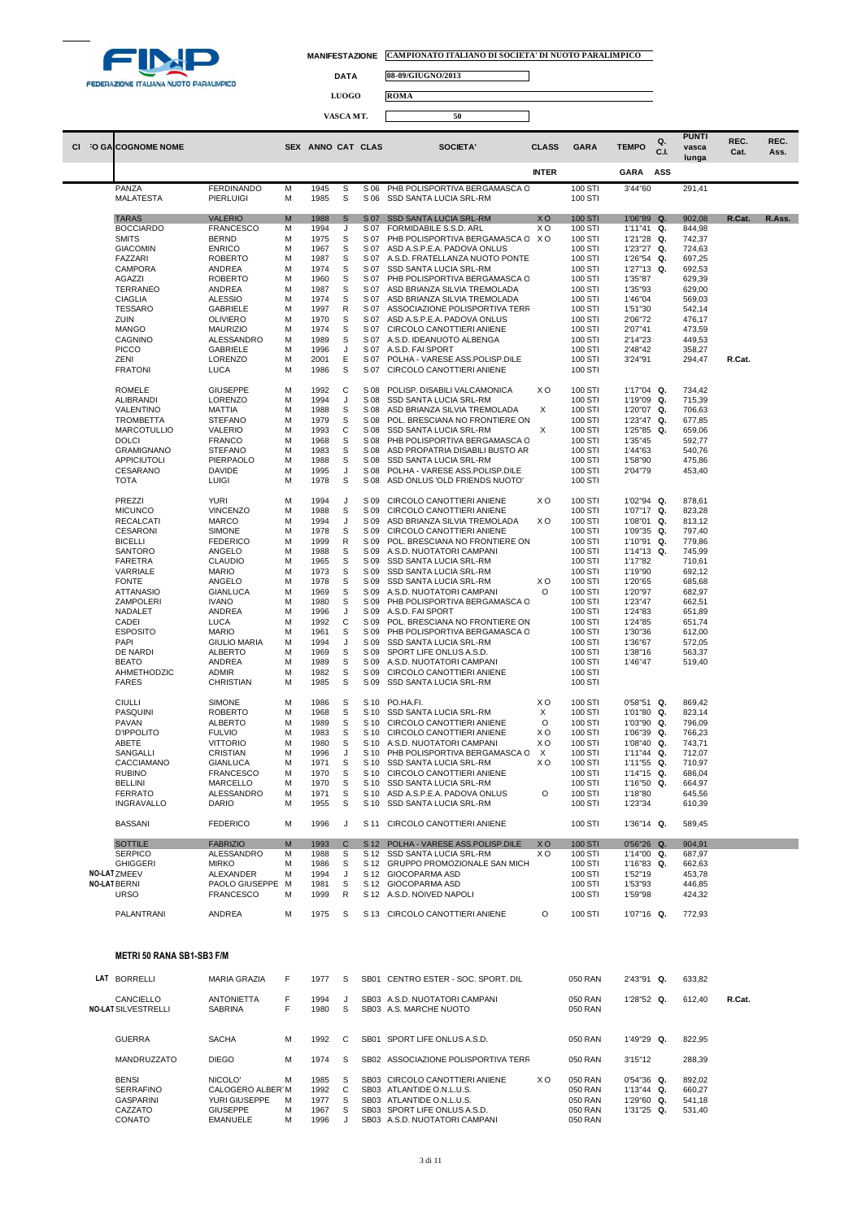

┓

**DATA 08-09/GIUGNO/2013**

|    |                          |                     |   |                   | <b>LUOGO</b> |      | <b>ROMA</b>                       |                |                |              |            |                                |              |              |
|----|--------------------------|---------------------|---|-------------------|--------------|------|-----------------------------------|----------------|----------------|--------------|------------|--------------------------------|--------------|--------------|
|    |                          |                     |   |                   |              |      |                                   |                |                |              |            |                                |              |              |
|    |                          |                     |   |                   | VASCA MT.    |      | 50                                |                |                |              |            |                                |              |              |
| СI | <b>O GALCOGNOME NOME</b> |                     |   | SEX ANNO CAT CLAS |              |      | <b>SOCIETA'</b>                   | <b>CLASS</b>   | <b>GARA</b>    | <b>TEMPO</b> | Q.<br>C.I. | <b>PUNTI</b><br>vasca<br>lunga | REC.<br>Cat. | REC.<br>Ass. |
|    |                          |                     |   |                   |              |      |                                   | <b>INTER</b>   |                | <b>GARA</b>  | ASS        |                                |              |              |
|    | PANZA                    | <b>FERDINANDO</b>   | M | 1945              | S            | S 06 | PHB POLISPORTIVA BERGAMASCA C     |                | 100 STI        | 3'44"60      |            | 291,41                         |              |              |
|    | <b>MALATESTA</b>         | <b>PIERLUIGI</b>    | М | 1985              | S            | S 06 | SSD SANTA LUCIA SRL-RM            |                | 100 STI        |              |            |                                |              |              |
|    | <b>TARAS</b>             | <b>VALERIO</b>      | M | 1988              | $\mathsf{s}$ | S 07 | <b>SSD SANTA LUCIA SRL-RM</b>     | <b>XO</b>      | <b>100 STI</b> | 1'06"89 Q.   |            | 902,08                         | R.Cat.       | R.Ass.       |
|    | <b>BOCCIARDO</b>         | <b>FRANCESCO</b>    | M | 1994              | J            | S 07 | FORMIDABILE S.S.D. ARL            | X <sub>O</sub> | 100 STI        | 1'11"41 Q.   |            | 844,98                         |              |              |
|    | <b>SMITS</b>             | <b>BERND</b>        | М | 1975              | S            | S 07 | PHB POLISPORTIVA BERGAMASCA C X O |                | 100 STI        | 1'21"28 Q.   |            | 742,37                         |              |              |
|    | <b>GIACOMIN</b>          | <b>ENRICO</b>       | M | 1967              | S            | S 07 | ASD A.S.P.E.A. PADOVA ONLUS       |                | 100 STI        | 1'23"27 Q.   |            | 724,63                         |              |              |
|    | <b>FAZZARI</b>           | <b>ROBERTO</b>      | M | 1987              | S            | S 07 | A.S.D. FRATELLANZA NUOTO PONTE    |                | 100 STI        | 1'26"54 Q.   |            | 697,25                         |              |              |
|    | CAMPORA                  | ANDREA              | M | 1974              | S            | S 07 | SSD SANTA LUCIA SRL-RM            |                | 100 STI        | 1'27"13 Q.   |            | 692,53                         |              |              |
|    | <b>AGAZZI</b>            | <b>ROBERTO</b>      | M | 1960              | S            | S 07 | PHB POLISPORTIVA BERGAMASCA C     |                | 100 STI        | 1'35"87      |            | 629,39                         |              |              |
|    | TERRANEO                 | ANDREA              | M | 1987              | S            | S 07 | ASD BRIANZA SILVIA TREMOLADA      |                | 100 STI        | 1'35"93      |            | 629,00                         |              |              |
|    | <b>CIAGLIA</b>           | <b>ALESSIO</b>      | M | 1974              | S            | S 07 | ASD BRIANZA SILVIA TREMOLADA      |                | 100 STI        | 1'46"04      |            | 569,03                         |              |              |
|    | <b>TESSARO</b>           | <b>GABRIELE</b>     | M | 1997              | R            | S 07 | ASSOCIAZIONE POLISPORTIVA TERR    |                | 100 STI        | 1'51"30      |            | 542,14                         |              |              |
|    | ZUIN                     | <b>OLIVIERO</b>     | M | 1970              | S            | S 07 | ASD A.S.P.E.A. PADOVA ONLUS       |                | 100 STI        | 2'06"72      |            | 476,17                         |              |              |
|    | <b>MANGO</b>             | <b>MAURIZIO</b>     | M | 1974              | S            | S 07 | CIRCOLO CANOTTIERI ANIENE         |                | 100 STI        | 2'07"41      |            | 473,59                         |              |              |
|    | CAGNINO                  | ALESSANDRO          | M | 1989              | s            | S 07 | A.S.D. IDEANUOTO ALBENGA          |                | 100 STI        | 2'14"23      |            | 449,53                         |              |              |
|    | <b>PICCO</b>             | <b>GABRIELE</b>     | M | 1996              | J            | S 07 | A.S.D. FAI SPORT                  |                | 100 STI        | 2'48"42      |            | 358,27                         |              |              |
|    | <b>ZENI</b>              | <b>LORENZO</b>      | M | 2001              | E            | S 07 | POLHA - VARESE ASS.POLISP.DILE    |                | 100 STI        | 3'24"91      |            | 294,47                         | R.Cat.       |              |
|    | <b>FRATONI</b>           | <b>LUCA</b>         | M | 1986              | S            | S 07 | CIRCOLO CANOTTIERI ANIENE         |                | 100 STI        |              |            |                                |              |              |
|    |                          |                     |   |                   |              |      |                                   |                |                |              |            |                                |              |              |
|    | <b>ROMELE</b>            | <b>GIUSEPPE</b>     | M | 1992              | C            | S 08 | POLISP. DISABILI VALCAMONICA      | XO             | 100 STI        | 1'17"04 Q.   |            | 734,42                         |              |              |
|    | <b>ALIBRANDI</b>         | LORENZO             | M | 1994              | J            | S 08 | SSD SANTA LUCIA SRL-RM            |                | 100 STI        | 1'19"09 Q.   |            | 715,39                         |              |              |
|    | VALENTINO                | <b>MATTIA</b>       | M | 1988              | S            | S 08 | ASD BRIANZA SILVIA TREMOLADA      | $\times$       | 100 STI        | 1'20"07 Q.   |            | 706,63                         |              |              |
|    | <b>TROMBETTA</b>         | <b>STEFANO</b>      | M | 1979              | S            | S 08 | POL. BRESCIANA NO FRONTIERE ON    |                | 100 STI        | 1'23"47 Q.   |            | 677,85                         |              |              |
|    |                          |                     | M | 1993              | $\mathsf{C}$ | S 08 |                                   | X              |                | 1'25"85 Q.   |            |                                |              |              |
|    | <b>MARCOTULLIO</b>       | <b>VALERIO</b>      |   |                   | S            |      | SSD SANTA LUCIA SRL-RM            |                | 100 STI        |              |            | 659,06                         |              |              |
|    | <b>DOLCI</b>             | <b>FRANCO</b>       | M | 1968              |              | S 08 | PHB POLISPORTIVA BERGAMASCA C     |                | 100 STI        | 1'35"45      |            | 592,77                         |              |              |
|    | <b>GRAMIGNANO</b>        | <b>STEFANO</b>      | M | 1983              | S            | S 08 | ASD PROPATRIA DISABILI BUSTO AR   |                | 100 STI        | 1'44"63      |            | 540,76                         |              |              |
|    | APPICIUTOLI              | PIERPAOLO           | M | 1988              | S            | S 08 | SSD SANTA LUCIA SRL-RM            |                | 100 STI        | 1'58"90      |            | 475,86                         |              |              |
|    | CESARANO                 | <b>DAVIDE</b>       | M | 1995              | J            | S 08 | POLHA - VARESE ASS.POLISP.DILE    |                | 100 STI        | 2'04"79      |            | 453,40                         |              |              |
|    | <b>TOTA</b>              | <b>LUIGI</b>        | M | 1978              | S            | S 08 | ASD ONLUS 'OLD FRIENDS NUOTO'     |                | 100 STI        |              |            |                                |              |              |
|    | PREZZI                   | <b>YURI</b>         | M | 1994              | J            | S 09 | CIRCOLO CANOTTIERI ANIENE         | X <sub>O</sub> | 100 STI        | 1'02"94 Q.   |            | 878,61                         |              |              |
|    | <b>MICUNCO</b>           | <b>VINCENZO</b>     | M | 1988              | S            | S 09 | CIRCOLO CANOTTIERI ANIENE         |                | 100 STI        | 1'07"17 Q.   |            | 823,28                         |              |              |
|    | <b>RECALCATI</b>         | <b>MARCO</b>        | M | 1994              | J            | S 09 | ASD BRIANZA SILVIA TREMOLADA      | X O            | 100 STI        | 1'08"01 Q.   |            | 813,12                         |              |              |
|    | <b>CESARONI</b>          | <b>SIMONE</b>       | M | 1978              | S            | S 09 | CIRCOLO CANOTTIERI ANIENE         |                | 100 STI        | 1'09"35 Q.   |            | 797,40                         |              |              |
|    | <b>BICELLI</b>           | <b>FEDERICO</b>     | M | 1999              | $\mathsf{R}$ | S 09 | POL. BRESCIANA NO FRONTIERE ON    |                | 100 STI        | 1'10"91 Q.   |            | 779,86                         |              |              |
|    | SANTORO                  | ANGELO              | M | 1988              | S            | S 09 | A.S.D. NUOTATORI CAMPANI          |                | 100 STI        | 1'14"13 Q.   |            | 745,99                         |              |              |
|    | FARETRA                  | <b>CLAUDIO</b>      | M | 1965              | S            | S 09 | SSD SANTA LUCIA SRL-RM            |                | 100 STI        | 1'17"82      |            | 710,61                         |              |              |
|    | VARRIALE                 | <b>MARIO</b>        | M | 1973              | S            | S 09 | SSD SANTA LUCIA SRL-RM            |                | 100 STI        | 1'19"90      |            | 692,12                         |              |              |
|    | <b>FONTE</b>             | ANGELO              | M | 1978              | S            | S 09 | SSD SANTA LUCIA SRL-RM            | X <sub>O</sub> | 100 STI        | 1'20"65      |            | 685,68                         |              |              |
|    | <b>ATTANASIO</b>         | <b>GIANLUCA</b>     | M | 1969              | S            | S 09 | A.S.D. NUOTATORI CAMPANI          | O              | 100 STI        | 1'20"97      |            | 682,97                         |              |              |
|    | ZAMPOLERI                | <b>IVANO</b>        | M | 1980              | S            | S 09 | PHB POLISPORTIVA BERGAMASCA C     |                | 100 STI        | 1'23"47      |            | 662,51                         |              |              |
|    | NADALET                  | <b>ANDREA</b>       | M | 1996              | J            | S 09 | A.S.D. FAI SPORT                  |                | 100 STI        | 1'24"83      |            | 651,89                         |              |              |
|    | CADEI                    | <b>LUCA</b>         | M | 1992              | C            | S 09 | POL. BRESCIANA NO FRONTIERE ON    |                | 100 STI        | 1'24"85      |            | 651,74                         |              |              |
|    | <b>ESPOSITO</b>          | <b>MARIO</b>        | M | 1961              | S            | S 09 | PHB POLISPORTIVA BERGAMASCA C     |                | 100 STI        | 1'30"36      |            | 612,00                         |              |              |
|    | PAPI                     | <b>GIULIO MARIA</b> | M | 1994              | J            | S 09 | SSD SANTA LUCIA SRL-RM            |                | 100 STI        | 1'36"67      |            |                                |              |              |
|    | DE NARDI                 | <b>ALBERTO</b>      | M | 1969              | S            | S 09 | SPORT LIFE ONLUS A.S.D.           |                | 100 STI        | 1'38"16      |            | 572,05<br>563,37               |              |              |
|    | <b>BEATO</b>             | ANDREA              | M | 1989              | s            | S 09 | A.S.D. NUOTATORI CAMPANI          |                | 100 STI        | 1'46"47      |            | 519,40                         |              |              |
|    | AHMETHODZIC              | <b>ADMIR</b>        | M | 1982              | S            | S 09 | CIRCOLO CANOTTIERI ANIENE         |                | 100 STI        |              |            |                                |              |              |
|    | <b>FARES</b>             | <b>CHRISTIAN</b>    | M | 1985              | S            | S 09 | SSD SANTA LUCIA SRL-RM            |                | 100 STI        |              |            |                                |              |              |
|    |                          |                     |   |                   |              |      |                                   |                |                |              |            |                                |              |              |

| <b>CIULLI</b>     | <b>SIMONE</b>    | M | 1986 | S.           | S 10            | PO.HA.FI.                      | X <sub>O</sub> | 100 STI        | $0'58"51$ Q.  | 869.42 |
|-------------------|------------------|---|------|--------------|-----------------|--------------------------------|----------------|----------------|---------------|--------|
| <b>PASQUINI</b>   | <b>ROBERTO</b>   | м | 1968 | S            | S 10            | SSD SANTA LUCIA SRL-RM         | X              | 100 STI        | $1'01''80$ Q. | 823.14 |
| <b>PAVAN</b>      | ALBERTO          | M | 1989 | S            | S 10            | CIRCOLO CANOTTIERI ANIENE      | O              | 100 STI        | 1'03"90 Q.    | 796.09 |
| <b>D'IPPOLITO</b> | <b>FULVIO</b>    | M | 1983 | S            | S 10            | CIRCOLO CANOTTIERI ANIENE      | X O            | 100 STI        | 1'06"39 Q.    | 766.23 |
| ABETE             | <b>VITTORIO</b>  | м | 1980 | S            | S 10            | A.S.D. NUOTATORI CAMPANI       | X O            | 100 STI        | $1'08''40$ Q. | 743.71 |
| SANGALLI          | CRISTIAN         | M | 1996 |              | S 10            | PHB POLISPORTIVA BERGAMASCA C  | X              | 100 STI        | 1'11"44 Q.    | 712.07 |
| CACCIAMANO        | <b>GIANLUCA</b>  | м | 1971 | S            | S 10            | SSD SANTA LUCIA SRL-RM         | X O            | 100 STI        | 1'11"55 Q.    | 710.97 |
| <b>RUBINO</b>     | <b>FRANCESCO</b> | м | 1970 | S            | S 10            | CIRCOLO CANOTTIERI ANIENE      |                | 100 STI        | 1'14"15 Q.    | 686.04 |
| <b>BELLINI</b>    | MARCELLO         | м | 1970 | S            | S 10            | SSD SANTA LUCIA SRL-RM         |                | 100 STI        | 1'16"50 Q.    | 664,97 |
| <b>FERRATO</b>    | ALESSANDRO       | м | 1971 | S            | S 10            | ASD A.S.P.E.A. PADOVA ONLUS    | $\circ$        | 100 STI        | 1'18"80       | 645.56 |
| <b>INGRAVALLO</b> | <b>DARIO</b>     | M | 1955 | S            | S 10            | SSD SANTA LUCIA SRL-RM         |                | 100 STI        | 1'23"34       | 610.39 |
| <b>BASSANI</b>    | <b>FEDERICO</b>  | м | 1996 |              | S 11            | CIRCOLO CANOTTIERI ANIENE      |                | 100 STI        | 1'36"14 Q.    | 589.45 |
| <b>SOTTILE</b>    | <b>FABRIZIO</b>  | M | 1993 | $\mathsf{C}$ | S <sub>12</sub> | POLHA - VARESE ASS POLISP DILE | <b>XO</b>      | <b>100 STI</b> | $0'56''26$ Q. | 904.91 |
| <b>SERPICO</b>    | ALESSANDRO       | м | 1988 | S            | S 12            | SSD SANTA LUCIA SRL-RM         | X O            | 100 STI        | 1'14"00 Q.    | 687,97 |
| <b>GHIGGERI</b>   | <b>MIRKO</b>     | м | 1986 | S            | S 12            | GRUPPO PROMOZIONALE SAN MICH   |                | 100 STI        | 1'16"83 Q.    | 662.63 |
| NO-LATZMEEV       | ALEXANDER        | м | 1994 |              | S 12            | GIOCOPARMA ASD                 |                | 100 STI        | 1'52"19       | 453,78 |
| NO-LAT BERNI      | PAOLO GIUSEPPE M |   | 1981 | S            | S 12            | GIOCOPARMA ASD                 |                | 100 STI        | 1'53"93       | 446,85 |
| URSO              | <b>FRANCESCO</b> | M | 1999 | R            | S 12            | A.S.D. NOIVED NAPOLI           |                | 100 STI        | 1'59"98       | 424,32 |
|                   |                  |   |      |              |                 |                                |                |                |               |        |

PALANTRANI ANDREA M 1975 S S 13 CIRCOLO CANOTTIERI ANIENE O 100 STI 1'07"16 **Q.** 772,93

#### **METRI 50 RANA SB1-SB3 F/M**

| LAT | <b>BORRELLI</b>                                                           | MARIA GRAZIA                                                         | F                | 1977                                 | S                    | <b>SB01</b>                                              | CENTRO ESTER - SOC. SPORT. DIL                                                                                                             |     | 050 RAN                                             | 2'43"91 Q.                                                 | 633.82                               |        |
|-----|---------------------------------------------------------------------------|----------------------------------------------------------------------|------------------|--------------------------------------|----------------------|----------------------------------------------------------|--------------------------------------------------------------------------------------------------------------------------------------------|-----|-----------------------------------------------------|------------------------------------------------------------|--------------------------------------|--------|
|     | CANCIELLO<br><b>NO-LAT SILVESTRELLI</b>                                   | <b>ANTONIETTA</b><br><b>SABRINA</b>                                  | F<br>F           | 1994<br>1980                         | S.                   |                                                          | SB03 A.S.D. NUOTATORI CAMPANI<br>SB03 A.S. MARCHE NUOTO                                                                                    |     | 050 RAN<br>050 RAN                                  | 1'28"52 Q.                                                 | 612.40                               | R.Cat. |
|     | <b>GUERRA</b>                                                             | <b>SACHA</b>                                                         | M                | 1992                                 | C.                   | <b>SB01</b>                                              | SPORT LIFE ONLUS A.S.D.                                                                                                                    |     | 050 RAN                                             | 1'49"29 Q.                                                 | 822.95                               |        |
|     | <b>MANDRUZZATO</b>                                                        | <b>DIEGO</b>                                                         | м                | 1974                                 | S.                   | SB02                                                     | ASSOCIAZIONE POLISPORTIVA TERR                                                                                                             |     | 050 RAN                                             | 3'15"12                                                    | 288.39                               |        |
|     | <b>BENSI</b><br><b>SERRAFINO</b><br><b>GASPARINI</b><br>CAZZATO<br>CONATO | NICOLO'<br>CALOGERO ALBER M<br>YURI GIUSEPPE<br>GIUSEPPE<br>EMANUELE | м<br>м<br>M<br>м | 1985<br>1992<br>1977<br>1967<br>1996 | S.<br>C.<br>S.<br>S. | SB <sub>03</sub><br>SB <sub>03</sub><br>SB <sub>03</sub> | CIRCOLO CANOTTIERI ANIENE<br>SB03 ATLANTIDE O.N.L.U.S.<br>ATLANTIDE O.N.L.U.S.<br>SPORT LIFE ONLUS A.S.D.<br>SB03 A.S.D. NUOTATORI CAMPANI | X O | 050 RAN<br>050 RAN<br>050 RAN<br>050 RAN<br>050 RAN | $0'54''36$ Q.<br>$1'13''44$ Q.<br>1'29"60 Q.<br>1'31"25 Q. | 892.02<br>660.27<br>541.18<br>531.40 |        |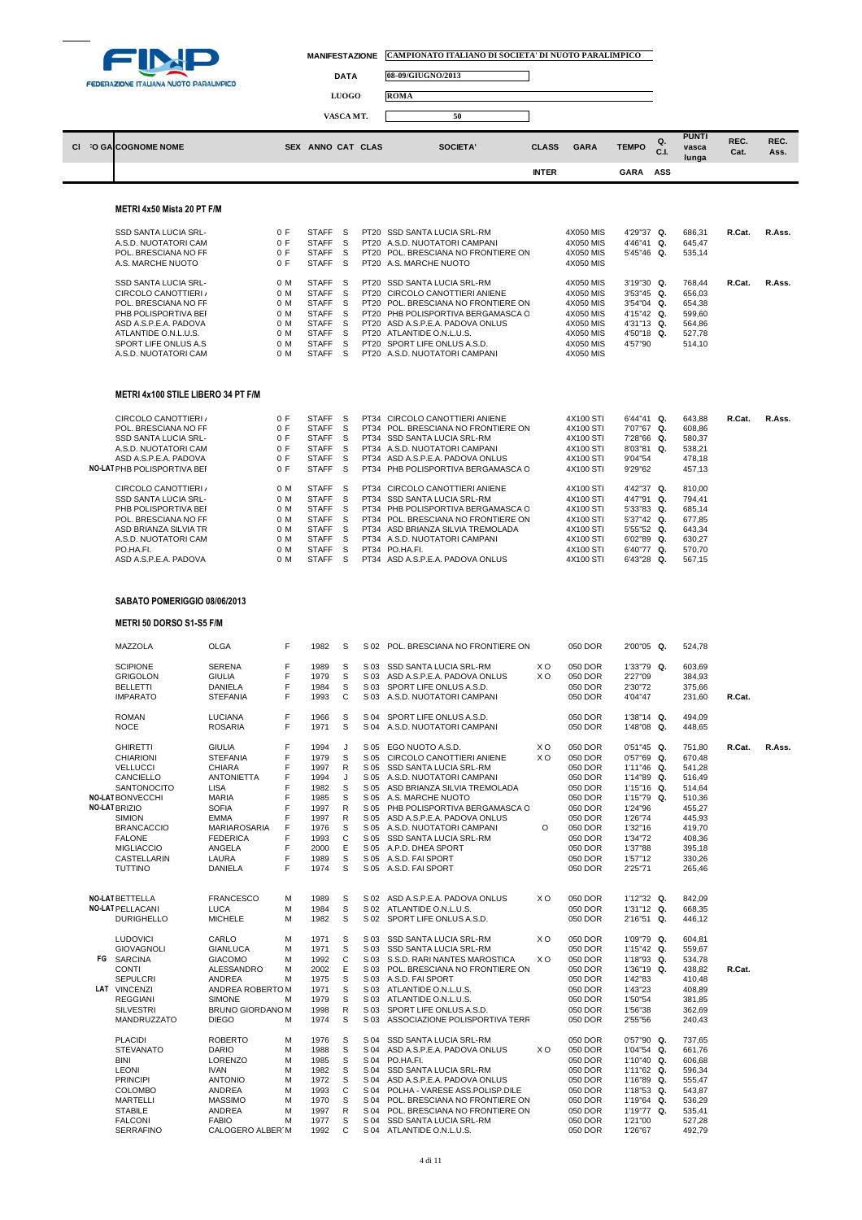

E

| <b>DATA</b>          |  |
|----------------------|--|
| <b>LUOGO</b>         |  |
| <b>*************</b> |  |

**DATA 08-09/GIUGNO/2013**

**ROMA** 

**VASCA MT.** 50  $\Box$ **C.I. PUNTI vasca REC. REC. CI** <sup>2</sup>O GA**COGNOME NOME** SEX ANNO CAT CLAS SOCIETA' CLASS GARA TEMPO **Cat. Ass. lunga INTER GARA ASS**

### **METRI 4x50 Mista 20 PT F/M**

| <b>SSD SANTA LUCIA SRL-</b><br><b>STAFF</b><br>SSD SANTA LUCIA SRL-RM<br>0 F<br>-S<br>PT <sub>20</sub><br>A.S.D. NUOTATORI CAM<br>PT20 A.S.D. NUOTATORI CAMPANI<br><b>STAFF</b><br>0 F<br>S. | 4X050 MIS<br>4X050 MIS<br>4X050 MIS | 4'29"37 Q.<br>4'46"41 Q.<br>5'45"46 Q. | 686.31<br>645.47 | R.Cat. | R.Ass. |
|----------------------------------------------------------------------------------------------------------------------------------------------------------------------------------------------|-------------------------------------|----------------------------------------|------------------|--------|--------|
|                                                                                                                                                                                              |                                     |                                        |                  |        |        |
|                                                                                                                                                                                              |                                     |                                        |                  |        |        |
| POL. BRESCIANA NO FR<br>PT20 POL. BRESCIANA NO FRONTIERE ON<br><b>STAFF</b><br>0 F<br>S                                                                                                      |                                     |                                        | 535.14           |        |        |
| <b>STAFF</b><br>A.S. MARCHE NUOTO<br>PT20 A.S. MARCHE NUOTO<br>0 F<br>S                                                                                                                      | 4X050 MIS                           |                                        |                  |        |        |
| SSD SANTA LUCIA SRL-<br>SSD SANTA LUCIA SRL-RM<br><b>STAFF</b><br>0 M<br>S.<br>PT20                                                                                                          | 4X050 MIS                           | $3'19''30$ Q.                          | 768.44           | R.Cat. | R.Ass. |
|                                                                                                                                                                                              |                                     |                                        |                  |        |        |
| 0 M<br><b>STAFF</b><br>CIRCOLO CANOTTIERI /<br>CIRCOLO CANOTTIERI ANIENE<br>-S<br>PT <sub>20</sub>                                                                                           | 4X050 MIS                           | $3'53''45$ Q.                          | 656.03           |        |        |
| POL. BRESCIANA NO FR<br>0 M<br><b>STAFF</b><br>PT20 POL. BRESCIANA NO FRONTIERE ON<br>S.                                                                                                     | 4X050 MIS                           | $3'54''04$ Q.                          | 654.38           |        |        |
| PHB POLISPORTIVA BEL<br>PT20 PHB POLISPORTIVA BERGAMASCA C<br>0 M<br><b>STAFF</b><br>S.                                                                                                      | 4X050 MIS                           | $4'15''42$ Q.                          | 599.60           |        |        |
| 0 M<br><b>STAFF</b><br>PT20 ASD A.S.P.E.A. PADOVA ONLUS<br>ASD A.S.P.E.A. PADOVA<br>S.                                                                                                       | 4X050 MIS                           | $4'31''13$ Q.                          | 564.86           |        |        |
| 0 M<br><b>STAFF</b><br>ATLANTIDE O.N.L.U.S.<br>S.<br>PT20 ATLANTIDE O.N.L.U.S.                                                                                                               | 4X050 MIS                           | $4'50''18$ Q.                          | 527.78           |        |        |
| 0 M<br>SPORT LIFE ONLUS A.S.<br><b>STAFF</b><br>SPORT LIFE ONLUS A.S.D.<br>S.<br>PT <sub>20</sub>                                                                                            | 4X050 MIS                           | 4'57"90                                | 514.10           |        |        |
| <b>STAFF</b><br>A.S.D. NUOTATORI CAM<br>0 M<br>PT20 A.S.D. NUOTATORI CAMPANI<br>S.                                                                                                           | 4X050 MIS                           |                                        |                  |        |        |

## **METRI 4x100 STILE LIBERO 34 PT F/M**

| CIRCOLO CANOTTIERI /        | 0 F | <b>STAFF</b> | S  | PT34 CIRCOLO CANOTTIERI ANIENE      | 4X100 STI | $6'44''41$ Q. | 643.88 | R.Cat. | R.Ass. |
|-----------------------------|-----|--------------|----|-------------------------------------|-----------|---------------|--------|--------|--------|
| POL. BRESCIANA NO FR        | 0 F | <b>STAFF</b> | S. | PT34 POL. BRESCIANA NO FRONTIERE ON | 4X100 STI | 7'07"67 Q.    | 608.86 |        |        |
| <b>SSD SANTA LUCIA SRL-</b> | 0 F | <b>STAFF</b> | S  | PT34 SSD SANTA LUCIA SRL-RM         | 4X100 STI | 7'28"66 Q.    | 580.37 |        |        |
| A.S.D. NUOTATORI CAM        | 0 F | <b>STAFF</b> | S. | PT34 A.S.D. NUOTATORI CAMPANI       | 4X100 STI | $8'03''81$ Q. | 538.21 |        |        |
| ASD A.S.P.E.A. PADOVA       | 0 F | <b>STAFF</b> | S  | PT34 ASD A.S.P.E.A. PADOVA ONLUS    | 4X100 STI | 9'04"54       | 478.18 |        |        |
| NO-LAT PHB POLISPORTIVA BEF | 0 F | <b>STAFF</b> | S  | PT34 PHB POLISPORTIVA BERGAMASCA O  | 4X100 STI | 9'29"62       | 457.13 |        |        |
| CIRCOLO CANOTTIERI /        | 0 M | <b>STAFF</b> | S. | PT34 CIRCOLO CANOTTIERI ANIENE      | 4X100 STI | 4'42"37 Q.    | 810.00 |        |        |
| SSD SANTA LUCIA SRL-        | 0 M | <b>STAFF</b> | S. | PT34 SSD SANTA LUCIA SRL-RM         | 4X100 STI | 4'47"91 Q.    | 794.41 |        |        |
| PHB POLISPORTIVA BEI        | 0 M | <b>STAFF</b> | S. | PT34 PHB POLISPORTIVA BERGAMASCA O  | 4X100 STI | $5'33''83$ Q. | 685.14 |        |        |
| POL. BRESCIANA NO FR        | 0 M | <b>STAFF</b> | S. | PT34 POL. BRESCIANA NO FRONTIERE ON | 4X100 STI | $5'37''42$ Q. | 677.85 |        |        |
| ASD BRIANZA SILVIA TR       | 0 M | <b>STAFF</b> | S  | PT34 ASD BRIANZA SILVIA TREMOLADA   | 4X100 STI | $5'55''52$ Q. | 643.34 |        |        |
| A.S.D. NUOTATORI CAM        | 0 M | <b>STAFF</b> | S. | PT34 A.S.D. NUOTATORI CAMPANI       | 4X100 STI | $6'02''89$ Q. | 630.27 |        |        |
| PO.HA.FI.                   | 0 M | <b>STAFF</b> | S  | PT34 PO.HA.FI.                      | 4X100 STI | 6'40"77 Q.    | 570.70 |        |        |
| ASD A.S.P.E.A. PADOVA       | 0 M | <b>STAFF</b> | S  | PT34 ASD A.S.P.E.A. PADOVA ONLUS    | 4X100 STI | 6'43"28 Q.    | 567.15 |        |        |
|                             |     |              |    |                                     |           |               |        |        |        |

## **SABATO POMERIGGIO 08/06/2013**

# **METRI 50 DORSO S1-S5 F/M**

| MAZZOLA                 | <b>OLGA</b>       | F | 1982 | S            | S 02 POL. BRESCIANA NO FRONTIERE ON |     | 050 DOR | 2'00"05 Q.    | 524,78 |        |        |
|-------------------------|-------------------|---|------|--------------|-------------------------------------|-----|---------|---------------|--------|--------|--------|
| <b>SCIPIONE</b>         | <b>SERENA</b>     | F | 1989 | s            | S 03 SSD SANTA LUCIA SRL-RM         | X O | 050 DOR | 1'33"79 Q.    | 603,69 |        |        |
| <b>GRIGOLON</b>         | <b>GIULIA</b>     | F | 1979 | S            | S 03 ASD A.S.P.E.A. PADOVA ONLUS    | XO. | 050 DOR | 2'27"09       | 384,93 |        |        |
| <b>BELLETTI</b>         | <b>DANIELA</b>    | F | 1984 | S            | S 03 SPORT LIFE ONLUS A.S.D.        |     | 050 DOR | 2'30"72       | 375,66 |        |        |
| <b>IMPARATO</b>         | <b>STEFANIA</b>   | F | 1993 | C            | S 03 A.S.D. NUOTATORI CAMPANI       |     | 050 DOR | 4'04"47       | 231,60 | R.Cat. |        |
| <b>ROMAN</b>            | <b>LUCIANA</b>    | F | 1966 | S            | S 04 SPORT LIFE ONLUS A.S.D.        |     | 050 DOR | 1'38"14 Q.    | 494.09 |        |        |
| <b>NOCE</b>             | <b>ROSARIA</b>    | F | 1971 | S            | S 04 A.S.D. NUOTATORI CAMPANI       |     | 050 DOR | 1'48"08 Q.    | 448,65 |        |        |
| <b>GHIRETTI</b>         | <b>GIULIA</b>     | F | 1994 | J            | S 05 EGO NUOTO A.S.D.               | XO. | 050 DOR | $0'51''45$ Q. | 751.80 | R.Cat. | R.Ass. |
| <b>CHIARIONI</b>        | <b>STEFANIA</b>   | F | 1979 | S            | S 05 CIRCOLO CANOTTIERI ANIENE      | XO. | 050 DOR | $0'57''69$ Q. | 670,48 |        |        |
| <b>VELLUCCI</b>         | <b>CHIARA</b>     | F | 1997 | R            | S 05 SSD SANTA LUCIA SRL-RM         |     | 050 DOR | 1'11"46 Q.    | 541,28 |        |        |
| CANCIELLO               | <b>ANTONIETTA</b> | F | 1994 | J            | S 05 A.S.D. NUOTATORI CAMPANI       |     | 050 DOR | 1'14"89 Q.    | 516,49 |        |        |
| <b>SANTONOCITO</b>      | <b>LISA</b>       | F | 1982 | S            | S 05 ASD BRIANZA SILVIA TREMOLADA   |     | 050 DOR | 1'15"16 Q.    | 514,64 |        |        |
| <b>NO-LAT BONVECCHI</b> | <b>MARIA</b>      | F | 1985 | S            | S 05 A.S. MARCHE NUOTO              |     | 050 DOR | 1'15"79 Q.    | 510,36 |        |        |
| NO-LAT BRIZIO           | <b>SOFIA</b>      | F | 1997 | $\mathsf{R}$ | S 05 PHB POLISPORTIVA BERGAMASCA C  |     | 050 DOR | 1'24"96       | 455.27 |        |        |
| <b>SIMION</b>           | <b>EMMA</b>       | F | 1997 | R            | S 05 ASD A.S.P.E.A. PADOVA ONLUS    |     | 050 DOR | 1'26"74       | 445.93 |        |        |
| <b>BRANCACCIO</b>       | MARIAROSARIA      | F | 1976 | S            | S 05 A.S.D. NUOTATORI CAMPANI       | O   | 050 DOR | 1'32"16       | 419,70 |        |        |
| <b>FALONE</b>           | <b>FEDERICA</b>   | F | 1993 | $\mathsf{C}$ | S 05 SSD SANTA LUCIA SRL-RM         |     | 050 DOR | 1'34"72       | 408,36 |        |        |
| <b>MIGLIACCIO</b>       | ANGELA            | F | 2000 | E            | S 05 A.P.D. DHEA SPORT              |     | 050 DOR | 1'37"88       | 395,18 |        |        |
| <b>CASTELLARIN</b>      | LAURA             | F | 1989 | S            | S 05 A.S.D. FAI SPORT               |     | 050 DOR | 1'57"12       | 330.26 |        |        |
| TUTTINO                 | DANIELA           | F | 1974 | S            | S 05 A.S.D. FAI SPORT               |     | 050 DOR | 2'25"71       | 265,46 |        |        |
| NO-LAT BETTELLA         | <b>FRANCESCO</b>  | M | 1989 | s            | S 02 ASD A.S.P.E.A. PADOVA ONLUS    | XO. | 050 DOR | 1'12"32 Q.    | 842,09 |        |        |
| NO-LAT PELLACANI        | <b>LUCA</b>       | м | 1984 | s            | S 02 ATLANTIDE O.N.L.U.S.           |     | 050 DOR | 1'31"12 Q.    | 668,35 |        |        |
| <b>DURIGHELLO</b>       | <b>MICHELE</b>    | м | 1982 | S            | S 02 SPORT LIFE ONLUS A.S.D.        |     | 050 DOR | 2'16"51 Q.    | 446,12 |        |        |
| <b>LUDOVICI</b>         | CARLO             | м | 1971 | S            | S 03 SSD SANTA LUCIA SRL-RM         | XO. | 050 DOR | 1'09"79 Q.    | 604.81 |        |        |
| <b>GIOVAGNOLI</b>       | <b>GIANLUCA</b>   | M | 1971 | S            | S 03 SSD SANTA LUCIA SRL-RM         |     | 050 DOR | 1'15"42 Q.    | 559.67 |        |        |
| <b>FG SARCINA</b>       | <b>GIACOMO</b>    | м | 1992 | C            | S 03 S.S.D. RARI NANTES MAROSTICA   | XO. | 050 DOR | 1'18"93 Q.    | 534,78 |        |        |
| <b>CONTI</b>            | <b>ALESSANDRO</b> | M | 2002 | E            | S 03 POL. BRESCIANA NO FRONTIERE ON |     | 050 DOR | 1'36"19 Q.    | 438.82 | R.Cat. |        |
| <b>SEPULCRI</b>         | <b>ANDREA</b>     | M | 1975 | S            | S 03 A.S.D. FAI SPORT               |     | 050 DOR | 1'42"83       | 410,48 |        |        |
| LAT VINCENZI            | ANDREA ROBERTO M  |   | 1971 | s            | S 03 ATLANTIDE O.N.L.U.S.           |     | 050 DOR | 1'43"23       | 408,89 |        |        |
| <b>REGGIANI</b>         | <b>SIMONE</b>     | M | 1979 | s            | S 03 ATLANTIDE O.N.L.U.S.           |     | 050 DOR | 1'50"54       | 381,85 |        |        |
| <b>SILVESTRI</b>        | BRUNO GIORDANO M  |   | 1998 | ${\sf R}$    | S 03 SPORT LIFE ONLUS A.S.D.        |     | 050 DOR | 1'56"38       | 362,69 |        |        |
| MANDRUZZATO             | <b>DIEGO</b>      | м | 1974 | S            | S 03 ASSOCIAZIONE POLISPORTIVA TERR |     | 050 DOR | 2'55"56       | 240,43 |        |        |
| <b>PLACIDI</b>          | <b>ROBERTO</b>    | M | 1976 | S            | S 04 SSD SANTA LUCIA SRL-RM         |     | 050 DOR | $0'57''90$ Q. | 737.65 |        |        |
| <b>STEVANATO</b>        | <b>DARIO</b>      | M | 1988 | S            | S 04 ASD A.S.P.E.A. PADOVA ONLUS    | XO. | 050 DOR | 1'04"54 Q.    | 661.76 |        |        |
| <b>BINI</b>             | LORENZO           | M | 1985 | S            | S 04 PO.HA.FI.                      |     | 050 DOR | 1'10"40 Q.    | 606.68 |        |        |
| <b>LEONI</b>            | <b>IVAN</b>       | M | 1982 | S            | S 04 SSD SANTA LUCIA SRL-RM         |     | 050 DOR | 1'11"62 Q.    | 596.34 |        |        |
| <b>PRINCIPI</b>         | <b>ANTONIO</b>    | M | 1972 | S            | S 04 ASD A.S.P.E.A. PADOVA ONLUS    |     | 050 DOR | 1'16"89 Q.    | 555.47 |        |        |
| <b>COLOMBO</b>          | ANDREA            | M | 1993 | $\mathsf{C}$ | S 04 POLHA - VARESE ASS.POLISP.DILE |     | 050 DOR | 1'18"53 Q.    | 543.87 |        |        |
| <b>MARTELLI</b>         | <b>MASSIMO</b>    | M | 1970 | s            | S 04 POL. BRESCIANA NO FRONTIERE ON |     | 050 DOR | 1'19"64 Q.    | 536,29 |        |        |
| <b>STABILE</b>          | ANDREA            | M | 1997 | R            | S 04 POL. BRESCIANA NO FRONTIERE ON |     | 050 DOR | 1'19"77 Q.    | 535,41 |        |        |
| <b>FALCONI</b>          | <b>FABIO</b>      | м | 1977 | S            | S 04 SSD SANTA LUCIA SRL-RM         |     | 050 DOR | 1'21"00       | 527,28 |        |        |
| <b>SERRAFINO</b>        | CALOGERO ALBER'M  |   | 1992 | C            | S 04 ATLANTIDE O.N.L.U.S.           |     | 050 DOR | 1'26"67       | 492,79 |        |        |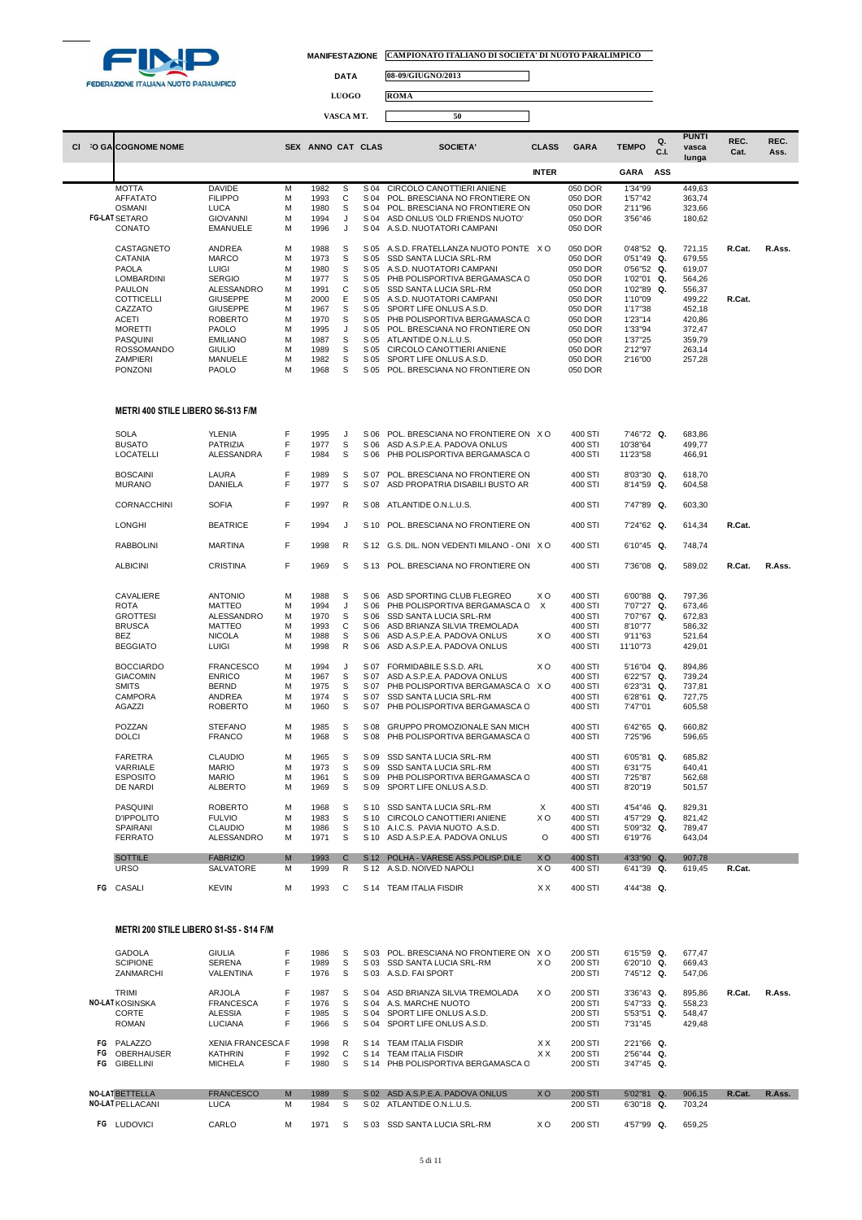

 $\Box$ 

**DATA 08-09/GIUGNO/2013**

**LUOGO ROMA**

| --------- |  |
|-----------|--|
|           |  |
| VASCA MT. |  |
|           |  |

| CI. | <b>O GALCOGNOME NOME</b>                 |                                    |        | SEX ANNO CAT CLAS |              |              | SOCIETA'                                                  | <b>CLASS</b>   | <b>GARA</b>        | <b>TEMPO</b>           | Q.<br>C.L | <b>PUNTI</b><br>vasca<br>lunga | REC.<br>Cat. | REC.<br>Ass. |
|-----|------------------------------------------|------------------------------------|--------|-------------------|--------------|--------------|-----------------------------------------------------------|----------------|--------------------|------------------------|-----------|--------------------------------|--------------|--------------|
|     |                                          |                                    |        |                   |              |              |                                                           | <b>INTER</b>   |                    | <b>GARA</b>            | ASS       |                                |              |              |
|     | <b>MOTTA</b>                             | <b>DAVIDE</b>                      | M      | 1982              | s            | S 04         | CIRCOLO CANOTTIERI ANIENE                                 |                | 050 DOR            | 1'34"99                |           | 449,63                         |              |              |
|     | <b>AFFATATO</b>                          | <b>FILIPPO</b>                     | M      | 1993              | C            | S 04         | POL. BRESCIANA NO FRONTIERE ON                            |                | 050 DOR            | 1'57"42                |           | 363,74                         |              |              |
|     | <b>OSMANI</b>                            | LUCA                               | M      | 1980              | s            | S 04         | POL. BRESCIANA NO FRONTIERE ON                            |                | 050 DOR            | 2'11"96                |           | 323,66                         |              |              |
|     | <b>FG-LAT SETARO</b>                     | <b>GIOVANNI</b><br><b>EMANUELE</b> | M<br>M | 1994              | J<br>J       | S 04<br>S 04 | ASD ONLUS 'OLD FRIENDS NUOTO'<br>A.S.D. NUOTATORI CAMPANI |                | 050 DOR            | 3'56"46                |           | 180,62                         |              |              |
|     | CONATO                                   |                                    |        | 1996              |              |              |                                                           |                | 050 DOR            |                        |           |                                |              |              |
|     | CASTAGNETO                               | ANDREA                             | M      | 1988              | s            | S 05         | A.S.D. FRATELLANZA NUOTO PONTE XO                         |                | 050 DOR            | $0'48"52$ Q.           |           | 721,15                         | R.Cat.       | R.Ass.       |
|     | CATANIA                                  | <b>MARCO</b>                       | M      | 1973              | S            | S 05         | SSD SANTA LUCIA SRL-RM                                    |                | 050 DOR            | 0'51"49 Q.             |           | 679,55                         |              |              |
|     | PAOLA                                    | <b>LUIGI</b>                       | M      | 1980              | s            | S 05         | A.S.D. NUOTATORI CAMPANI                                  |                | 050 DOR            | 0'56"52 Q.             |           | 619,07                         |              |              |
|     | LOMBARDINI                               | <b>SERGIO</b>                      | M      | 1977              | S            | S 05         | PHB POLISPORTIVA BERGAMASCA C                             |                | 050 DOR            | 1'02"01 Q.             |           | 564,26                         |              |              |
|     | <b>PAULON</b>                            | ALESSANDRO                         | M      | 1991              | C            | S 05         | SSD SANTA LUCIA SRL-RM                                    |                | 050 DOR            | 1'02"89                | Q.        | 556,37                         |              |              |
|     | <b>COTTICELLI</b><br>CAZZATO             | <b>GIUSEPPE</b><br><b>GIUSEPPE</b> | M<br>M | 2000<br>1967      | Ε<br>S       | S 05<br>S 05 | A.S.D. NUOTATORI CAMPANI<br>SPORT LIFE ONLUS A.S.D.       |                | 050 DOR<br>050 DOR | 1'10"09<br>1'17"38     |           | 499,22<br>452,18               | R.Cat.       |              |
|     | <b>ACETI</b>                             | <b>ROBERTO</b>                     | M      | 1970              | s            | S 05         | PHB POLISPORTIVA BERGAMASCA C                             |                | 050 DOR            | 1'23"14                |           | 420,86                         |              |              |
|     | <b>MORETTI</b>                           | PAOLO                              | M      | 1995              | J            | S 05         | POL. BRESCIANA NO FRONTIERE ON                            |                | 050 DOR            | 1'33"94                |           | 372,47                         |              |              |
|     | PASQUINI                                 | <b>EMILIANO</b>                    | M      | 1987              | s            | S 05         | ATLANTIDE O.N.L.U.S.                                      |                | 050 DOR            | 1'37"25                |           | 359,79                         |              |              |
|     | <b>ROSSOMANDO</b>                        | <b>GIULIO</b>                      | M      | 1989              | s            | S 05         | CIRCOLO CANOTTIERI ANIENE                                 |                | 050 DOR            | 2'12"97                |           | 263,14                         |              |              |
|     | <b>ZAMPIERI</b>                          | MANUELE                            | M      | 1982              | S            | S 05         | SPORT LIFE ONLUS A.S.D.                                   |                | 050 DOR            | 2'16"00                |           | 257,28                         |              |              |
|     | PONZONI                                  | PAOLO                              | M      | 1968              | S            | S 05         | POL. BRESCIANA NO FRONTIERE ON                            |                | 050 DOR            |                        |           |                                |              |              |
|     | <b>METRI 400 STILE LIBERO S6-S13 F/M</b> |                                    |        |                   |              |              |                                                           |                |                    |                        |           |                                |              |              |
|     |                                          | <b>YLENIA</b>                      | F      |                   |              |              | POL. BRESCIANA NO FRONTIERE ON XO                         |                |                    |                        |           |                                |              |              |
|     | <b>SOLA</b><br><b>BUSATO</b>             | PATRIZIA                           | F      | 1995<br>1977      | J<br>S       | S 06<br>S 06 | ASD A.S.P.E.A. PADOVA ONLUS                               |                | 400 STI<br>400 STI | 7'46"72 Q.<br>10'38"64 |           | 683,86<br>499,77               |              |              |
|     | <b>LOCATELLI</b>                         | ALESSANDRA                         | F      | 1984              | S            | S 06         | PHB POLISPORTIVA BERGAMASCA C                             |                | 400 STI            | 11'23"58               |           | 466,91                         |              |              |
|     |                                          |                                    |        |                   |              |              |                                                           |                |                    |                        |           |                                |              |              |
|     | <b>BOSCAINI</b>                          | LAURA                              | F      | 1989              | s            | S 07         | POL. BRESCIANA NO FRONTIERE ON                            |                | 400 STI            | 8'03"30 Q.             |           | 618,70                         |              |              |
|     | <b>MURANO</b>                            | DANIELA                            | F      | 1977              | S            | S 07         | ASD PROPATRIA DISABILI BUSTO AR                           |                | 400 STI            | 8'14"59 Q.             |           | 604,58                         |              |              |
|     | CORNACCHINI                              | <b>SOFIA</b>                       | F      | 1997              | R            | S 08         | ATLANTIDE O.N.L.U.S.                                      |                | 400 STI            | 7'47"89 Q.             |           | 603,30                         |              |              |
|     |                                          |                                    | F      |                   |              |              |                                                           |                |                    |                        |           |                                |              |              |
|     | <b>LONGHI</b>                            | <b>BEATRICE</b>                    |        | 1994              | J            | S 10         | POL. BRESCIANA NO FRONTIERE ON                            |                | 400 STI            | 7'24"62 Q.             |           | 614,34                         | R.Cat.       |              |
|     | <b>RABBOLINI</b>                         | <b>MARTINA</b>                     | F      | 1998              | R            |              | S 12 G.S. DIL. NON VEDENTI MILANO - ONIX O                |                | 400 STI            | 6'10"45 Q.             |           | 748,74                         |              |              |
|     | <b>ALBICINI</b>                          | <b>CRISTINA</b>                    | F      | 1969              | S            |              | S 13 POL. BRESCIANA NO FRONTIERE ON                       |                | 400 STI            | 7'36"08 Q.             |           | 589,02                         | R.Cat.       | R.Ass.       |
|     |                                          |                                    |        |                   |              |              |                                                           |                |                    |                        |           |                                |              |              |
|     | CAVALIERE                                | <b>ANTONIO</b>                     | M      | 1988              | S            | S 06         | ASD SPORTING CLUB FLEGREO                                 | X <sub>O</sub> | 400 STI            | 6'00"88 Q.             |           | 797,36                         |              |              |
|     | <b>ROTA</b>                              | <b>MATTEO</b>                      | M      | 1994              | J            | S 06         | PHB POLISPORTIVA BERGAMASCA C                             | $\mathsf{X}$   | 400 STI            | 7'07"27 Q.             |           | 673,46                         |              |              |
|     | <b>GROTTESI</b>                          | ALESSANDRO                         | M      | 1970              | s            | S 06         | SSD SANTA LUCIA SRL-RM                                    |                | 400 STI            | 7'07"67 Q.             |           | 672,83                         |              |              |
|     | <b>BRUSCA</b>                            | <b>MATTEO</b>                      | M      | 1993              | С            | S 06         | ASD BRIANZA SILVIA TREMOLADA                              |                | 400 STI            | 8'10"77                |           | 586,32                         |              |              |
|     | BEZ                                      | <b>NICOLA</b>                      | M      | 1988              | S            | S 06         | ASD A.S.P.E.A. PADOVA ONLUS                               | XO             | 400 STI            | 9'11"63                |           | 521,64                         |              |              |
|     | <b>BEGGIATO</b>                          | LUIGI                              | M      | 1998              | $\mathsf{R}$ | S 06         | ASD A.S.P.E.A. PADOVA ONLUS                               |                | 400 STI            | 11'10"73               |           | 429,01                         |              |              |
|     | <b>BOCCIARDO</b>                         | <b>FRANCESCO</b>                   | M      | 1994              | J            | S 07         | FORMIDABILE S.S.D. ARL                                    | xо             | 400 STI            | 5'16"04 Q.             |           | 894,86                         |              |              |
|     | <b>GIACOMIN</b>                          | <b>ENRICO</b>                      | M      | 1967              | S            | S 07         | ASD A.S.P.E.A. PADOVA ONLUS                               |                | 400 STI            | 6'22"57 Q.             |           | 739,24                         |              |              |
|     | <b>SMITS</b>                             | <b>BERND</b>                       | M      | 1975              | s            | S 07         | PHB POLISPORTIVA BERGAMASCA C X O                         |                | 400 STI            | 6'23"31 Q.             |           | 737,81                         |              |              |
|     | CAMPORA                                  | ANDREA                             | M      | 1974              | s            | S 07         | SSD SANTA LUCIA SRL-RM                                    |                | 400 STI            | 6'28"61                | Q.        | 727,75                         |              |              |
|     | AGAZZI                                   | <b>ROBERTO</b>                     | M      | 1960              | s            | S 07         | PHB POLISPORTIVA BERGAMASCA C                             |                | 400 STI            | 7'47"01                |           | 605,58                         |              |              |
|     | POZZAN                                   | <b>STEFANO</b>                     | M      | 1985              | S            | S 08         | <b>GRUPPO PROMOZIONALE SAN MICH</b>                       |                | 400 STI            | 6'42"65 Q.             |           | 660,82                         |              |              |
|     | <b>DOLCI</b>                             | <b>FRANCO</b>                      | M      | 1968              | S            | S 08         | PHB POLISPORTIVA BERGAMASCA C                             |                | 400 STI            | 7'25"96                |           | 596,65                         |              |              |
|     |                                          | <b>CLAUDIO</b>                     | M      | 1965              | S            |              | SSD SANTA LUCIA SRL-RM                                    |                |                    | 6'05"81 Q.             |           |                                |              |              |
|     | FARETRA<br>VARRIALE                      | <b>MARIO</b>                       | M      | 1973              | s            | S 09<br>S 09 | SSD SANTA LUCIA SRL-RM                                    |                | 400 STI<br>400 STI | 6'31"75                |           | 685,82<br>640,41               |              |              |
|     | <b>ESPOSITO</b>                          | <b>MARIO</b>                       | M      | 1961              | s            |              | S 09 PHB POLISPORTIVA BERGAMASCA C                        |                | 400 STI            | 7'25"87                |           | 562,68                         |              |              |
|     | DE NARDI                                 | ALBERTO                            | M      | 1969              | S            |              | S 09 SPORT LIFE ONLUS A.S.D.                              |                | 400 STI            | 8'20"19                |           | 501,57                         |              |              |
|     | PASQUINI                                 | <b>ROBERTO</b>                     | M      | 1968              | S            |              | S 10 SSD SANTA LUCIA SRL-RM                               | X              | 400 STI            | 4'54"46 Q.             |           | 829,31                         |              |              |
|     | <b>D'IPPOLITO</b>                        | <b>FULVIO</b>                      | M      | 1983              | S            | S 10         | CIRCOLO CANOTTIERI ANIENE                                 | XO.            | 400 STI            | 4'57"29 Q.             |           | 821,42                         |              |              |
|     | SPAIRANI                                 | <b>CLAUDIO</b>                     | M      | 1986              | S            |              | S 10 A.I.C.S. PAVIA NUOTO A.S.D.                          |                | 400 STI            | 5'09"32 Q.             |           | 789,47                         |              |              |
|     | <b>FERRATO</b>                           | ALESSANDRO                         | M      | 1971              | S            |              | S 10 ASD A.S.P.E.A. PADOVA ONLUS                          | O              | 400 STI            | 6'19"76                |           | 643,04                         |              |              |
|     | <b>SOTTILE</b>                           | <b>FABRIZIO</b>                    | M      |                   |              | S 12         | POLHA - VARESE ASS.POLISP.DILE                            |                |                    | 4'33"90 Q.             |           |                                |              |              |
|     | <b>URSO</b>                              | SALVATORE                          | M      | 1993<br>1999      | C<br>R       |              | S 12 A.S.D. NOIVED NAPOLI                                 | XO<br>X O      | 400 STI<br>400 STI | 6'41"39 Q.             |           | 907,78<br>619,45               | R.Cat.       |              |
|     |                                          |                                    |        |                   |              |              |                                                           |                |                    |                        |           |                                |              |              |
|     | FG CASALI                                | <b>KEVIN</b>                       | М      | 1993              | C            |              | S 14 TEAM ITALIA FISDIR                                   | XX             | 400 STI            | 4'44"38 Q.             |           |                                |              |              |

# **METRI 200 STILE LIBERO S1-S5 - S14 F/M**

|    | <b>GADOLA</b>           | <b>GIULIA</b>            |    | 1986 | S            | S 03            | POL. BRESCIANA NO FRONTIERE ON | X O       | 200 STI        | $6'15''59$ Q. | 677.47 |        |        |
|----|-------------------------|--------------------------|----|------|--------------|-----------------|--------------------------------|-----------|----------------|---------------|--------|--------|--------|
|    | <b>SCIPIONE</b>         | <b>SERENA</b>            |    | 1989 | s            | S 03            | <b>SSD SANTA LUCIA SRL-RM</b>  | X O       | 200 STI        | $6'20''10$ Q. | 669.43 |        |        |
|    | <b>ZANMARCHI</b>        | VALENTINA                | F. | 1976 | s            | S 03            | A.S.D. FAI SPORT               |           | 200 STI        | 7'45"12 Q.    | 547.06 |        |        |
|    | TRIMI                   | ARJOLA                   | F  | 1987 | S.           | S 04            | ASD BRIANZA SILVIA TREMOLADA   | X O       | 200 STI        | $3'36''43$ Q. | 895.86 | R.Cat. | R.Ass. |
|    | <b>NO-LAT KOSINSKA</b>  | <b>FRANCESCA</b>         | F  | 1976 | S.           | S 04            | A.S. MARCHE NUOTO              |           | 200 STI        | 5'47"33 Q.    | 558.23 |        |        |
|    | CORTE                   | <b>ALESSIA</b>           | F  | 1985 | S.           | S 04            | SPORT LIFE ONLUS A.S.D.        |           | 200 STI        | 5'53"51 Q.    | 548,47 |        |        |
|    | <b>ROMAN</b>            | LUCIANA                  | F. | 1966 | S            | S 04            | SPORT LIFE ONLUS A.S.D.        |           | 200 STI        | 7'31"45       | 429,48 |        |        |
| FG | PALAZZO                 | <b>XENIA FRANCESCA F</b> |    | 1998 | R            | S 14            | <b>TEAM ITALIA FISDIR</b>      | <b>XX</b> | 200 STI        | 2'21"66 Q.    |        |        |        |
| FG | <b>OBERHAUSER</b>       | <b>KATHRIN</b>           | F  | 1992 | C.           | S 14            | <b>TEAM ITALIA FISDIR</b>      | <b>XX</b> | 200 STI        | 2'56"44 Q.    |        |        |        |
| FG | <b>GIBELLINI</b>        | <b>MICHELA</b>           | F. | 1980 | S.           | S 14            | PHB POLISPORTIVA BERGAMASCA C  |           | 200 STI        | 3'47"45 Q.    |        |        |        |
|    |                         |                          |    |      |              |                 |                                |           |                |               |        |        |        |
|    | <b>NO-LAT BETTELLA</b>  | <b>FRANCESCO</b>         | M  | 1989 | <sub>S</sub> | S <sub>02</sub> | ASD A.S.P.E.A. PADOVA ONLUS    | <b>XO</b> | <b>200 STI</b> | 5'02"81 Q.    | 906,15 | R.Cat. | R.Ass. |
|    | <b>NO-LAT PELLACANI</b> | <b>LUCA</b>              | м  | 1984 | S            | S 02            | ATLANTIDE O.N.L.U.S.           |           | 200 STI        | 6'30"18 Q.    | 703.24 |        |        |
| FG | <b>LUDOVICI</b>         | CARLO                    | м  | 1971 | s            | S 03            | SSD SANTA LUCIA SRL-RM         | X O       | 200 STI        | 4'57"99 Q.    | 659.25 |        |        |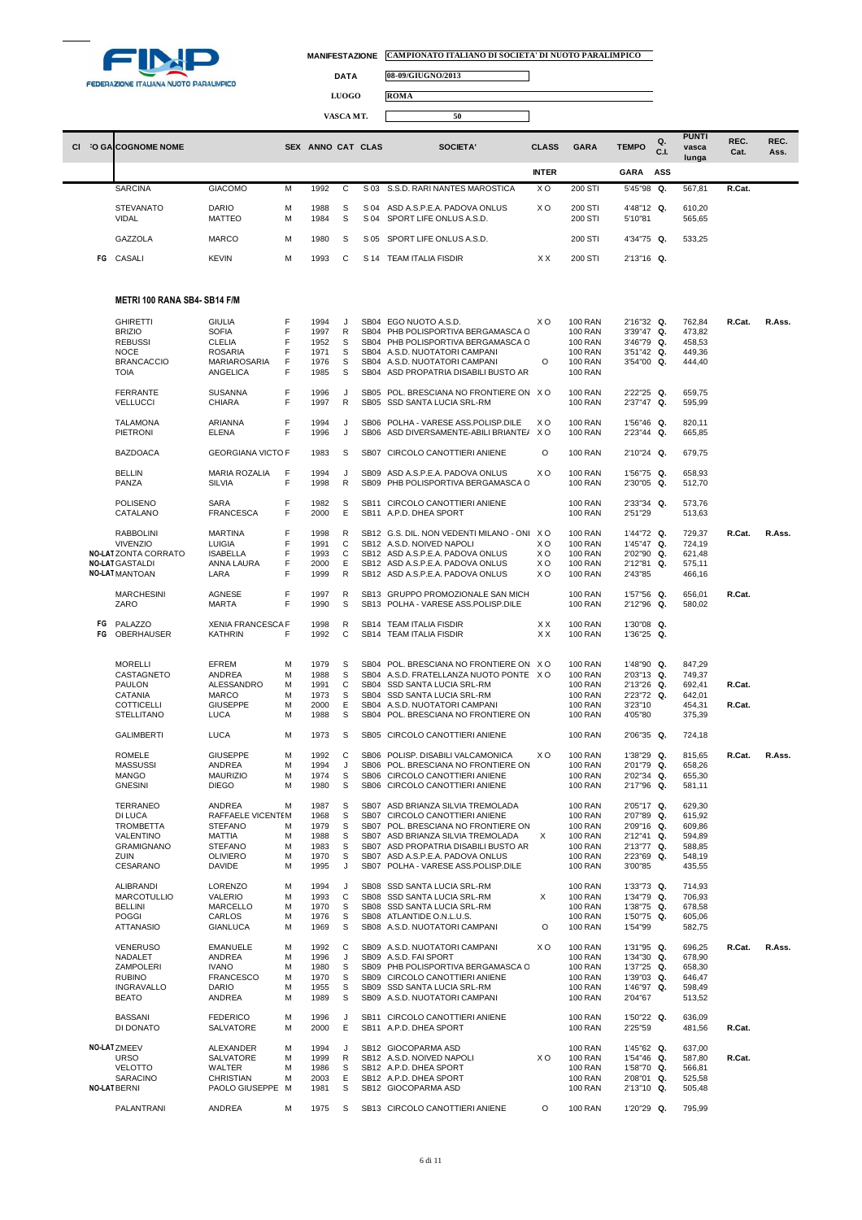

 $\Box$ 

 $\Box$ 

**DATA 08-09/GIUGNO/2013**

**LUOGO ROMA**

**VASCA MT. 50**

| <b>CI</b> | O GALCOGNOME NOME         |                               | <b>SEX</b> | ANNO CAT CLAS |         |              | SOCIETA'                                               | <b>CLASS</b>   | <b>GARA</b>        | <b>TEMPO</b>          | $Q_{\star}$<br>C.I. | <b>PUNTI</b><br>vasca<br>lunga | REC.<br>Cat. | REC.<br>Ass. |
|-----------|---------------------------|-------------------------------|------------|---------------|---------|--------------|--------------------------------------------------------|----------------|--------------------|-----------------------|---------------------|--------------------------------|--------------|--------------|
|           |                           |                               |            |               |         |              |                                                        | <b>INTER</b>   |                    | GARA                  | ASS                 |                                |              |              |
|           | <b>SARCINA</b>            | <b>GIACOMO</b>                | м          | 1992          | C       |              | S 03 S.S.D. RARI NANTES MAROSTICA                      | X <sub>O</sub> | 200 STI            | 5'45"98 Q.            |                     | 567.81                         | R.Cat.       |              |
|           | <b>STEVANATO</b><br>VIDAL | <b>DARIO</b><br><b>MATTEO</b> | м<br>м     | 1988<br>1984  | S.<br>S | S 04<br>S 04 | ASD A.S.P.E.A. PADOVA ONLUS<br>SPORT LIFE ONLUS A.S.D. | X O            | 200 STI<br>200 STI | 4'48"12 Q.<br>5'10"81 |                     | 610,20<br>565,65               |              |              |
|           | GAZZOLA                   | <b>MARCO</b>                  | M          | 1980          | S       | S 05         | SPORT LIFE ONLUS A.S.D.                                |                | 200 STI            | 4'34"75 Q.            |                     | 533,25                         |              |              |
|           | FG CASALI                 | <b>KEVIN</b>                  | м          | 1993          | C.      | S 14         | <b>TEAM ITALIA FISDIR</b>                              | <b>XX</b>      | 200 STI            | 2'13"16 Q.            |                     |                                |              |              |

### **METRI 100 RANA SB4- SB14 F/M**

| <b>GHIRETTI</b>     | GIULIA                   | F      | 1994 | J              | SB04 EGO NUOTO A.S.D.                      | xо | 100 RAN        | 2'16"32 Q. | 762,84 | R.Cat. | R.Ass. |
|---------------------|--------------------------|--------|------|----------------|--------------------------------------------|----|----------------|------------|--------|--------|--------|
| <b>BRIZIO</b>       | SOFIA                    | F      | 1997 | R              | SB04 PHB POLISPORTIVA BERGAMASCA C         |    | <b>100 RAN</b> | 3'39"47 Q. | 473,82 |        |        |
| <b>REBUSSI</b>      | CLELIA                   | F      | 1952 | S              | SB04 PHB POLISPORTIVA BERGAMASCA C         |    | <b>100 RAN</b> | 3'46"79 Q. | 458,53 |        |        |
| <b>NOCE</b>         | <b>ROSARIA</b>           | F      | 1971 | S              | SB04 A.S.D. NUOTATORI CAMPANI              |    | <b>100 RAN</b> | 3'51"42 Q. | 449,36 |        |        |
| <b>BRANCACCIO</b>   | MARIAROSARIA             | F      | 1976 | s              | SB04 A.S.D. NUOTATORI CAMPANI              | O  | <b>100 RAN</b> | 3'54"00 Q. | 444,40 |        |        |
| <b>TOIA</b>         | ANGELICA                 | F      | 1985 | S              | SB04 ASD PROPATRIA DISABILI BUSTO AR       |    | <b>100 RAN</b> |            |        |        |        |
| <b>FERRANTE</b>     | <b>SUSANNA</b>           | F<br>F | 1996 | J<br>${\sf R}$ | SB05 POL. BRESCIANA NO FRONTIERE ON XO     |    | <b>100 RAN</b> | 2'22"25 Q. | 659,75 |        |        |
| <b>VELLUCCI</b>     | CHIARA                   |        | 1997 |                | SB05 SSD SANTA LUCIA SRL-RM                |    | <b>100 RAN</b> | 2'37"47 Q. | 595,99 |        |        |
| <b>TALAMONA</b>     | ARIANNA                  | F      | 1994 | J              | SB06 POLHA - VARESE ASS.POLISP.DILE        | xо | <b>100 RAN</b> | 1'56"46 Q. | 820,11 |        |        |
| PIETRONI            | ELENA                    | F      | 1996 | J              | SB06 ASD DIVERSAMENTE-ABILI BRIANTE/ XO    |    | <b>100 RAN</b> | 2'23"44 Q. | 665,85 |        |        |
| <b>BAZDOACA</b>     | <b>GEORGIANA VICTO F</b> |        | 1983 | S              | SB07 CIRCOLO CANOTTIERI ANIENE             | O  | <b>100 RAN</b> | 2'10"24 Q. | 679,75 |        |        |
| <b>BELLIN</b>       | MARIA ROZALIA            | F      | 1994 | J              | SB09 ASD A.S.P.E.A. PADOVA ONLUS           | xо | <b>100 RAN</b> | 1'56"75 Q. | 658,93 |        |        |
| PANZA               | <b>SILVIA</b>            | F      | 1998 | R              | SB09 PHB POLISPORTIVA BERGAMASCA C         |    | <b>100 RAN</b> | 2'30"05 Q. | 512,70 |        |        |
| POLISENO            | SARA                     | F      | 1982 | s              | SB11 CIRCOLO CANOTTIERI ANIENE             |    | <b>100 RAN</b> | 2'33"34 Q. | 573,76 |        |        |
| CATALANO            | <b>FRANCESCA</b>         | F      | 2000 | Е              | SB11 A.P.D. DHEA SPORT                     |    | <b>100 RAN</b> | 2'51"29    | 513,63 |        |        |
| <b>RABBOLINI</b>    | <b>MARTINA</b>           | F      | 1998 | R              | SB12 G.S. DIL. NON VEDENTI MILANO - ONI XO |    | <b>100 RAN</b> | 1'44"72 Q. | 729,37 | R.Cat. | R.Ass. |
| <b>VIVENZIO</b>     | LUIGIA                   | F      | 1991 | С              | SB12 A.S.D. NOIVED NAPOLI                  | xо | <b>100 RAN</b> | 1'45"47 Q. | 724,19 |        |        |
| NO-LATZONTA CORRATO | <b>ISABELLA</b>          | F      | 1993 | С              | SB12 ASD A.S.P.E.A. PADOVA ONLUS           | ΧO | <b>100 RAN</b> | 2'02"90 Q. | 621,48 |        |        |
| NO-LAT GASTALDI     | ANNA LAURA               | F      | 2000 | Ε              | SB12 ASD A.S.P.E.A. PADOVA ONLUS           | ХO | <b>100 RAN</b> | 2'12"81 Q. | 575,11 |        |        |
| NO-LAT MANTOAN      | LARA                     | F      | 1999 | R              | SB12 ASD A.S.P.E.A. PADOVA ONLUS           | xо | <b>100 RAN</b> | 2'43"85    | 466,16 |        |        |
| <b>MARCHESINI</b>   | AGNESE                   | F      | 1997 | R              | SB13 GRUPPO PROMOZIONALE SAN MICH          |    | <b>100 RAN</b> | 1'57"56 Q. | 656,01 | R.Cat. |        |
| ZARO                | <b>MARTA</b>             | F      | 1990 | S              | SB13 POLHA - VARESE ASS.POLISP.DILE        |    | <b>100 RAN</b> | 2'12"96 Q. | 580,02 |        |        |
| FG PALAZZO          | <b>XENIA FRANCESCA F</b> |        | 1998 | R              | SB14 TEAM ITALIA FISDIR                    | ХX | <b>100 RAN</b> | 1'30"08 Q. |        |        |        |
| FG OBERHAUSER       | <b>KATHRIN</b>           | F      | 1992 | С              | SB14 TEAM ITALIA FISDIR                    | ХX | <b>100 RAN</b> | 1'36"25 Q. |        |        |        |
|                     |                          |        |      |                |                                            |    |                |            |        |        |        |
| <b>MORELLI</b>      | EFREM                    | M      | 1979 | S              | SB04 POL. BRESCIANA NO FRONTIERE ON XO     |    | <b>100 RAN</b> | 1'48"90 Q. | 847,29 |        |        |
| CASTAGNETO          | ANDREA                   | M      | 1988 | S              | SB04 A.S.D. FRATELLANZA NUOTO PONTE X O    |    | <b>100 RAN</b> | 2'03"13 Q. | 749,37 |        |        |
| PAULON              | ALESSANDRO               | M      | 1991 | C              | SB04 SSD SANTA LUCIA SRL-RM                |    | <b>100 RAN</b> | 2'13"26 Q. | 692,41 | R.Cat. |        |
| CATANIA             | <b>MARCO</b>             | M      | 1973 | S              | SB04 SSD SANTA LUCIA SRL-RM                |    | <b>100 RAN</b> | 2'23"72 Q. | 642,01 |        |        |
| COTTICELLI          | <b>GIUSEPPE</b>          | M      | 2000 | Ε              | SB04 A.S.D. NUOTATORI CAMPANI              |    | <b>100 RAN</b> | 3'23"10    | 454,31 | R.Cat. |        |
| <b>STELLITANO</b>   | LUCA                     | M      | 1988 | s              | SB04 POL. BRESCIANA NO FRONTIERE ON        |    | <b>100 RAN</b> | 4'05"80    | 375,39 |        |        |
|                     |                          |        |      |                |                                            |    |                |            |        |        |        |
| <b>GALIMBERTI</b>   | <b>LUCA</b>              | M      | 1973 | S              | SB05 CIRCOLO CANOTTIERI ANIENE             |    | <b>100 RAN</b> | 2'06"35 Q. | 724.18 |        |        |
| ROMELE              | <b>GIUSEPPE</b>          | м      | 1992 | С              | SB06 POLISP. DISABILI VALCAMONICA          | xо | <b>100 RAN</b> | 1'38"29 Q. | 815,65 | R.Cat. | R.Ass. |
| <b>MASSUSSI</b>     | ANDREA                   | м      | 1994 | J              | SB06 POL. BRESCIANA NO FRONTIERE ON        |    | <b>100 RAN</b> | 2'01"79 Q. | 658,26 |        |        |
| <b>MANGO</b>        | <b>MAURIZIO</b>          | M      | 1974 | S              | SB06 CIRCOLO CANOTTIERI ANIENE             |    | <b>100 RAN</b> | 2'02"34 Q. | 655,30 |        |        |
| <b>GNESINI</b>      | <b>DIEGO</b>             | M      | 1980 | S              | SB06 CIRCOLO CANOTTIERI ANIENE             |    | <b>100 RAN</b> | 2'17"96 Q. | 581,11 |        |        |
| <b>TERRANEO</b>     | ANDREA                   | M      | 1987 | S              | SB07 ASD BRIANZA SILVIA TREMOLADA          |    | <b>100 RAN</b> | 2'05"17 Q. | 629,30 |        |        |
| DI LUCA             | RAFFAELE VICENTEM        |        | 1968 | S              | SB07 CIRCOLO CANOTTIERI ANIENE             |    | <b>100 RAN</b> | 2'07"89 Q. | 615,92 |        |        |
| TROMBETTA           | <b>STEFANO</b>           | м      | 1979 | S              | SB07 POL. BRESCIANA NO FRONTIERE ON        |    | <b>100 RAN</b> | 2'09"16 Q. | 609,86 |        |        |
| VALENTINO           | MATTIA                   | M      | 1988 | S              | SB07 ASD BRIANZA SILVIA TREMOLADA          | X  | <b>100 RAN</b> | 2'12"41 Q. | 594,89 |        |        |
| <b>GRAMIGNANO</b>   | <b>STEFANO</b>           | M      | 1983 | s              | SB07 ASD PROPATRIA DISABILI BUSTO AR       |    | <b>100 RAN</b> | 2'13"77 Q. | 588,85 |        |        |
| ZUIN                | <b>OLIVIERO</b>          | M      | 1970 | s              | SB07 ASD A.S.P.E.A. PADOVA ONLUS           |    | <b>100 RAN</b> | 2'23"69 Q. | 548,19 |        |        |
| CESARANO            | <b>DAVIDE</b>            | M      | 1995 | J              | SB07 POLHA - VARESE ASS.POLISP.DILE        |    | <b>100 RAN</b> | 3'00"85    | 435,55 |        |        |
| ALIBRANDI           | LORENZO                  | M      | 1994 | J              | SB08 SSD SANTA LUCIA SRL-RM                |    | <b>100 RAN</b> | 1'33"73 Q. | 714,93 |        |        |
| <b>MARCOTULLIO</b>  | VALERIO                  | M      | 1993 | С              | SB08 SSD SANTA LUCIA SRL-RM                | X  | <b>100 RAN</b> | 1'34"79 Q. | 706,93 |        |        |
| <b>BELLINI</b>      | MARCELLO                 | M      | 1970 | S              | SB08 SSD SANTA LUCIA SRL-RM                |    | <b>100 RAN</b> | 1'38"75 Q. | 678,58 |        |        |
| <b>POGGI</b>        | CARLOS                   | M      | 1976 | s              | SB08 ATLANTIDE O.N.L.U.S.                  |    | <b>100 RAN</b> | 1'50"75 Q. | 605,06 |        |        |
| <b>ATTANASIO</b>    | <b>GIANLUCA</b>          | M      | 1969 | s              | SB08 A.S.D. NUOTATORI CAMPANI              | O  | <b>100 RAN</b> | 1'54"99    | 582,75 |        |        |
|                     |                          |        |      |                |                                            |    |                |            |        |        |        |
| <b>VENERUSO</b>     | <b>EMANUELE</b>          | M      | 1992 | С              | SB09 A.S.D. NUOTATORI CAMPANI              | xо | <b>100 RAN</b> | 1'31"95 Q. | 696,25 | R.Cat. | R.Ass. |
| NADALET             | ANDREA                   | M      | 1996 | J              | SB09 A.S.D. FAI SPORT                      |    | <b>100 RAN</b> | 1'34"30 Q. | 678,90 |        |        |
| ZAMPOLERI           | <b>IVANO</b>             | M      | 1980 | s              | SB09 PHB POLISPORTIVA BERGAMASCA C         |    | <b>100 RAN</b> | 1'37"25 Q. | 658,30 |        |        |
| <b>RUBINO</b>       | <b>FRANCESCO</b>         | М      | 1970 | S              | SB09 CIRCOLO CANOTTIERI ANIENE             |    | <b>100 RAN</b> | 1'39"03 Q. | 646,47 |        |        |
| <b>INGRAVALLO</b>   | <b>DARIO</b>             | M      | 1955 | S              | SB09 SSD SANTA LUCIA SRL-RM                |    | <b>100 RAN</b> | 1'46"97 Q. | 598,49 |        |        |
| <b>BEATO</b>        | ANDREA                   | M      | 1989 | s              | SB09 A.S.D. NUOTATORI CAMPANI              |    | <b>100 RAN</b> | 2'04"67    | 513,52 |        |        |
| <b>BASSANI</b>      | <b>FEDERICO</b>          | м      | 1996 | J              | SB11 CIRCOLO CANOTTIERI ANIENE             |    | <b>100 RAN</b> | 1'50"22 Q. | 636,09 |        |        |
| DI DONATO           | SALVATORE                | M      | 2000 | E              | SB11 A.P.D. DHEA SPORT                     |    | <b>100 RAN</b> | 2'25"59    | 481,56 | R.Cat. |        |
| NO-LATZMEEV         | ALEXANDER                | м      | 1994 | J              | SB12 GIOCOPARMA ASD                        |    | <b>100 RAN</b> | 1'45"62 Q. | 637,00 |        |        |
| <b>URSO</b>         | SALVATORE                | M      | 1999 | R              | SB12 A.S.D. NOIVED NAPOLI                  | ХO | <b>100 RAN</b> | 1'54"46 Q. | 587,80 | R.Cat. |        |
| <b>VELOTTO</b>      | WALTER                   | M      | 1986 | s              | SB12 A.P.D. DHEA SPORT                     |    | <b>100 RAN</b> | 1'58"70 Q. | 566,81 |        |        |
| SARACINO            | <b>CHRISTIAN</b>         | M      | 2003 | Е              | SB12 A.P.D. DHEA SPORT                     |    | <b>100 RAN</b> | 2'08"01 Q. | 525,58 |        |        |
| NO-LAT BERNI        | PAOLO GIUSEPPE M         |        | 1981 | s              | SB12 GIOCOPARMA ASD                        |    | <b>100 RAN</b> | 2'13"10 Q. | 505,48 |        |        |
| PALANTRANI          | ANDREA                   | M      | 1975 | S              | SB13 CIRCOLO CANOTTIERI ANIENE             | O  | <b>100 RAN</b> | 1'20"29 Q. | 795,99 |        |        |
|                     |                          |        |      |                |                                            |    |                |            |        |        |        |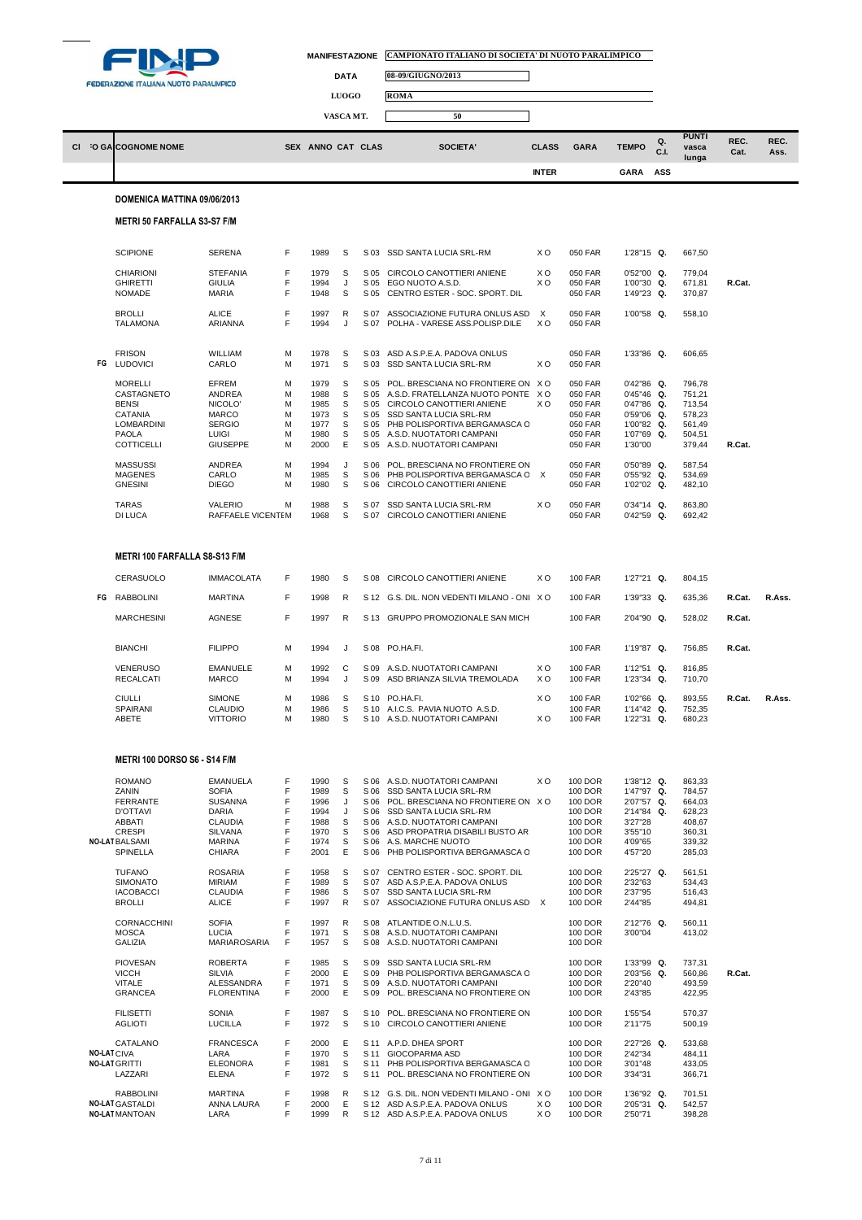

l

| MANIFESTAZIONE CAMPIONATO ITALIANO DI SOCIETA' DI NUOTO PARALIMPICO |
|---------------------------------------------------------------------|
|                                                                     |

 $\Box$ 



|                   |                                                      |                                                  |             |                      | <b>LUOGO</b>      |                      | ROMA                                                                            |                            |                                  |                                           |           |                            |              |              |
|-------------------|------------------------------------------------------|--------------------------------------------------|-------------|----------------------|-------------------|----------------------|---------------------------------------------------------------------------------|----------------------------|----------------------------------|-------------------------------------------|-----------|----------------------------|--------------|--------------|
|                   |                                                      |                                                  |             |                      | VASCA MT.         |                      | 50                                                                              |                            |                                  |                                           |           |                            |              |              |
|                   | CI O GA COGNOME NOME                                 |                                                  |             | SEX ANNO CAT CLAS    |                   |                      | SOCIETA'                                                                        | <b>CLASS</b>               | <b>GARA</b>                      | <b>TEMPO</b>                              | Q.<br>C.L | <b>PUNTI</b><br>vasca      | REC.<br>Cat. | REC.<br>Ass. |
|                   |                                                      |                                                  |             |                      |                   |                      |                                                                                 | <b>INTER</b>               |                                  | <b>GARA</b>                               | ASS       | lunga                      |              |              |
|                   | DOMENICA MATTINA 09/06/2013                          |                                                  |             |                      |                   |                      |                                                                                 |                            |                                  |                                           |           |                            |              |              |
|                   | <b>METRI 50 FARFALLA S3-S7 F/M</b>                   |                                                  |             |                      |                   |                      |                                                                                 |                            |                                  |                                           |           |                            |              |              |
|                   |                                                      |                                                  |             |                      |                   |                      |                                                                                 |                            |                                  |                                           |           |                            |              |              |
|                   | <b>SCIPIONE</b>                                      | <b>SERENA</b>                                    | F           | 1989                 | S                 | S 03                 | SSD SANTA LUCIA SRL-RM                                                          | ХO                         | 050 FAR                          | 1'28"15 Q.                                |           | 667,50                     |              |              |
|                   | <b>CHIARIONI</b><br><b>GHIRETTI</b><br><b>NOMADE</b> | <b>STEFANIA</b><br><b>GIULIA</b><br><b>MARIA</b> | F<br>F<br>F | 1979<br>1994<br>1948 | S<br>J<br>S       | S 05<br>S 05<br>S 05 | CIRCOLO CANOTTIERI ANIENE<br>EGO NUOTO A.S.D.<br>CENTRO ESTER - SOC. SPORT. DIL | X O<br>xо                  | 050 FAR<br>050 FAR<br>050 FAR    | $0'52''00$ Q.<br>1'00"30 Q.<br>1'49"23 Q. |           | 779,04<br>671,81<br>370,87 | R.Cat.       |              |
|                   | <b>BROLLI</b><br><b>TALAMONA</b>                     | <b>ALICE</b><br>ARIANNA                          | F<br>F      | 1997<br>1994         | $\mathsf{R}$<br>J | S 07<br>S 07         | ASSOCIAZIONE FUTURA ONLUS ASD<br>POLHA - VARESE ASS.POLISP.DILE                 | $\times$<br>X <sub>O</sub> | 050 FAR<br>050 FAR               | 1'00"58 Q.                                |           | 558,10                     |              |              |
|                   |                                                      |                                                  |             |                      |                   |                      |                                                                                 |                            |                                  |                                           |           |                            |              |              |
|                   | <b>FRISON</b><br>FG LUDOVICI                         | WILLIAM<br>CARLO                                 | M<br>M      | 1978<br>1971         | S<br>S            | S 03<br>S 03         | ASD A.S.P.E.A. PADOVA ONLUS<br>SSD SANTA LUCIA SRL-RM                           | ХO                         | 050 FAR<br>050 FAR               | 1'33"86 Q.                                |           | 606,65                     |              |              |
|                   | <b>MORELLI</b><br>CASTAGNETO                         | EFREM<br>ANDREA                                  | M<br>M      | 1979<br>1988         | S<br>S            | S 05<br>S 05         | POL. BRESCIANA NO FRONTIERE ON XO<br>A.S.D. FRATELLANZA NUOTO PONTE X O         |                            | 050 FAR<br>050 FAR               | 0'42"86 Q.<br>0'45"46 Q.                  |           | 796,78<br>751,21           |              |              |
|                   | <b>BENSI</b><br>CATANIA                              | NICOLO'<br>MARCO                                 | M<br>M      | 1985<br>1973         | S<br>S            | S 05<br>S 05         | CIRCOLO CANOTTIERI ANIENE<br>SSD SANTA LUCIA SRL-RM                             | X <sub>O</sub>             | 050 FAR                          | 0'47"86 Q.<br>0'59"06 Q.                  |           | 713,54<br>578,23           |              |              |
|                   | LOMBARDINI                                           | <b>SERGIO</b>                                    | M           | 1977                 | s                 | S 05                 | PHB POLISPORTIVA BERGAMASCA C                                                   |                            | 050 FAR<br>050 FAR               | 1'00"82 Q.                                |           | 561,49                     |              |              |
|                   | PAOLA<br><b>COTTICELLI</b>                           | LUIGI<br><b>GIUSEPPE</b>                         | M<br>M      | 1980<br>2000         | S<br>Ε            | S 05<br>S 05         | A.S.D. NUOTATORI CAMPANI<br>A.S.D. NUOTATORI CAMPANI                            |                            | 050 FAR<br>050 FAR               | 1'07"69 Q.<br>1'30"00                     |           | 504,51<br>379,44           | R.Cat.       |              |
|                   | <b>MASSUSSI</b>                                      | <b>ANDREA</b>                                    | M           | 1994                 | J                 | S 06                 | POL. BRESCIANA NO FRONTIERE ON                                                  |                            | 050 FAR                          | 0'50"89 Q.                                |           | 587,54                     |              |              |
|                   | <b>MAGENES</b><br><b>GNESINI</b>                     | CARLO<br><b>DIEGO</b>                            | M<br>M      | 1985<br>1980         | S<br>S            | S 06<br>S 06         | PHB POLISPORTIVA BERGAMASCA C X<br>CIRCOLO CANOTTIERI ANIENE                    |                            | 050 FAR<br>050 FAR               | 0'55"92 Q.<br>1'02"02 Q.                  |           | 534,69<br>482,10           |              |              |
|                   | <b>TARAS</b><br><b>DI LUCA</b>                       | <b>VALERIO</b><br>RAFFAELE VICENTEM              | M           | 1988<br>1968         | S<br>S            | S 07<br>S 07         | SSD SANTA LUCIA SRL-RM<br>CIRCOLO CANOTTIERI ANIENE                             | ХO                         | 050 FAR<br>050 FAR               | $0'34''14$ Q.<br>$0'42''59$ Q.            |           | 863,80<br>692,42           |              |              |
|                   | METRI 100 FARFALLA S8-S13 F/M                        |                                                  |             |                      |                   |                      |                                                                                 |                            |                                  |                                           |           |                            |              |              |
|                   | CERASUOLO                                            | <b>IMMACOLATA</b>                                | F           | 1980                 | S                 | S 08                 | CIRCOLO CANOTTIERI ANIENE                                                       | X O                        | <b>100 FAR</b>                   | 1'27"21 Q.                                |           | 804,15                     |              |              |
|                   | FG RABBOLINI                                         | <b>MARTINA</b>                                   | F           | 1998                 | R                 |                      | S 12 G.S. DIL. NON VEDENTI MILANO - ONIX O                                      |                            | <b>100 FAR</b>                   | 1'39"33 Q.                                |           | 635,36                     | R.Cat.       | R.Ass.       |
|                   |                                                      |                                                  | F           |                      |                   |                      |                                                                                 |                            |                                  |                                           |           |                            |              |              |
|                   | <b>MARCHESINI</b>                                    | AGNESE                                           |             | 1997                 | $\mathsf{R}$      |                      | S 13 GRUPPO PROMOZIONALE SAN MICH                                               |                            | <b>100 FAR</b>                   | 2'04"90 Q.                                |           | 528,02                     | R.Cat.       |              |
|                   | <b>BIANCHI</b>                                       | <b>FILIPPO</b>                                   | M           | 1994                 | J                 | S 08                 | PO.HA.FI.                                                                       |                            | <b>100 FAR</b>                   | 1'19"87 Q.                                |           | 756,85                     | R.Cat.       |              |
|                   | <b>VENERUSO</b><br><b>RECALCATI</b>                  | <b>EMANUELE</b><br><b>MARCO</b>                  | M<br>M      | 1992<br>1994         | C<br>J            | S 09<br>S 09         | A.S.D. NUOTATORI CAMPANI<br>ASD BRIANZA SILVIA TREMOLADA                        | X O<br>X O                 | 100 FAR<br><b>100 FAR</b>        | 1'12"51 Q.<br>1'23"34 Q.                  |           | 816,85<br>710,70           |              |              |
|                   | <b>CIULLI</b><br>SPAIRANI                            | <b>SIMONE</b><br>CLAUDIO                         | M<br>M      | 1986<br>1986         | S<br>S            | S 10<br>S 10         | PO.HA.FI.<br>A.I.C.S. PAVIA NUOTO A.S.D.                                        | X O                        | <b>100 FAR</b><br><b>100 FAR</b> | 1'02"66 Q.<br>1'14"42 Q.                  |           | 893,55<br>752,35           | R.Cat.       | R.Ass.       |
|                   | <b>ABETE</b>                                         | <b>VITTORIO</b>                                  | M           | 1980                 | S                 |                      | S 10 A.S.D. NUOTATORI CAMPANI                                                   | X O                        | <b>100 FAR</b>                   | 1'22"31 Q.                                |           | 680,23                     |              |              |
|                   | METRI 100 DORSO S6 - S14 F/M                         |                                                  |             |                      |                   |                      |                                                                                 |                            |                                  |                                           |           |                            |              |              |
|                   | <b>ROMANO</b><br>ZANIN                               | <b>EMANUELA</b><br><b>SOFIA</b>                  | F<br>F      | 1990<br>1989         | S<br>S            | S 06<br>S 06         | A.S.D. NUOTATORI CAMPANI<br>SSD SANTA LUCIA SRL-RM                              | xо                         | 100 DOR<br>100 DOR               | 1'38"12 Q.<br>1'47"97 Q.                  |           | 863,33<br>784,57           |              |              |
|                   | <b>FERRANTE</b>                                      | <b>SUSANNA</b>                                   | F           | 1996                 | J                 | S 06                 | POL. BRESCIANA NO FRONTIERE ON XO                                               |                            | 100 DOR                          | 2'07"57 Q.                                |           | 664,03                     |              |              |
|                   | <b>D'OTTAVI</b><br>ABBATI                            | DARIA<br><b>CLAUDIA</b>                          | F<br>F      | 1994<br>1988         | J<br>S            | S 06<br>S 06         | SSD SANTA LUCIA SRL-RM<br>A.S.D. NUOTATORI CAMPANI                              |                            | 100 DOR<br>100 DOR               | 2'14"84 Q.<br>3'27"28                     |           | 628,23<br>408,67           |              |              |
|                   | <b>CRESPI</b><br><b>NO-LAT BALSAMI</b>               | <b>SILVANA</b><br><b>MARINA</b>                  | F<br>F      | 1970                 | S<br>S            | S 06                 | ASD PROPATRIA DISABILI BUSTO AR                                                 |                            | 100 DOR                          | 3'55"10<br>4'09"65                        |           | 360,31                     |              |              |
|                   | SPINELLA                                             | CHIARA                                           | F           | 1974<br>2001         | Ε                 | S 06<br>S 06         | A.S. MARCHE NUOTO<br>PHB POLISPORTIVA BERGAMASCA C                              |                            | 100 DOR<br>100 DOR               | 4'57"20                                   |           | 339,32<br>285,03           |              |              |
|                   | <b>TUFANO</b>                                        | <b>ROSARIA</b>                                   | F           | 1958                 | S                 | S 07                 | CENTRO ESTER - SOC. SPORT. DIL                                                  |                            | 100 DOR                          | 2'25"27 Q.                                |           | 561,51                     |              |              |
|                   | <b>SIMONATO</b><br><b>IACOBACCI</b>                  | <b>MIRIAM</b><br><b>CLAUDIA</b>                  | F<br>F      | 1989<br>1986         | S<br>S            | S 07<br>S 07         | ASD A.S.P.E.A. PADOVA ONLUS<br>SSD SANTA LUCIA SRL-RM                           |                            | 100 DOR<br>100 DOR               | 2'32"63<br>2'37"95                        |           | 534,43<br>516,43           |              |              |
|                   | <b>BROLLI</b>                                        | <b>ALICE</b>                                     | F           | 1997                 | R                 | S 07                 | ASSOCIAZIONE FUTURA ONLUS ASD X                                                 |                            | 100 DOR                          | 2'44"85                                   |           | 494,81                     |              |              |
|                   | <b>CORNACCHINI</b><br><b>MOSCA</b>                   | <b>SOFIA</b><br><b>LUCIA</b>                     | F<br>F      | 1997<br>1971         | $\mathsf{R}$<br>S | S 08<br>S 08         | ATLANTIDE O.N.L.U.S.<br>A.S.D. NUOTATORI CAMPANI                                |                            | 100 DOR<br>100 DOR               | 2'12"76 Q.<br>3'00"04                     |           | 560,11<br>413,02           |              |              |
|                   | <b>GALIZIA</b>                                       | MARIAROSARIA                                     | F           | 1957                 | S                 | S 08                 | A.S.D. NUOTATORI CAMPANI                                                        |                            | 100 DOR                          |                                           |           |                            |              |              |
|                   | <b>PIOVESAN</b><br><b>VICCH</b>                      | <b>ROBERTA</b><br><b>SILVIA</b>                  | F<br>F      | 1985<br>2000         | S<br>E            | S 09<br>S 09         | SSD SANTA LUCIA SRL-RM<br>PHB POLISPORTIVA BERGAMASCA C                         |                            | 100 DOR<br>100 DOR               | 1'33"99 Q.<br>2'03"56 Q.                  |           | 737,31<br>560,86           | R.Cat.       |              |
|                   | <b>VITALE</b><br><b>GRANCEA</b>                      | ALESSANDRA<br><b>FLORENTINA</b>                  | F<br>F      | 1971<br>2000         | S<br>Ε            | S 09<br>S 09         | A.S.D. NUOTATORI CAMPANI<br>POL. BRESCIANA NO FRONTIERE ON                      |                            | 100 DOR<br>100 DOR               | 2'20"40<br>2'43"85                        |           | 493,59<br>422,95           |              |              |
|                   | <b>FILISETTI</b><br><b>AGLIOTI</b>                   | SONIA<br><b>LUCILLA</b>                          | F<br>F      | 1987<br>1972         | S<br>S            | S 10<br>S 10         | POL. BRESCIANA NO FRONTIERE ON<br>CIRCOLO CANOTTIERI ANIENE                     |                            | 100 DOR<br>100 DOR               | 1'55"54<br>2'11"75                        |           | 570,37<br>500,19           |              |              |
|                   | CATALANO                                             | <b>FRANCESCA</b>                                 | F           | 2000                 | E                 | S 11                 | A.P.D. DHEA SPORT                                                               |                            | 100 DOR                          | 2'27"26 Q.                                |           | 533,68                     |              |              |
| <b>NO-LATCIVA</b> |                                                      | LARA                                             | F           | 1970                 | S                 | S 11                 | GIOCOPARMA ASD                                                                  |                            | 100 DOR                          | 2'42"34                                   |           | 484,11                     |              |              |
|                   | <b>NO-LAT GRITTI</b><br>LAZZARI                      | <b>ELEONORA</b><br><b>ELENA</b>                  | F<br>F      | 1981<br>1972         | S<br>S            | S 11<br>S 11         | PHB POLISPORTIVA BERGAMASCA C<br>POL. BRESCIANA NO FRONTIERE ON                 |                            | 100 DOR<br>100 DOR               | 3'01"48<br>3'34"31                        |           | 433,05<br>366,71           |              |              |
|                   | <b>RABBOLINI</b>                                     | <b>MARTINA</b>                                   | F           | 1998                 | R                 | S 12                 | G.S. DIL. NON VEDENTI MILANO - ONI XO                                           |                            | 100 DOR                          | 1'36"92 Q.                                |           | 701,51                     |              |              |
|                   | <b>NO-LAT GASTALDI</b><br><b>NO-LAT MANTOAN</b>      | ANNA LAURA<br>LARA                               | F<br>F      | 2000<br>1999         | Ε<br>R            |                      | S 12 ASD A.S.P.E.A. PADOVA ONLUS<br>S 12 ASD A.S.P.E.A. PADOVA ONLUS            | ХO<br>ХO                   | 100 DOR<br>100 DOR               | 2'05"31 Q.<br>2'50"71                     |           | 542,57<br>398,28           |              |              |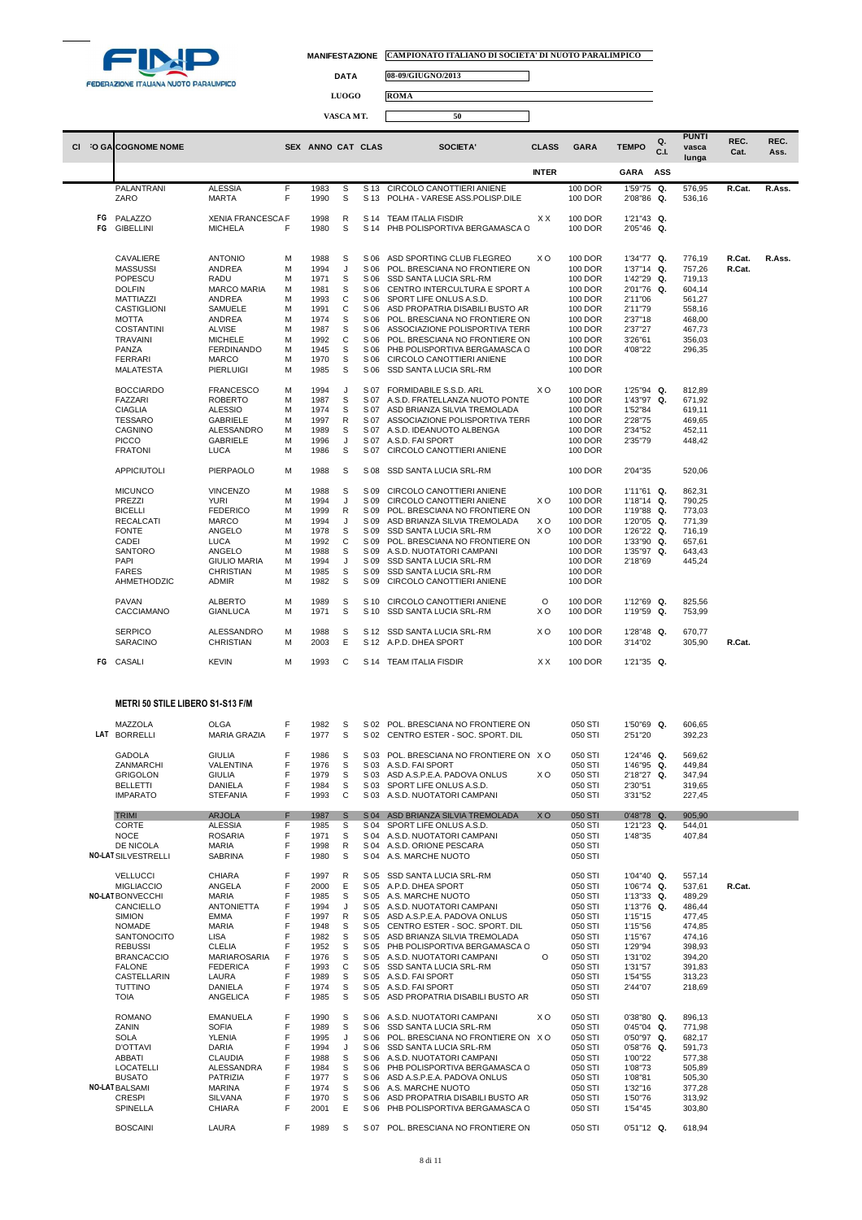

## **MANIFESTAZIONE CAMPIONATO ITALIANO DI SOCIETA' DI NUOTO PARALIMPICO**

 $\Box$ 

**DATA 08-09/GIUGNO/2013**

**LUOGO ROMA**

|          |                                              |                                            |        |                   | VASCA MT.    |              | 50                                                               |              |                                  |                             |           |                                |              |              |
|----------|----------------------------------------------|--------------------------------------------|--------|-------------------|--------------|--------------|------------------------------------------------------------------|--------------|----------------------------------|-----------------------------|-----------|--------------------------------|--------------|--------------|
|          | CI O GALCOGNOME NOME                         |                                            |        | SEX ANNO CAT CLAS |              |              | SOCIETA'                                                         | <b>CLASS</b> | <b>GARA</b>                      | <b>TEMPO</b>                | Q.<br>C.L | <b>PUNTI</b><br>vasca<br>lunga | REC.<br>Cat. | REC.<br>Ass. |
|          |                                              |                                            |        |                   |              |              |                                                                  | <b>INTER</b> |                                  | <b>GARA</b>                 | ASS       |                                |              |              |
|          | PALANTRANI                                   | <b>ALESSIA</b>                             | F      | 1983              | S            | S 13         | CIRCOLO CANOTTIERI ANIENE                                        |              | 100 DOR                          | 1'59"75 Q.                  |           | 576,95                         | R.Cat.       | R.Ass.       |
|          | ZARO                                         | <b>MARTA</b>                               | F      | 1990              | S            | S 13         | POLHA - VARESE ASS.POLISP.DILE                                   |              | <b>100 DOR</b>                   | 2'08"86 Q.                  |           | 536,16                         |              |              |
| FG<br>FG | PALAZZO<br><b>GIBELLINI</b>                  | <b>XENIA FRANCESCA F</b><br><b>MICHELA</b> | F      | 1998<br>1980      | R<br>S       | S 14<br>S 14 | <b>TEAM ITALIA FISDIR</b><br>PHB POLISPORTIVA BERGAMASCA C       | ХX           | 100 DOR<br>100 DOR               | 1'21"43 Q.<br>2'05"46 Q.    |           |                                |              |              |
|          | CAVALIERE                                    | <b>ANTONIO</b>                             | M      | 1988              | S            | S 06         | ASD SPORTING CLUB FLEGREO                                        | XO           | 100 DOR                          | 1'34"77 Q.                  |           | 776,19                         | R.Cat.       | R.Ass.       |
|          | <b>MASSUSSI</b>                              | <b>ANDREA</b>                              | M      | 1994              | J            | S 06         | POL. BRESCIANA NO FRONTIERE ON                                   |              | 100 DOR                          | 1'37"14 Q.                  |           | 757,26                         | R.Cat.       |              |
|          | POPESCU<br><b>DOLFIN</b>                     | RADU<br><b>MARCO MARIA</b>                 | M<br>M | 1971<br>1981      | S<br>S       | S 06<br>S 06 | SSD SANTA LUCIA SRL-RM<br>CENTRO INTERCULTURA E SPORT A          |              | 100 DOR<br>100 DOR               | 1'42"29<br>2'01"76          | Q.<br>Q.  | 719,13<br>604,14               |              |              |
|          | MATTIAZZI                                    | ANDREA                                     | M      | 1993              | C            | S 06         | SPORT LIFE ONLUS A.S.D.                                          |              | 100 DOR                          | 2'11"06                     |           | 561,27                         |              |              |
|          | CASTIGLIONI                                  | SAMUELE                                    | M      | 1991              | C            | S 06         | ASD PROPATRIA DISABILI BUSTO AR                                  |              | 100 DOR                          | 2'11"79                     |           | 558,16                         |              |              |
|          | <b>MOTTA</b><br><b>COSTANTINI</b>            | ANDREA<br><b>ALVISE</b>                    | M<br>M | 1974<br>1987      | S<br>s       | S 06<br>S 06 | POL. BRESCIANA NO FRONTIERE ON<br>ASSOCIAZIONE POLISPORTIVA TERR |              | 100 DOR<br>100 DOR               | 2'37"18<br>2'37"27          |           | 468,00<br>467,73               |              |              |
|          | <b>TRAVAINI</b>                              | <b>MICHELE</b>                             | M      | 1992              | C            | S 06         | POL. BRESCIANA NO FRONTIERE ON                                   |              | 100 DOR                          | 3'26"61                     |           | 356,03                         |              |              |
|          | PANZA                                        | <b>FERDINANDO</b>                          | M      | 1945              | S            | S 06         | PHB POLISPORTIVA BERGAMASCA C                                    |              | 100 DOR                          | 4'08"22                     |           | 296,35                         |              |              |
|          | <b>FERRARI</b><br>MALATESTA                  | MARCO<br>PIERLUIGI                         | M<br>M | 1970<br>1985      | s<br>s       | S 06<br>S 06 | CIRCOLO CANOTTIERI ANIENE<br>SSD SANTA LUCIA SRL-RM              |              | 100 DOR<br>100 DOR               |                             |           |                                |              |              |
|          |                                              |                                            |        |                   |              | S 07         | FORMIDABILE S.S.D. ARL                                           | ХO           | 100 DOR                          | 1'25"94 Q.                  |           |                                |              |              |
|          | <b>BOCCIARDO</b><br><b>FAZZARI</b>           | <b>FRANCESCO</b><br><b>ROBERTO</b>         | M<br>M | 1994<br>1987      | J<br>S       | S 07         | A.S.D. FRATELLANZA NUOTO PONTE                                   |              | 100 DOR                          | 1'43"97 Q.                  |           | 812,89<br>671,92               |              |              |
|          | <b>CIAGLIA</b>                               | <b>ALESSIO</b>                             | M      | 1974              | S            | S 07         | ASD BRIANZA SILVIA TREMOLADA                                     |              | 100 DOR                          | 1'52"84                     |           | 619,11                         |              |              |
|          | <b>TESSARO</b>                               | GABRIELE                                   | M      | 1997              | R<br>s       | S 07<br>S 07 | ASSOCIAZIONE POLISPORTIVA TERR<br>A.S.D. IDEANUOTO ALBENGA       |              | 100 DOR                          | 2'28"75                     |           | 469,65                         |              |              |
|          | CAGNINO<br><b>PICCO</b>                      | ALESSANDRO<br>GABRIELE                     | M<br>M | 1989<br>1996      | J            | S 07         | A.S.D. FAI SPORT                                                 |              | 100 DOR<br>100 DOR               | 2'34"52<br>2'35"79          |           | 452,11<br>448,42               |              |              |
|          | <b>FRATONI</b>                               | <b>LUCA</b>                                | M      | 1986              | S            | S 07         | CIRCOLO CANOTTIERI ANIENE                                        |              | 100 DOR                          |                             |           |                                |              |              |
|          | APPICIUTOLI                                  | PIERPAOLO                                  | M      | 1988              | S            | S 08         | SSD SANTA LUCIA SRL-RM                                           |              | 100 DOR                          | 2'04"35                     |           | 520,06                         |              |              |
|          | <b>MICUNCO</b>                               | <b>VINCENZO</b>                            | M      | 1988              | S            | S 09         | CIRCOLO CANOTTIERI ANIENE                                        |              | 100 DOR                          | 1'11"61 Q.                  |           | 862,31                         |              |              |
|          | PREZZI                                       | <b>YURI</b>                                | M      | 1994              | J            | S 09         | CIRCOLO CANOTTIERI ANIENE                                        | ХO           | 100 DOR                          | 1'18"14 Q.                  |           | 790,25                         |              |              |
|          | <b>BICELLI</b><br><b>RECALCATI</b>           | <b>FEDERICO</b><br><b>MARCO</b>            | M<br>M | 1999<br>1994      | R<br>J       | S 09<br>S 09 | POL. BRESCIANA NO FRONTIERE ON<br>ASD BRIANZA SILVIA TREMOLADA   | X O          | <b>100 DOR</b><br><b>100 DOR</b> | 1'19"88 Q.<br>1'20"05 Q.    |           | 773,03<br>771,39               |              |              |
|          | <b>FONTE</b>                                 | ANGELO                                     | M      | 1978              | S            | S 09         | SSD SANTA LUCIA SRL-RM                                           | ХO           | 100 DOR                          | 1'26"22 Q.                  |           | 716,19                         |              |              |
|          | CADEI                                        | LUCA                                       | M      | 1992              | C            | S 09         | POL. BRESCIANA NO FRONTIERE ON                                   |              | 100 DOR                          | 1'33"90 Q.                  |           | 657,61                         |              |              |
|          | <b>SANTORO</b><br>PAPI                       | ANGELO<br><b>GIULIO MARIA</b>              | M<br>M | 1988<br>1994      | S<br>J       | S 09<br>S 09 | A.S.D. NUOTATORI CAMPANI<br>SSD SANTA LUCIA SRL-RM               |              | 100 DOR<br>100 DOR               | 1'35"97 Q.<br>2'18"69       |           | 643,43<br>445,24               |              |              |
|          | <b>FARES</b>                                 | <b>CHRISTIAN</b>                           | M      | 1985              | S            | S 09         | SSD SANTA LUCIA SRL-RM                                           |              | 100 DOR                          |                             |           |                                |              |              |
|          | AHMETHODZIC                                  | <b>ADMIR</b>                               | M      | 1982              | S            | S 09         | CIRCOLO CANOTTIERI ANIENE                                        |              | 100 DOR                          |                             |           |                                |              |              |
|          | PAVAN<br>CACCIAMANO                          | ALBERTO<br>GIANLUCA                        | M<br>M | 1989<br>1971      | S<br>S       | S 10<br>S 10 | CIRCOLO CANOTTIERI ANIENE<br>SSD SANTA LUCIA SRL-RM              | O<br>xо      | 100 DOR<br>100 DOR               | 1'12"69 Q.<br>1'19"59 Q.    |           | 825,56<br>753,99               |              |              |
|          | <b>SERPICO</b>                               | ALESSANDRO                                 | M      | 1988              | S            |              | S 12 SSD SANTA LUCIA SRL-RM                                      | xо           | 100 DOR                          | 1'28"48 Q.                  |           | 670,77                         |              |              |
|          | SARACINO                                     | CHRISTIAN                                  | M      | 2003              | Е            |              | S 12 A.P.D. DHEA SPORT                                           |              | 100 DOR                          | 3'14"02                     |           | 305,90                         | R.Cat.       |              |
| FG       | CASALI                                       | <b>KEVIN</b>                               | M      | 1993              | С            |              | S 14 TEAM ITALIA FISDIR                                          | X X          | 100 DOR                          | 1'21"35 Q.                  |           |                                |              |              |
|          | <b>METRI 50 STILE LIBERO S1-S13 F/M</b>      |                                            |        |                   |              |              |                                                                  |              |                                  |                             |           |                                |              |              |
|          | MAZZOLA                                      | <b>OLGA</b>                                | F      | 1982              | S            |              | S 02 POL. BRESCIANA NO FRONTIERE ON                              |              | 050 STI                          | 1'50"69 Q.                  |           | 606,65                         |              |              |
|          | LAT BORRELLI                                 | <b>MARIA GRAZIA</b>                        | F      | 1977              | S            |              | S 02 CENTRO ESTER - SOC. SPORT. DIL                              |              | 050 STI                          | 2'51"20                     |           | 392,23                         |              |              |
|          | <b>GADOLA</b>                                | <b>GIULIA</b>                              | F      | 1986              | S .          |              | S 03 POL. BRESCIANA NO FRONTIERE ON XO                           |              | 050 STI                          | 1'24"46 Q.                  |           | 569.62                         |              |              |
|          | ZANMARCHI<br><b>GRIGOLON</b>                 | VALENTINA<br><b>GIULIA</b>                 | F<br>F | 1976<br>1979      | S<br>S       | S 03         | S 03 A.S.D. FAI SPORT<br>ASD A.S.P.E.A. PADOVA ONLUS             | xо           | 050 STI<br>050 STI               | 1'46"95 Q.<br>2'18"27 Q.    |           | 449,84<br>347,94               |              |              |
|          | <b>BELLETTI</b>                              | <b>DANIELA</b>                             | F      | 1984              | S            | S 03         | SPORT LIFE ONLUS A.S.D.                                          |              | 050 STI                          | 2'30"51                     |           | 319,65                         |              |              |
|          | <b>IMPARATO</b>                              | <b>STEFANIA</b>                            | F.     | 1993              | C            | S 03         | A.S.D. NUOTATORI CAMPANI                                         |              | 050 STI                          | 3'31"52                     |           | 227,45                         |              |              |
|          | <b>TRIMI</b><br>CORTE                        | <b>ARJOLA</b><br><b>ALESSIA</b>            | F<br>F | 1987<br>1985      | S<br>S       | S 04<br>S 04 | ASD BRIANZA SILVIA TREMOLADA<br>SPORT LIFE ONLUS A.S.D.          | XO           | 050 STI<br>050 STI               | $0'48''78$ Q.<br>1'21"23 Q. |           | 905,90<br>544,01               |              |              |
|          | <b>NOCE</b>                                  | <b>ROSARIA</b>                             | F      | 1971              | S            | S 04         | A.S.D. NUOTATORI CAMPANI                                         |              | 050 STI                          | 1'48"35                     |           | 407,84                         |              |              |
|          | DE NICOLA                                    | <b>MARIA</b>                               | F      | 1998              | R            | S 04         | A.S.D. ORIONE PESCARA                                            |              | 050 STI                          |                             |           |                                |              |              |
|          | <b>NO-LAT SILVESTRELLI</b>                   | SABRINA                                    | F      | 1980              | S            | S 04         | A.S. MARCHE NUOTO                                                |              | 050 STI                          |                             |           |                                |              |              |
|          | <b>VELLUCCI</b>                              | <b>CHIARA</b>                              | F      | 1997              | R            |              | S 05 SSD SANTA LUCIA SRL-RM                                      |              | 050 STI                          | 1'04"40 Q.                  |           | 557,14                         |              |              |
|          | <b>MIGLIACCIO</b><br><b>NO-LAT BONVECCHI</b> | ANGELA<br><b>MARIA</b>                     | F<br>F | 2000<br>1985      | E<br>S       | S 05<br>S 05 | A.P.D. DHEA SPORT<br>A.S. MARCHE NUOTO                           |              | 050 STI<br>050 STI               | 1'06"74 Q.<br>1'13"33 Q.    |           | 537,61<br>489,29               | R.Cat.       |              |
|          | CANCIELLO                                    | <b>ANTONIETTA</b>                          | F      | 1994              | J            | S 05         | A.S.D. NUOTATORI CAMPANI                                         |              | 050 STI                          | 1'13"76 Q.                  |           | 486,44                         |              |              |
|          | <b>SIMION</b>                                | EMMA                                       | F      | 1997              | $\mathsf{R}$ | S 05         | ASD A.S.P.E.A. PADOVA ONLUS                                      |              | 050 STI                          | 1'15"15                     |           | 477,45                         |              |              |
|          | <b>NOMADE</b><br><b>SANTONOCITO</b>          | <b>MARIA</b><br><b>LISA</b>                | F<br>F | 1948              | s<br>S       | S 05<br>S 05 | CENTRO ESTER - SOC. SPORT. DIL<br>ASD BRIANZA SILVIA TREMOLADA   |              | 050 STI<br>050 STI               | 1'15"56<br>1'15"67          |           | 474,85                         |              |              |
|          | <b>REBUSSI</b>                               | <b>CLELIA</b>                              | F      | 1982<br>1952      | S            | S 05         | PHB POLISPORTIVA BERGAMASCA C                                    |              | 050 STI                          | 1'29"94                     |           | 474,16<br>398,93               |              |              |
|          | <b>BRANCACCIO</b>                            | MARIAROSARIA                               | F      | 1976              | S            | S 05         | A.S.D. NUOTATORI CAMPANI                                         | O            | 050 STI                          | 1'31"02                     |           | 394,20                         |              |              |
|          | <b>FALONE</b>                                | <b>FEDERICA</b>                            | F<br>F | 1993              | C            | S 05         | SSD SANTA LUCIA SRL-RM                                           |              | 050 STI                          | 1'31"57                     |           | 391,83                         |              |              |
|          | CASTELLARIN<br>TUTTINO                       | LAURA<br><b>DANIELA</b>                    | F      | 1989<br>1974      | S<br>S       | S 05<br>S 05 | A.S.D. FAI SPORT<br>A.S.D. FAI SPORT                             |              | 050 STI<br>050 STI               | 1'54"55<br>2'44"07          |           | 313,23<br>218,69               |              |              |
|          | <b>TOIA</b>                                  | ANGELICA                                   | F      | 1985              | S            | S 05         | ASD PROPATRIA DISABILI BUSTO AR                                  |              | 050 STI                          |                             |           |                                |              |              |
|          | <b>ROMANO</b>                                | <b>EMANUELA</b>                            | F<br>F | 1990              | S            | S 06         | A.S.D. NUOTATORI CAMPANI                                         | ХO           | 050 STI                          | 0'38"80 Q.                  |           | 896,13                         |              |              |
|          | ZANIN<br><b>SOLA</b>                         | <b>SOFIA</b><br><b>YLENIA</b>              | F      | 1989<br>1995      | S<br>J       | S 06<br>S 06 | SSD SANTA LUCIA SRL-RM<br>POL. BRESCIANA NO FRONTIERE ON XO      |              | 050 STI<br>050 STI               | 0'45"04 Q.<br>0'50"97 Q.    |           | 771,98<br>682,17               |              |              |
|          | <b>D'OTTAVI</b>                              | <b>DARIA</b>                               | F      | 1994              | J            | S 06         | <b>SSD SANTA LUCIA SRL-RM</b>                                    |              | 050 STI                          | 0'58"76 Q.                  |           | 591,73                         |              |              |
|          | ABBATI                                       | <b>CLAUDIA</b>                             | F      | 1988              | S            | S 06         | A.S.D. NUOTATORI CAMPANI                                         |              | 050 STI                          | 1'00"22                     |           | 577,38                         |              |              |
|          | LOCATELLI<br><b>BUSATO</b>                   | ALESSANDRA<br>PATRIZIA                     | F<br>F | 1984<br>1977      | S<br>S       | S 06<br>S 06 | PHB POLISPORTIVA BERGAMASCA C<br>ASD A.S.P.E.A. PADOVA ONLUS     |              | 050 STI<br>050 STI               | 1'08"73<br>1'08"81          |           | 505,89<br>505,30               |              |              |
|          | <b>NO-LAT BALSAMI</b>                        | MARINA                                     | F      | 1974              | S            | S 06         | A.S. MARCHE NUOTO                                                |              | 050 STI                          | 1'32"16                     |           | 377,28                         |              |              |
|          | <b>CRESPI</b>                                | <b>SILVANA</b>                             | F      | 1970              | S            | S 06         | ASD PROPATRIA DISABILI BUSTO AR                                  |              | 050 STI                          | 1'50"76                     |           | 313,92                         |              |              |
|          | SPINELLA                                     | CHIARA                                     | F      | 2001              | Ε            | S 06         | PHB POLISPORTIVA BERGAMASCA C                                    |              | 050 STI                          | 1'54"45                     |           | 303,80                         |              |              |
|          | <b>BOSCAINI</b>                              | LAURA                                      | F      | 1989              | S            |              | S 07 POL. BRESCIANA NO FRONTIERE ON                              |              | 050 STI                          | 0'51"12 Q.                  |           | 618,94                         |              |              |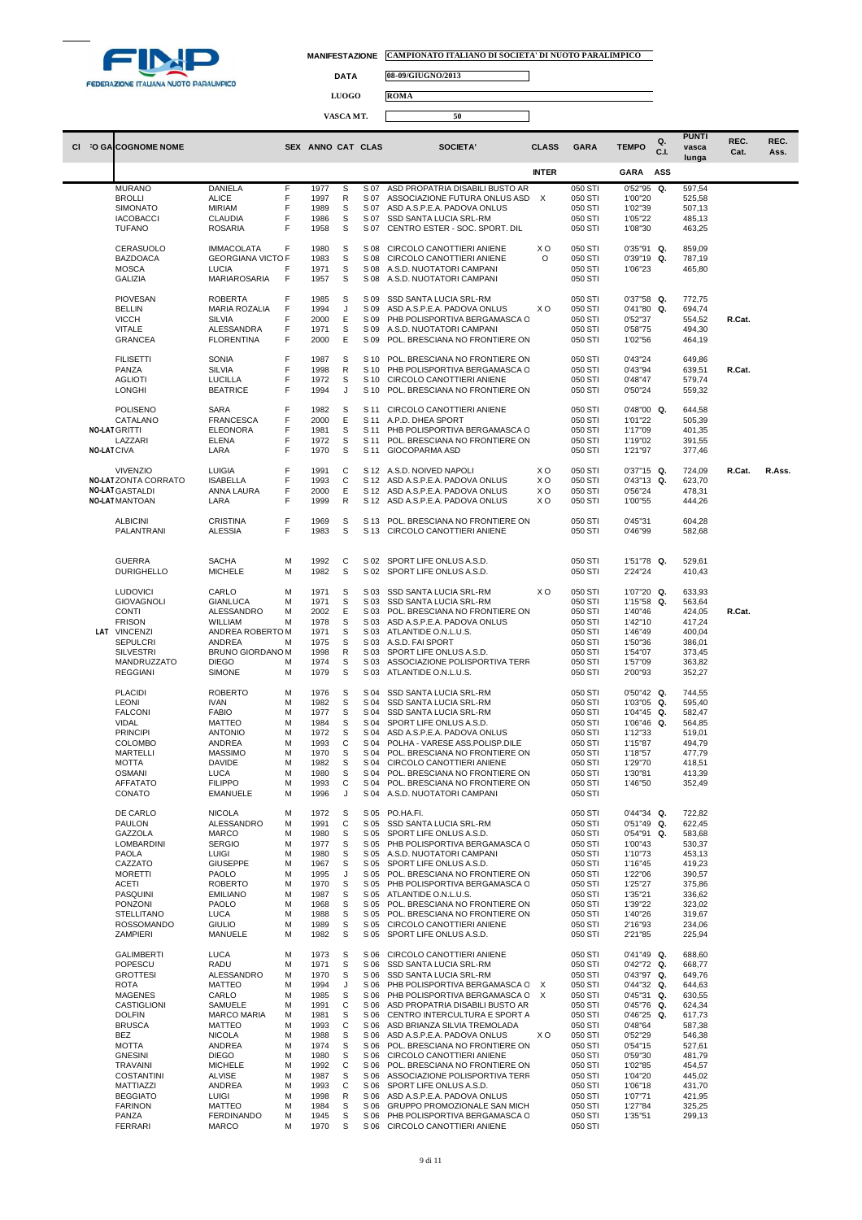

 $\Box$ 

 $\Box$ 

**DATA 08-09/GIUGNO/2013**

**LUOGO ROMA**

| <b>O GALCOGNOME NOME</b><br><b>CI</b>                                                                                                                                                                                                                                                                  |                                                                                                                      |                                                                                                                                                                                                                                              | SEX ANNO CAT CLAS                                                                                                                            |                                                                                                |                                                                                                                                              | SOCIETA'                                                                                                                                                                                                                                                                                                                                                                                                                                                                                                                                                                      | <b>CLASS</b>                                | <b>GARA</b>                                                                                                                                                                                        | <b>TEMPO</b>                                                                                                                                                                                                    | Q.<br>C.I. | <b>PUNTI</b><br>vasca<br>lunga                                                                                                                                         | REC.<br>Cat. | REC.<br>Ass. |
|--------------------------------------------------------------------------------------------------------------------------------------------------------------------------------------------------------------------------------------------------------------------------------------------------------|----------------------------------------------------------------------------------------------------------------------|----------------------------------------------------------------------------------------------------------------------------------------------------------------------------------------------------------------------------------------------|----------------------------------------------------------------------------------------------------------------------------------------------|------------------------------------------------------------------------------------------------|----------------------------------------------------------------------------------------------------------------------------------------------|-------------------------------------------------------------------------------------------------------------------------------------------------------------------------------------------------------------------------------------------------------------------------------------------------------------------------------------------------------------------------------------------------------------------------------------------------------------------------------------------------------------------------------------------------------------------------------|---------------------------------------------|----------------------------------------------------------------------------------------------------------------------------------------------------------------------------------------------------|-----------------------------------------------------------------------------------------------------------------------------------------------------------------------------------------------------------------|------------|------------------------------------------------------------------------------------------------------------------------------------------------------------------------|--------------|--------------|
|                                                                                                                                                                                                                                                                                                        |                                                                                                                      |                                                                                                                                                                                                                                              |                                                                                                                                              |                                                                                                |                                                                                                                                              |                                                                                                                                                                                                                                                                                                                                                                                                                                                                                                                                                                               | <b>INTER</b>                                |                                                                                                                                                                                                    | <b>GARA</b>                                                                                                                                                                                                     | ASS        |                                                                                                                                                                        |              |              |
| <b>MURANO</b><br><b>BROLLI</b><br><b>SIMONATO</b><br><b>IACOBACCI</b><br><b>TUFANO</b>                                                                                                                                                                                                                 | <b>ALICE</b><br><b>MIRIAM</b>                                                                                        | <b>DANIELA</b><br>F<br>F<br>F<br>F<br><b>CLAUDIA</b><br>F<br><b>ROSARIA</b>                                                                                                                                                                  | 1977<br>1997<br>1989<br>1986<br>1958                                                                                                         | S<br>${\sf R}$<br>S<br>S<br>S                                                                  | S 07<br>S 07<br>S 07<br>S 07<br>S 07                                                                                                         | ASD PROPATRIA DISABILI BUSTO AR<br>ASSOCIAZIONE FUTURA ONLUS ASD<br>ASD A.S.P.E.A. PADOVA ONLUS<br>SSD SANTA LUCIA SRL-RM<br>CENTRO ESTER - SOC. SPORT. DIL                                                                                                                                                                                                                                                                                                                                                                                                                   | $\mathsf{X}$                                | 050 STI<br>050 STI<br>050 STI<br>050 STI<br>050 STI                                                                                                                                                | 0'52"95<br>1'00"20<br>1'02"39<br>1'05"22<br>1'08"30                                                                                                                                                             | Q.         | 597,54<br>525,58<br>507,13<br>485,13<br>463,25                                                                                                                         |              |              |
| CERASUOLO<br><b>BAZDOACA</b><br><b>MOSCA</b><br><b>GALIZIA</b>                                                                                                                                                                                                                                         | LUCIA                                                                                                                | F<br><b>IMMACOLATA</b><br><b>GEORGIANA VICTO F</b><br>F<br>F<br>MARIAROSARIA                                                                                                                                                                 | 1980<br>1983<br>1971<br>1957                                                                                                                 | S<br>$\mathbb S$<br>S<br>S                                                                     | S 08<br>S 08<br>S 08<br>S 08                                                                                                                 | CIRCOLO CANOTTIERI ANIENE<br>CIRCOLO CANOTTIERI ANIENE<br>A.S.D. NUOTATORI CAMPANI<br>A.S.D. NUOTATORI CAMPANI                                                                                                                                                                                                                                                                                                                                                                                                                                                                | xо<br>O                                     | 050 STI<br>050 STI<br>050 STI<br>050 STI                                                                                                                                                           | $0'35''91$ Q.<br>0'39"19 Q.<br>1'06"23                                                                                                                                                                          |            | 859,09<br>787,19<br>465,80                                                                                                                                             |              |              |
| <b>PIOVESAN</b><br><b>BELLIN</b><br><b>VICCH</b><br><b>VITALE</b><br><b>GRANCEA</b>                                                                                                                                                                                                                    | <b>SILVIA</b>                                                                                                        | F<br><b>ROBERTA</b><br>F<br><b>MARIA ROZALIA</b><br>F<br>F<br>ALESSANDRA<br>F<br><b>FLORENTINA</b>                                                                                                                                           | 1985<br>1994<br>2000<br>1971<br>2000                                                                                                         | S<br>J<br>Е<br>S<br>Ε                                                                          | S 09<br>S 09<br>S 09<br>S 09<br>S 09                                                                                                         | SSD SANTA LUCIA SRL-RM<br>ASD A.S.P.E.A. PADOVA ONLUS<br>PHB POLISPORTIVA BERGAMASCA C<br>A.S.D. NUOTATORI CAMPANI<br>POL. BRESCIANA NO FRONTIERE ON                                                                                                                                                                                                                                                                                                                                                                                                                          | XO                                          | 050 STI<br>050 STI<br>050 STI<br>050 STI<br>050 STI                                                                                                                                                | $0'37"58$ Q.<br>0'41"80<br>0'52"37<br>0'58"75<br>1'02"56                                                                                                                                                        | Q.         | 772,75<br>694,74<br>554,52<br>494,30<br>464,19                                                                                                                         | R.Cat.       |              |
| <b>FILISETTI</b><br>PANZA<br><b>AGLIOTI</b><br><b>LONGHI</b>                                                                                                                                                                                                                                           | <b>SONIA</b><br><b>SILVIA</b>                                                                                        | F<br>F<br>F<br><b>LUCILLA</b><br>F<br><b>BEATRICE</b>                                                                                                                                                                                        | 1987<br>1998<br>1972<br>1994                                                                                                                 | S<br>R<br>S<br>J                                                                               | S 10<br>S 10<br>S 10<br>S 10                                                                                                                 | POL. BRESCIANA NO FRONTIERE ON<br>PHB POLISPORTIVA BERGAMASCA C<br>CIRCOLO CANOTTIERI ANIENE<br>POL. BRESCIANA NO FRONTIERE ON                                                                                                                                                                                                                                                                                                                                                                                                                                                |                                             | 050 STI<br>050 STI<br>050 STI<br>050 STI                                                                                                                                                           | 0'43"24<br>0'43"94<br>0'48"47<br>0'50"24                                                                                                                                                                        |            | 649,86<br>639,51<br>579,74<br>559,32                                                                                                                                   | R.Cat.       |              |
| <b>POLISENO</b><br>CATALANO<br><b>NO-LAT GRITTI</b><br>LAZZARI<br><b>NO-LAT CIVA</b>                                                                                                                                                                                                                   | <b>SARA</b><br><b>ELENA</b><br>LARA                                                                                  | F<br>F<br><b>FRANCESCA</b><br>F<br><b>ELEONORA</b><br>F<br>F                                                                                                                                                                                 | 1982<br>2000<br>1981<br>1972<br>1970                                                                                                         | S<br>Ε<br>S<br>S<br>S                                                                          | S 11<br>S 11<br>S 11<br>S 11<br>S 11                                                                                                         | CIRCOLO CANOTTIERI ANIENE<br>A.P.D. DHEA SPORT<br>PHB POLISPORTIVA BERGAMASCA C<br>POL. BRESCIANA NO FRONTIERE ON<br><b>GIOCOPARMA ASD</b>                                                                                                                                                                                                                                                                                                                                                                                                                                    |                                             | 050 STI<br>050 STI<br>050 STI<br>050 STI<br>050 STI                                                                                                                                                | $0'48"00$ Q.<br>1'01"22<br>1'17"09<br>1'19"02<br>1'21"97                                                                                                                                                        |            | 644,58<br>505,39<br>401,35<br>391,55<br>377,46                                                                                                                         |              |              |
| <b>VIVENZIO</b><br><b>NO-LATZONTA CORRATO</b><br><b>NO-LAT GASTALDI</b><br><b>NO-LAT MANTOAN</b>                                                                                                                                                                                                       | <b>LUIGIA</b><br>LARA                                                                                                | F<br>F<br><b>ISABELLA</b><br>F<br>ANNA LAURA<br>F                                                                                                                                                                                            | 1991<br>1993<br>2000<br>1999                                                                                                                 | С<br>C<br>Ε<br>R                                                                               | S 12                                                                                                                                         | S 12 A.S.D. NOIVED NAPOLI<br>S 12 ASD A.S.P.E.A. PADOVA ONLUS<br>S 12 ASD A.S.P.E.A. PADOVA ONLUS<br>ASD A.S.P.E.A. PADOVA ONLUS                                                                                                                                                                                                                                                                                                                                                                                                                                              | XO<br>XO<br>XO<br>xо                        | 050 STI<br>050 STI<br>050 STI<br>050 STI                                                                                                                                                           | $0'37"15$ Q.<br>0'43"13 Q.<br>0'56"24<br>1'00"55                                                                                                                                                                |            | 724,09<br>623,70<br>478,31<br>444,26                                                                                                                                   | R.Cat.       | R.Ass.       |
| <b>ALBICINI</b><br>PALANTRANI                                                                                                                                                                                                                                                                          |                                                                                                                      | <b>CRISTINA</b><br>F<br>F<br><b>ALESSIA</b>                                                                                                                                                                                                  | 1969<br>1983                                                                                                                                 | S<br>S                                                                                         | S 13<br>S 13                                                                                                                                 | POL. BRESCIANA NO FRONTIERE ON<br>CIRCOLO CANOTTIERI ANIENE                                                                                                                                                                                                                                                                                                                                                                                                                                                                                                                   |                                             | 050 STI<br>050 STI                                                                                                                                                                                 | 0'45"31<br>0'46"99                                                                                                                                                                                              |            | 604,28<br>582,68                                                                                                                                                       |              |              |
| <b>GUERRA</b>                                                                                                                                                                                                                                                                                          | <b>SACHA</b><br><b>DURIGHELLO</b>                                                                                    | М<br><b>MICHELE</b><br>М                                                                                                                                                                                                                     | 1992<br>1982                                                                                                                                 | С<br>S                                                                                         | S 02<br>S 02                                                                                                                                 | SPORT LIFE ONLUS A.S.D.<br>SPORT LIFE ONLUS A.S.D.                                                                                                                                                                                                                                                                                                                                                                                                                                                                                                                            |                                             | 050 STI<br>050 STI                                                                                                                                                                                 | 1'51"78 Q.<br>2'24"24                                                                                                                                                                                           |            | 529,61<br>410,43                                                                                                                                                       |              |              |
| <b>LUDOVICI</b><br><b>GIOVAGNOLI</b><br><b>CONTI</b><br><b>FRISON</b><br>LAT VINCENZI<br><b>SEPULCRI</b><br><b>SILVESTRI</b><br><b>REGGIANI</b>                                                                                                                                                        | CARLO<br>MANDRUZZATO<br><b>DIEGO</b>                                                                                 | М<br>GIANLUCA<br>М<br>ALESSANDRO<br>М<br>WILLIAM<br>М<br>ANDREA ROBERTOM<br>ANDREA<br>М<br>BRUNO GIORDANO M<br>М<br><b>SIMONE</b><br>М                                                                                                       | 1971<br>1971<br>2002<br>1978<br>1971<br>1975<br>1998<br>1974<br>1979                                                                         | S<br>S<br>Ε<br>S<br>S<br>S<br>R<br>S<br>S                                                      | S 03<br>S 03<br>S 03<br>S 03<br>S 03<br>S 03<br>S 03<br>S 03<br>S 03                                                                         | SSD SANTA LUCIA SRL-RM<br>SSD SANTA LUCIA SRL-RM<br>POL. BRESCIANA NO FRONTIERE ON<br>ASD A.S.P.E.A. PADOVA ONLUS<br>ATLANTIDE O.N.L.U.S.<br>A.S.D. FAI SPORT<br>SPORT LIFE ONLUS A.S.D.<br>ASSOCIAZIONE POLISPORTIVA TERR<br>ATLANTIDE O.N.L.U.S.                                                                                                                                                                                                                                                                                                                            | XO                                          | 050 STI<br>050 STI<br>050 STI<br>050 STI<br>050 STI<br>050 STI<br>050 STI<br>050 STI<br>050 STI                                                                                                    | 1'07"20 Q.<br>1'15"58 Q.<br>1'40"46<br>1'42"10<br>1'46"49<br>1'50"36<br>1'54"07<br>1'57"09<br>2'00"93                                                                                                           |            | 633,93<br>563,64<br>424,05<br>417,24<br>400,04<br>386,01<br>373,45<br>363,82<br>352,27                                                                                 | R.Cat.       |              |
| <b>PLACIDI</b><br><b>LEONI</b><br><b>FALCONI</b><br>VIDAL<br><b>PRINCIPI</b><br><b>COLOMBO</b><br>MARTELLI<br><b>MOTTA</b><br><b>OSMANI</b><br><b>AFFATATO</b><br>CONATO                                                                                                                               | <b>IVAN</b><br><b>FABIO</b><br><b>DAVIDE</b><br>LUCA                                                                 | <b>ROBERTO</b><br>М<br>М<br>М<br><b>MATTEO</b><br>М<br>М<br><b>ANTONIO</b><br>ANDREA<br>м<br><b>MASSIMO</b><br>М<br>М<br>M<br><b>FILIPPO</b><br>М<br><b>EMANUELE</b><br>М                                                                    | 1976<br>1982<br>1977<br>1984<br>1972<br>1993<br>1970<br>1982<br>1980<br>1993<br>1996                                                         | S<br>S<br>S<br>S<br>S<br>С<br>S<br>S<br>S<br>C<br>J                                            | S 04<br>S 04<br>S 04<br>S 04<br>S 04<br>S 04<br>S 04<br>S 04<br>S 04                                                                         | SSD SANTA LUCIA SRL-RM<br>SSD SANTA LUCIA SRL-RM<br>SSD SANTA LUCIA SRL-RM<br>SPORT LIFE ONLUS A.S.D.<br>ASD A.S.P.E.A. PADOVA ONLUS<br>POLHA - VARESE ASS.POLISP.DILE<br>POL. BRESCIANA NO FRONTIERE ON<br>CIRCOLO CANOTTIERI ANIENE<br>POL. BRESCIANA NO FRONTIERE ON<br>S 04 POL. BRESCIANA NO FRONTIERE ON<br>S 04 A.S.D. NUOTATORI CAMPANI                                                                                                                                                                                                                               |                                             | 050 STI<br>050 STI<br>050 STI<br>050 STI<br>050 STI<br>050 STI<br>050 STI<br>050 STI<br>050 STI<br>050 STI<br>050 STI                                                                              | $0'50''42$ Q.<br>1'03"05<br>1'04"45 Q.<br>1'06"46 Q.<br>1'12"33<br>1'15"87<br>1'18"57<br>1'29"70<br>1'30"81<br>1'46"50                                                                                          | Q.         | 744,55<br>595,40<br>582,47<br>564,85<br>519,01<br>494,79<br>477,79<br>418,51<br>413,39<br>352,49                                                                       |              |              |
| DE CARLO<br>PAULON<br>GAZZOLA<br><b>LOMBARDINI</b><br>PAOLA<br>CAZZATO<br><b>MORETTI</b><br><b>ACETI</b><br><b>PASQUINI</b><br>PONZONI<br><b>STELLITANO</b><br><b>ZAMPIERI</b>                                                                                                                         | <b>NICOLA</b><br><b>MARCO</b><br><b>LUIGI</b><br>PAOLO<br>PAOLO<br><b>LUCA</b><br><b>ROSSOMANDO</b><br><b>GIULIO</b> | М<br>ALESSANDRO<br>М<br>М<br><b>SERGIO</b><br>М<br>M<br>М<br><b>GIUSEPPE</b><br>М<br>M<br><b>ROBERTO</b><br>М<br><b>EMILIANO</b><br>М<br>M<br>М<br>MANUELE<br>М                                                                              | 1972<br>1991<br>1980<br>1977<br>1980<br>1967<br>1995<br>1970<br>1987<br>1968<br>1988<br>1989<br>1982                                         | S<br>C<br>S<br>S<br>S<br>S<br>J<br>S<br>S<br>S<br>S<br>S<br>S                                  | S 05<br>S 05<br>S 05<br>S 05<br>S 05<br>S 05<br>S 05<br>S 05<br>S 05<br>S 05<br>S 05<br>S 05                                                 | PO.HA.FI.<br>SSD SANTA LUCIA SRL-RM<br>SPORT LIFE ONLUS A.S.D.<br>PHB POLISPORTIVA BERGAMASCA C<br>S 05 A.S.D. NUOTATORI CAMPANI<br>SPORT LIFE ONLUS A.S.D.<br>POL. BRESCIANA NO FRONTIERE ON<br>PHB POLISPORTIVA BERGAMASCA C<br>ATLANTIDE O.N.L.U.S.<br>POL. BRESCIANA NO FRONTIERE ON<br>POL. BRESCIANA NO FRONTIERE ON<br>CIRCOLO CANOTTIERI ANIENE<br>SPORT LIFE ONLUS A.S.D.                                                                                                                                                                                            |                                             | 050 STI<br>050 STI<br>050 STI<br>050 STI<br>050 STI<br>050 STI<br>050 STI<br>050 STI<br>050 STI<br>050 STI<br>050 STI<br>050 STI<br>050 STI                                                        | 0'44"34 Q.<br>$0'51''49$ Q.<br>0'54"91 Q.<br>1'00"43<br>1'10"73<br>1'16"45<br>1'22"06<br>1'25"27<br>1'35"21<br>1'39"22<br>1'40"26<br>2'16"93<br>2'21"85                                                         |            | 722,82<br>622,45<br>583,68<br>530,37<br>453,13<br>419,23<br>390,57<br>375,86<br>336,62<br>323,02<br>319,67<br>234,06<br>225,94                                         |              |              |
| <b>GALIMBERTI</b><br>POPESCU<br><b>GROTTESI</b><br><b>ROTA</b><br><b>MAGENES</b><br>CASTIGLIONI<br><b>DOLFIN</b><br><b>BRUSCA</b><br><b>BEZ</b><br><b>MOTTA</b><br><b>GNESINI</b><br><b>TRAVAINI</b><br><b>COSTANTINI</b><br>MATTIAZZI<br><b>BEGGIATO</b><br><b>FARINON</b><br>PANZA<br><b>FERRARI</b> | <b>LUCA</b><br><b>RADU</b><br>CARLO<br><b>NICOLA</b><br><b>DIEGO</b><br><b>ALVISE</b><br>LUIGI<br><b>MARCO</b>       | М<br>М<br>ALESSANDRO<br>М<br>М<br><b>MATTEO</b><br>M<br>SAMUELE<br>М<br><b>MARCO MARIA</b><br>М<br>М<br><b>MATTEO</b><br>М<br>ANDREA<br>М<br>М<br>М<br><b>MICHELE</b><br>М<br>М<br>ANDREA<br>М<br>М<br>MATTEO<br><b>FERDINANDO</b><br>М<br>М | 1973<br>1971<br>1970<br>1994<br>1985<br>1991<br>1981<br>1993<br>1988<br>1974<br>1980<br>1992<br>1987<br>1993<br>1998<br>1984<br>1945<br>1970 | S<br>S<br>S<br>J<br>S<br>С<br>S<br>С<br>S<br>S<br>S<br>С<br>S<br>С<br>${\sf R}$<br>S<br>S<br>S | S 06<br>S 06<br>S 06<br>S 06<br>S 06<br>S 06<br>S 06<br>S 06<br>S 06<br>S 06<br>S 06<br>S 06<br>S 06<br>S 06<br>S 06<br>S 06<br>S 06<br>S 06 | CIRCOLO CANOTTIERI ANIENE<br>SSD SANTA LUCIA SRL-RM<br>SSD SANTA LUCIA SRL-RM<br>PHB POLISPORTIVA BERGAMASCA C<br>PHB POLISPORTIVA BERGAMASCA C<br>ASD PROPATRIA DISABILI BUSTO AR<br>CENTRO INTERCULTURA E SPORT A<br>ASD BRIANZA SILVIA TREMOLADA<br>ASD A.S.P.E.A. PADOVA ONLUS<br>POL. BRESCIANA NO FRONTIERE ON<br>CIRCOLO CANOTTIERI ANIENE<br>POL. BRESCIANA NO FRONTIERE ON<br>ASSOCIAZIONE POLISPORTIVA TERR<br>SPORT LIFE ONLUS A.S.D.<br>ASD A.S.P.E.A. PADOVA ONLUS<br>GRUPPO PROMOZIONALE SAN MICH<br>PHB POLISPORTIVA BERGAMASCA C<br>CIRCOLO CANOTTIERI ANIENE | $\boldsymbol{\mathsf{X}}$<br>$\times$<br>xо | 050 STI<br>050 STI<br>050 STI<br>050 STI<br>050 STI<br>050 STI<br>050 STI<br>050 STI<br>050 STI<br>050 STI<br>050 STI<br>050 STI<br>050 STI<br>050 STI<br>050 STI<br>050 STI<br>050 STI<br>050 STI | 0'41"49 Q.<br>0'42"72 Q.<br>0'43"97 Q.<br>0'44"32 Q.<br>0'45"31 Q.<br>0'45"76 Q.<br>$0'46''25$ Q.<br>0'48"64<br>0'52"29<br>0'54"15<br>0'59"30<br>1'02"85<br>1'04"20<br>1'06"18<br>1'07"71<br>1'27"84<br>1'35"51 |            | 688,60<br>668,77<br>649,76<br>644,63<br>630,55<br>624,34<br>617,73<br>587,38<br>546,38<br>527,61<br>481,79<br>454,57<br>445,02<br>431,70<br>421,95<br>325,25<br>299,13 |              |              |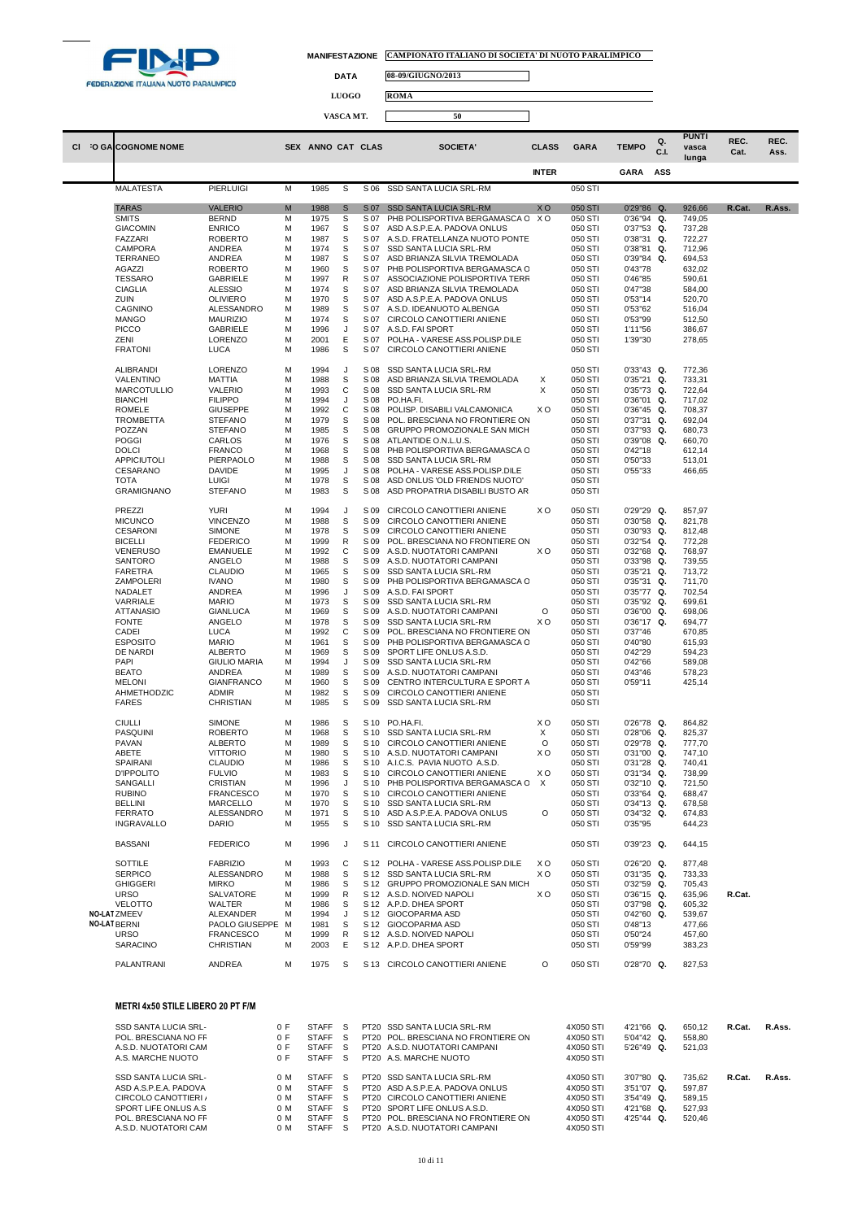

 $\Box$ 

 $\Box$ 

**DATA 08-09/GIUGNO/2013**

**LUOGO ROMA**

| CI. | O GA COGNOME NOME                             |                                   |            | SEX ANNO CAT CLAS            |          |              | SOCIETA'                                                           | <b>CLASS</b>   | <b>GARA</b>            | <b>TEMPO</b>                | Q.<br>C.L | <b>PUNTI</b><br>vasca<br>lunga | REC.<br>Cat. | REC.<br>Ass. |
|-----|-----------------------------------------------|-----------------------------------|------------|------------------------------|----------|--------------|--------------------------------------------------------------------|----------------|------------------------|-----------------------------|-----------|--------------------------------|--------------|--------------|
|     |                                               |                                   |            |                              |          |              |                                                                    | <b>INTER</b>   |                        | <b>GARA</b>                 | ASS       |                                |              |              |
|     | <b>MALATESTA</b>                              | <b>PIERLUIGI</b>                  | M          | 1985                         | S        | S 06         | SSD SANTA LUCIA SRL-RM                                             |                | 050 STI                |                             |           |                                |              |              |
|     | <b>TARAS</b>                                  | <b>VALERIO</b>                    | M          | 1988                         | S        | S 07         | <b>SSD SANTA LUCIA SRL-RM</b>                                      | XO             | 050 STI                | 0'29"86 Q.                  |           | 926,66                         | R.Cat.       | R.Ass.       |
|     | <b>SMITS</b>                                  | <b>BERND</b>                      | M          | 1975                         | S        | S 07         | PHB POLISPORTIVA BERGAMASCA C X O                                  |                | 050 STI                | 0'36"94                     | Q.        | 749,05                         |              |              |
|     | <b>GIACOMIN</b>                               | <b>ENRICO</b>                     | M          | 1967                         | S        | S 07         | ASD A.S.P.E.A. PADOVA ONLUS                                        |                | 050 STI                | 0'37"53 Q.                  |           | 737,28                         |              |              |
|     | FAZZARI                                       | <b>ROBERTO</b>                    | M          | 1987                         | S        | S 07         | A.S.D. FRATELLANZA NUOTO PONTE                                     |                | 050 STI                | $0'38''31$ Q.               |           | 722,27                         |              |              |
|     | CAMPORA                                       | ANDREA                            | M          | 1974                         | s        | S 07         | SSD SANTA LUCIA SRL-RM                                             |                | 050 STI                | 0'38"81                     | Q.        | 712,96                         |              |              |
|     | TERRANEO<br>AGAZZI                            | ANDREA<br><b>ROBERTO</b>          | M<br>M     | 1987<br>1960                 | S<br>s   | S 07<br>S 07 | ASD BRIANZA SILVIA TREMOLADA<br>PHB POLISPORTIVA BERGAMASCA C      |                | 050 STI<br>050 STI     | 0'39"84<br>0'43"78          | Q.        | 694,53<br>632,02               |              |              |
|     | <b>TESSARO</b>                                | <b>GABRIELE</b>                   | M          | 1997                         | R        | S 07         | ASSOCIAZIONE POLISPORTIVA TERR                                     |                | 050 STI                | 0'46"85                     |           | 590,61                         |              |              |
|     | <b>CIAGLIA</b>                                | <b>ALESSIO</b>                    | M          | 1974                         | S        | S 07         | ASD BRIANZA SILVIA TREMOLADA                                       |                | 050 STI                | 0'47"38                     |           | 584,00                         |              |              |
|     | ZUIN                                          | OLIVIERO                          | M          | 1970                         | S        | S 07         | ASD A.S.P.E.A. PADOVA ONLUS                                        |                | 050 STI                | 0'53"14                     |           | 520,70                         |              |              |
|     | CAGNINO                                       | ALESSANDRO                        | M          | 1989                         | S        | S 07         | A.S.D. IDEANUOTO ALBENGA                                           |                | 050 STI                | 0'53"62                     |           | 516,04                         |              |              |
|     | <b>MANGO</b>                                  | <b>MAURIZIO</b>                   | M          | 1974                         | S        | S 07         | CIRCOLO CANOTTIERI ANIENE                                          |                | 050 STI                | 0'53"99<br>1'11"56          |           | 512,50                         |              |              |
|     | <b>PICCO</b><br>ZENI                          | <b>GABRIELE</b><br>LORENZO        | M<br>M     | 1996<br>2001                 | J<br>Ε   | S 07<br>S 07 | A.S.D. FAI SPORT<br>POLHA - VARESE ASS.POLISP.DILE                 |                | 050 STI<br>050 STI     | 1'39"30                     |           | 386,67<br>278,65               |              |              |
|     | <b>FRATONI</b>                                | LUCA                              | M          | 1986                         | S        | S 07         | CIRCOLO CANOTTIERI ANIENE                                          |                | 050 STI                |                             |           |                                |              |              |
|     |                                               |                                   |            |                              |          |              |                                                                    |                |                        |                             |           |                                |              |              |
|     | ALIBRANDI<br>VALENTINO                        | <b>LORENZO</b><br>MATTIA          | M<br>M     | 1994<br>1988                 | J<br>S   | S 08<br>S 08 | SSD SANTA LUCIA SRL-RM<br>ASD BRIANZA SILVIA TREMOLADA             | X              | 050 STI<br>050 STI     | $0'33''43$ Q.<br>0'35"21    | Q.        | 772,36<br>733,31               |              |              |
|     | <b>MARCOTULLIO</b>                            | <b>VALERIO</b>                    | M          | 1993                         | С        | S 08         | SSD SANTA LUCIA SRL-RM                                             | X              | 050 STI                | 0'35"73                     | Q.        | 722,64                         |              |              |
|     | <b>BIANCHI</b>                                | <b>FILIPPO</b>                    | M          | 1994                         | J        | S 08         | PO.HA.FI.                                                          |                | 050 STI                | 0'36"01 Q.                  |           | 717,02                         |              |              |
|     | <b>ROMELE</b>                                 | <b>GIUSEPPE</b>                   | M          | 1992                         | С        | S 08         | POLISP. DISABILI VALCAMONICA                                       | xо             | 050 STI                | $0'36''45$ Q.               |           | 708,37                         |              |              |
|     | <b>TROMBETTA</b>                              | <b>STEFANO</b>                    | M          | 1979                         | S        | S 08         | POL. BRESCIANA NO FRONTIERE ON                                     |                | 050 STI                | 0'37"31 Q.                  |           | 692,04                         |              |              |
|     | POZZAN<br><b>POGGI</b>                        | <b>STEFANO</b><br>CARLOS          | M<br>M     | 1985<br>1976                 | S<br>S   | S 08<br>S 08 | GRUPPO PROMOZIONALE SAN MICH<br>ATLANTIDE O.N.L.U.S.               |                | 050 STI<br>050 STI     | 0'37"93 Q.<br>0'39"08       | Q.        | 680,73                         |              |              |
|     | <b>DOLCI</b>                                  | <b>FRANCO</b>                     | M          | 1968                         | S        | S 08         | PHB POLISPORTIVA BERGAMASCA C                                      |                | 050 STI                | 0'42"18                     |           | 660,70<br>612,14               |              |              |
|     | APPICIUTOLI                                   | PIERPAOLO                         | M          | 1988                         | S        | S 08         | SSD SANTA LUCIA SRL-RM                                             |                | 050 STI                | 0'50"33                     |           | 513,01                         |              |              |
|     | CESARANO                                      | <b>DAVIDE</b>                     | M          | 1995                         | J        | S 08         | POLHA - VARESE ASS.POLISP.DILE                                     |                | 050 STI                | 0'55"33                     |           | 466,65                         |              |              |
|     | <b>TOTA</b>                                   | <b>LUIGI</b>                      | M          | 1978                         | S        | S 08         | ASD ONLUS 'OLD FRIENDS NUOTO'                                      |                | 050 STI                |                             |           |                                |              |              |
|     | <b>GRAMIGNANO</b>                             | <b>STEFANO</b>                    | M          | 1983                         | S        | S 08         | ASD PROPATRIA DISABILI BUSTO AR                                    |                | 050 STI                |                             |           |                                |              |              |
|     | PREZZI                                        | <b>YURI</b>                       | M          | 1994                         | J        | S 09         | CIRCOLO CANOTTIERI ANIENE                                          | X <sub>O</sub> | 050 STI                | 0'29"29 Q.                  |           | 857,97                         |              |              |
|     | <b>MICUNCO</b>                                | <b>VINCENZO</b>                   | M          | 1988                         | S        | S 09         | CIRCOLO CANOTTIERI ANIENE                                          |                | 050 STI                | $0'30"58$ Q.                |           | 821,78                         |              |              |
|     | <b>CESARONI</b>                               | <b>SIMONE</b>                     | M          | 1978                         | S        | S 09         | CIRCOLO CANOTTIERI ANIENE                                          |                | 050 STI                | 0'30"93 Q.                  |           | 812,48                         |              |              |
|     | <b>BICELLI</b>                                | <b>FEDERICO</b>                   | M          | 1999                         | R        | S 09         | POL. BRESCIANA NO FRONTIERE ON                                     |                | 050 STI                | $0'32"54$ Q.                |           | 772,28                         |              |              |
|     | <b>VENERUSO</b>                               | <b>EMANUELE</b>                   | M          | 1992                         | С        | S 09         | A.S.D. NUOTATORI CAMPANI                                           | X <sub>O</sub> | 050 STI                | $0'32''68$ Q.               |           | 768,97                         |              |              |
|     | SANTORO<br><b>FARETRA</b>                     | ANGELO<br><b>CLAUDIO</b>          | M<br>M     | 1988<br>1965                 | S<br>S   | S 09<br>S 09 | A.S.D. NUOTATORI CAMPANI<br>SSD SANTA LUCIA SRL-RM                 |                | 050 STI<br>050 STI     | 0'33"98 Q.<br>0'35"21       | Q.        | 739,55<br>713,72               |              |              |
|     | ZAMPOLERI                                     | <b>IVANO</b>                      | M          | 1980                         | S        | S 09         | PHB POLISPORTIVA BERGAMASCA C                                      |                | 050 STI                | 0'35"31 Q.                  |           | 711,70                         |              |              |
|     | NADALET                                       | ANDREA                            | M          | 1996                         | J        | S 09         | A.S.D. FAI SPORT                                                   |                | 050 STI                | 0'35"77 Q.                  |           | 702,54                         |              |              |
|     | VARRIALE                                      | <b>MARIO</b>                      | M          | 1973                         | S        | S 09         | SSD SANTA LUCIA SRL-RM                                             |                | 050 STI                | $0'35''92$ Q.               |           | 699,61                         |              |              |
|     | ATTANASIO                                     | <b>GIANLUCA</b>                   | M          | 1969                         | S        | S 09         | A.S.D. NUOTATORI CAMPANI                                           | O              | 050 STI                | $0'36''00$ Q.               |           | 698,06                         |              |              |
|     | <b>FONTE</b><br>CADEI                         | ANGELO<br>LUCA                    | M<br>M     | 1978<br>1992                 | S<br>C   | S 09<br>S 09 | SSD SANTA LUCIA SRL-RM<br>POL. BRESCIANA NO FRONTIERE ON           | X <sub>O</sub> | 050 STI<br>050 STI     | 0'36"17<br>0'37"46          | Q.        | 694,77<br>670,85               |              |              |
|     | <b>ESPOSITO</b>                               | <b>MARIO</b>                      | M          | 1961                         | S        | S 09         | PHB POLISPORTIVA BERGAMASCA C                                      |                | 050 STI                | 0'40"80                     |           | 615,93                         |              |              |
|     | DE NARDI                                      | <b>ALBERTO</b>                    | M          | 1969                         | S        | S 09         | SPORT LIFE ONLUS A.S.D.                                            |                | 050 STI                | 0'42"29                     |           | 594,23                         |              |              |
|     | PAPI                                          | <b>GIULIO MARIA</b>               | M          | 1994                         | J        | S 09         | SSD SANTA LUCIA SRL-RM                                             |                | 050 STI                | 0'42"66                     |           | 589,08                         |              |              |
|     | <b>BEATO</b>                                  | ANDREA                            | M          | 1989                         | S        | S 09         | A.S.D. NUOTATORI CAMPANI                                           |                | 050 STI                | 0'43"46                     |           | 578,23                         |              |              |
|     | <b>MELONI</b><br>AHMETHODZIC                  | <b>GIANFRANCO</b>                 | M<br>M     | 1960<br>1982                 | S<br>S   | S 09<br>S 09 | CENTRO INTERCULTURA E SPORT A<br>CIRCOLO CANOTTIERI ANIENE         |                | 050 STI                | 0'59"11                     |           | 425,14                         |              |              |
|     | <b>FARES</b>                                  | <b>ADMIR</b><br>CHRISTIAN         | M          | 1985                         | S        | S 09         | SSD SANTA LUCIA SRL-RM                                             |                | 050 STI<br>050 STI     |                             |           |                                |              |              |
|     |                                               |                                   |            |                              |          |              |                                                                    |                |                        |                             |           |                                |              |              |
|     | <b>CIULLI</b>                                 | <b>SIMONE</b>                     | M          | 1986                         | S        | S 10         | PO.HA.FI.                                                          | XO             | 050 STI                | 0'26"78 Q.                  |           | 864,82                         |              |              |
|     | PASQUINI                                      | <b>ROBERTO</b>                    | M          | 1968                         | S        | S 10         | SSD SANTA LUCIA SRL-RM                                             | X              | 050 STI                | 0'28"06 Q.                  |           | 825,37                         |              |              |
|     | <b>PAVAN</b><br>ABETE                         | <b>ALBERTO</b><br><b>VITTORIO</b> | M<br>M     | 1989<br>1980                 | S<br>S   | S 10<br>S 10 | CIRCOLO CANOTTIERI ANIENE<br>A.S.D. NUOTATORI CAMPANI              | $\circ$<br>xо  | 050 STI<br>050 STI     | 0'29"78 Q.<br>0'31"00       | Q.        | 777,70<br>747,10               |              |              |
|     | SPAIRANI                                      | <b>CLAUDIO</b>                    | M          | 1986                         | S        | S 10         | A.I.C.S. PAVIA NUOTO A.S.D.                                        |                | 050 STI                | $0'31''28$ Q.               |           | 740,41                         |              |              |
|     | <b>D'IPPOLITO</b>                             | <b>FULVIO</b>                     | M          | 1983                         | S        | S 10         | CIRCOLO CANOTTIERI ANIENE                                          | xо             | 050 STI                | $0'31''34$ Q.               |           | 738,99                         |              |              |
|     | SANGALLI                                      | CRISTIAN                          | M          | 1996                         | J        | S 10         | PHB POLISPORTIVA BERGAMASCA C                                      | $\mathsf{X}$   | 050 STI                | $0'32"10$ Q.                |           | 721,50                         |              |              |
|     | <b>RUBINO</b>                                 | <b>FRANCESCO</b>                  | M          | 1970                         | S        |              | S 10 CIRCOLO CANOTTIERI ANIENE                                     |                | 050 STI                | 0'33"64 Q.                  |           | 688,47                         |              |              |
|     | <b>BELLINI</b><br><b>FERRATO</b>              | MARCELLO<br>ALESSANDRO            | M<br>M     | 1970<br>1971                 | S<br>S   | S 10<br>S 10 | <b>SSD SANTA LUCIA SRL-RM</b><br>ASD A.S.P.E.A. PADOVA ONLUS       | O              | 050 STI<br>050 STI     | $0'34''13$ Q.<br>0'34"32 Q. |           | 678,58<br>674,83               |              |              |
|     | <b>INGRAVALLO</b>                             | <b>DARIO</b>                      | M          | 1955                         | S        | S 10         | SSD SANTA LUCIA SRL-RM                                             |                | 050 STI                | 0'35"95                     |           | 644,23                         |              |              |
|     |                                               |                                   |            |                              |          |              |                                                                    |                |                        |                             |           |                                |              |              |
|     | <b>BASSANI</b>                                | <b>FEDERICO</b>                   | M          | 1996                         | J        |              | S 11 CIRCOLO CANOTTIERI ANIENE                                     |                | 050 STI                | 0'39"23 Q.                  |           | 644,15                         |              |              |
|     | SOTTILE                                       | <b>FABRIZIO</b>                   | M          | 1993                         | C        |              | S 12 POLHA - VARESE ASS.POLISP.DILE                                | X O            | 050 STI                | $0'26''20$ Q.               |           | 877,48                         |              |              |
|     | <b>SERPICO</b>                                | ALESSANDRO                        | M          | 1988                         | S        | S 12         | <b>SSD SANTA LUCIA SRL-RM</b>                                      | X <sub>O</sub> | 050 STI                | $0'31''35$ Q.               |           | 733,33                         |              |              |
|     | <b>GHIGGERI</b>                               | <b>MIRKO</b>                      | M          | 1986                         | S        | S 12         | <b>GRUPPO PROMOZIONALE SAN MICH</b>                                |                | 050 STI                | 0'32"59 Q.                  |           | 705,43                         |              |              |
|     | <b>URSO</b><br><b>VELOTTO</b>                 | SALVATORE<br>WALTER               | M<br>M     | 1999<br>1986                 | R<br>S   |              | S 12 A.S.D. NOIVED NAPOLI<br>S 12 A.P.D. DHEA SPORT                | X <sub>O</sub> | 050 STI<br>050 STI     | $0'36''15$ Q.<br>0'37"98 Q. |           | 635,96<br>605,32               | R.Cat.       |              |
|     | NO-LATZMEEV                                   | ALEXANDER                         | M          | 1994                         | J        | S 12         | GIOCOPARMA ASD                                                     |                | 050 STI                | $0'42''60$ Q.               |           | 539,67                         |              |              |
|     | <b>NO-LAT BERNI</b>                           | PAOLO GIUSEPPE M                  |            | 1981                         | S        |              | S 12 GIOCOPARMA ASD                                                |                | 050 STI                | 0'48"13                     |           | 477,66                         |              |              |
|     | <b>URSO</b>                                   | <b>FRANCESCO</b>                  | M          | 1999                         | R        |              | S 12 A.S.D. NOIVED NAPOLI                                          |                | 050 STI                | 0'50"24                     |           | 457,60                         |              |              |
|     | SARACINO                                      | <b>CHRISTIAN</b>                  | M          | 2003                         | Е        | S 12         | A.P.D. DHEA SPORT                                                  |                | 050 STI                | 0'59"99                     |           | 383,23                         |              |              |
|     | PALANTRANI                                    | ANDREA                            | M          | 1975                         | S        |              | S 13 CIRCOLO CANOTTIERI ANIENE                                     | O              | 050 STI                | 0'28"70 Q.                  |           | 827,53                         |              |              |
|     |                                               |                                   |            |                              |          |              |                                                                    |                |                        |                             |           |                                |              |              |
|     | <b>METRI 4x50 STILE LIBERO 20 PT F/M</b>      |                                   |            |                              |          |              |                                                                    |                |                        |                             |           |                                |              |              |
|     |                                               |                                   |            |                              |          |              |                                                                    |                |                        |                             |           |                                |              |              |
|     | SSD SANTA LUCIA SRL-                          |                                   | 0 F<br>0 F | <b>STAFF</b><br><b>STAFF</b> | - S<br>S |              | PT20 SSD SANTA LUCIA SRL-RM<br>PT20 POL. BRESCIANA NO FRONTIERE ON |                | 4X050 STI              | 4'21"66 Q.                  |           | 650,12                         | R.Cat.       | R.Ass.       |
|     | POL. BRESCIANA NO FR<br>A.S.D. NUOTATORI CAM  |                                   | 0 F        | <b>STAFF</b>                 | S        |              | PT20 A.S.D. NUOTATORI CAMPANI                                      |                | 4X050 STI<br>4X050 STI | 5'04"42 Q.<br>5'26"49 Q.    |           | 558,80<br>521,03               |              |              |
|     | A.S. MARCHE NUOTO                             |                                   | 0 F        | <b>STAFF</b>                 | - S      |              | PT20 A.S. MARCHE NUOTO                                             |                | 4X050 STI              |                             |           |                                |              |              |
|     |                                               |                                   |            |                              |          |              |                                                                    |                |                        |                             |           |                                |              |              |
|     | SSD SANTA LUCIA SRL-                          |                                   | 0 M        | <b>STAFF</b>                 | - S      |              | PT20 SSD SANTA LUCIA SRL-RM                                        |                | 4X050 STI              | 3'07"80 Q.                  |           | 735,62                         | R.Cat.       | R.Ass.       |
|     | ASD A.S.P.E.A. PADOVA                         |                                   | 0 M<br>0 M | <b>STAFF</b><br><b>STAFF</b> | S<br>S   |              | PT20 ASD A.S.P.E.A. PADOVA ONLUS<br>PT20 CIRCOLO CANOTTIERI ANIENE |                | 4X050 STI              | 3'51"07 Q.<br>3'54"49 Q.    |           | 597,87                         |              |              |
|     | CIRCOLO CANOTTIERI /<br>SPORT LIFE ONLUS A.S. |                                   | 0 M        | <b>STAFF</b>                 | S        |              | PT20 SPORT LIFE ONLUS A.S.D.                                       |                | 4X050 STI<br>4X050 STI | 4'21"68 Q.                  |           | 589,15<br>527,93               |              |              |
|     | POL. BRESCIANA NO FR                          |                                   | 0 M        | <b>STAFF</b>                 | S        |              | PT20 POL. BRESCIANA NO FRONTIERE ON                                |                | 4X050 STI              | 4'25"44 Q.                  |           | 520,46                         |              |              |
|     | A.S.D. NUOTATORI CAM                          |                                   | 0 M        | <b>STAFF</b>                 | - S      |              | PT20 A.S.D. NUOTATORI CAMPANI                                      |                | 4X050 STI              |                             |           |                                |              |              |